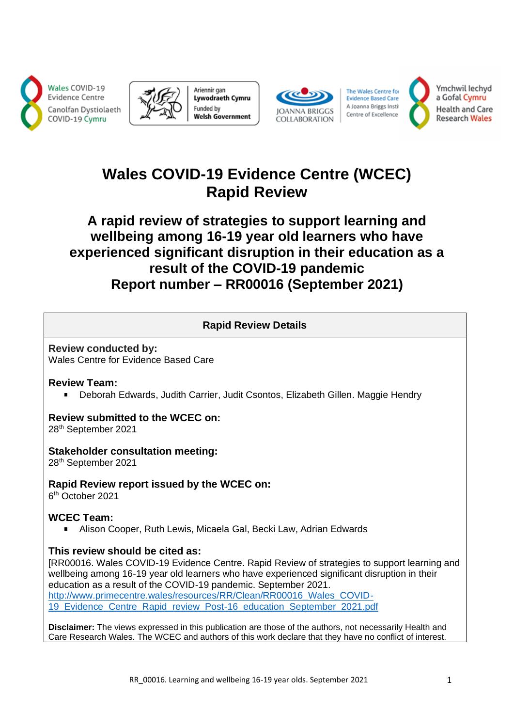





The Wales Centre for **Evidence Based Care** A Joanna Briggs Instit Centre of Excellence



Ymchwil lechyd a Gofal Cymru **Health and Care Research Wales** 

# **Wales COVID-19 Evidence Centre (WCEC) Rapid Review**

# **A rapid review of strategies to support learning and wellbeing among 16-19 year old learners who have experienced significant disruption in their education as a result of the COVID-19 pandemic Report number – RR00016 (September 2021)**

### **Rapid Review Details**

**Review conducted by:**  Wales Centre for Evidence Based Care

## **Review Team:**

Deborah Edwards, Judith Carrier, Judit Csontos, Elizabeth Gillen. Maggie Hendry  $\mathbf{R}^{\mathrm{max}}$ 

# **Review submitted to the WCEC on:**

28th September 2021

## **Stakeholder consultation meeting:**

28th September 2021

## **Rapid Review report issued by the WCEC on:**

6 th October 2021

## **WCEC Team:**

Alison Cooper, Ruth Lewis, Micaela Gal, Becki Law, Adrian Edwards

## **This review should be cited as:**

[RR00016. Wales COVID-19 Evidence Centre. Rapid Review of strategies to support learning and wellbeing among 16-19 year old learners who have experienced significant disruption in their education as a result of the COVID-19 pandemic. September 2021. [http://www.primecentre.wales/resources/RR/Clean/RR00016\\_Wales\\_COVID-](http://www.primecentre.wales/resources/RR/Clean/RR00016_Wales_COVID-19_Evidence_Centre_Rapid_review_Post-16_education_September_2021.pdf)[19\\_Evidence\\_Centre\\_Rapid\\_review\\_Post-16\\_education\\_September\\_2021.pdf](http://www.primecentre.wales/resources/RR/Clean/RR00016_Wales_COVID-19_Evidence_Centre_Rapid_review_Post-16_education_September_2021.pdf)

**Disclaimer:** The views expressed in this publication are those of the authors, not necessarily Health and Care Research Wales. The WCEC and authors of this work declare that they have no conflict of interest.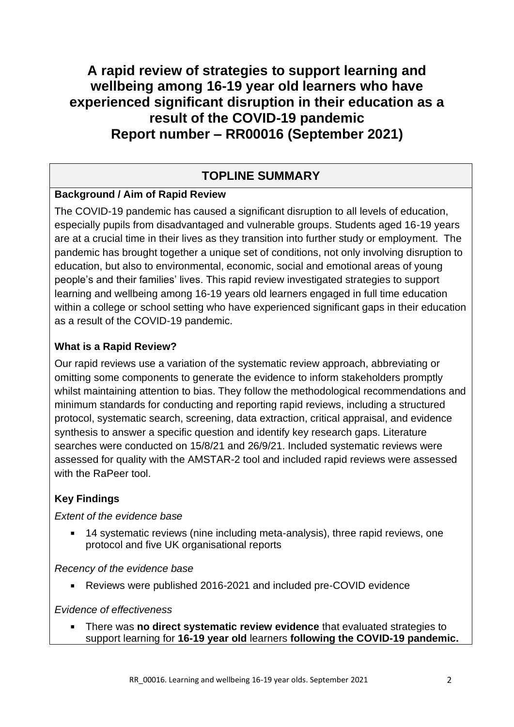# **A rapid review of strategies to support learning and wellbeing among 16-19 year old learners who have experienced significant disruption in their education as a result of the COVID-19 pandemic Report number – RR00016 (September 2021)**

## **TOPLINE SUMMARY**

## **Background / Aim of Rapid Review**

The COVID-19 pandemic has caused a significant disruption to all levels of education, especially pupils from disadvantaged and vulnerable groups. Students aged 16-19 years are at a crucial time in their lives as they transition into further study or employment. The pandemic has brought together a unique set of conditions, not only involving disruption to education, but also to environmental, economic, social and emotional areas of young people's and their families' lives. This rapid review investigated strategies to support learning and wellbeing among 16-19 years old learners engaged in full time education within a college or school setting who have experienced significant gaps in their education as a result of the COVID-19 pandemic.

## **What is a Rapid Review?**

Our rapid reviews use a variation of the systematic review approach, abbreviating or omitting some components to generate the evidence to inform stakeholders promptly whilst maintaining attention to bias. They follow the methodological recommendations and minimum standards for conducting and reporting rapid reviews, including a structured protocol, systematic search, screening, data extraction, critical appraisal, and evidence synthesis to answer a specific question and identify key research gaps. Literature searches were conducted on 15/8/21 and 26/9/21. Included systematic reviews were assessed for quality with the AMSTAR-2 tool and included rapid reviews were assessed with the RaPeer tool.

## **Key Findings**

## *Extent of the evidence base*

14 systematic reviews (nine including meta-analysis), three rapid reviews, one protocol and five UK organisational reports

*Recency of the evidence base*

Reviews were published 2016-2021 and included pre-COVID evidence

## *Evidence of effectiveness*

There was **no direct systematic review evidence** that evaluated strategies to support learning for **16-19 year old** learners **following the COVID-19 pandemic.**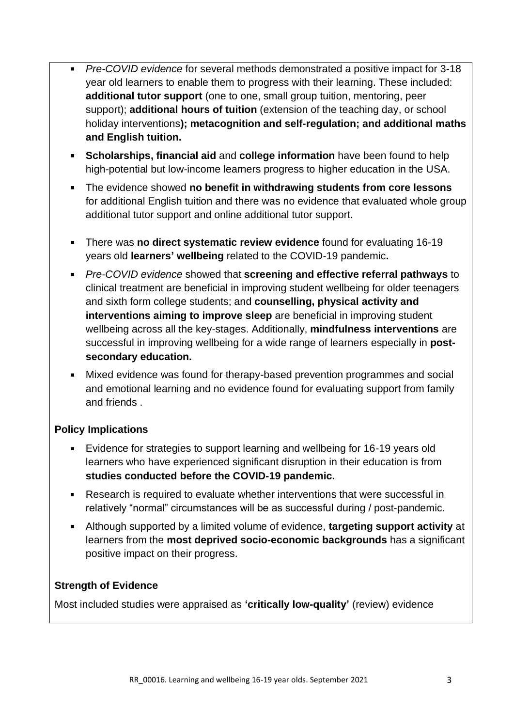- *Pre-COVID evidence* for several methods demonstrated a positive impact for 3-18 year old learners to enable them to progress with their learning. These included: **additional tutor support** (one to one, small group tuition, mentoring, peer support); **additional hours of tuition** (extension of the teaching day, or school holiday interventions**); metacognition and self-regulation; and additional maths and English tuition.**
- **Scholarships, financial aid** and **college information** have been found to help high-potential but low-income learners progress to higher education in the USA.
- The evidence showed **no benefit in withdrawing students from core lessons** for additional English tuition and there was no evidence that evaluated whole group additional tutor support and online additional tutor support.
- There was **no direct systematic review evidence** found for evaluating 16-19 years old **learners' wellbeing** related to the COVID-19 pandemic**.**
- *Pre-COVID evidence* showed that **screening and effective referral pathways** to clinical treatment are beneficial in improving student wellbeing for older teenagers and sixth form college students; and **counselling, physical activity and interventions aiming to improve sleep** are beneficial in improving student wellbeing across all the key-stages. Additionally, **mindfulness interventions** are successful in improving wellbeing for a wide range of learners especially in **postsecondary education.**
- Mixed evidence was found for therapy-based prevention programmes and social and emotional learning and no evidence found for evaluating support from family and friends .

## **Policy Implications**

- Evidence for strategies to support learning and wellbeing for 16-19 years old learners who have experienced significant disruption in their education is from **studies conducted before the COVID-19 pandemic.**
- Research is required to evaluate whether interventions that were successful in relatively "normal" circumstances will be as successful during / post-pandemic.
- Although supported by a limited volume of evidence, **targeting support activity** at learners from the **most deprived socio-economic backgrounds** has a significant positive impact on their progress.

## **Strength of Evidence**

Most included studies were appraised as **'critically low-quality'** (review) evidence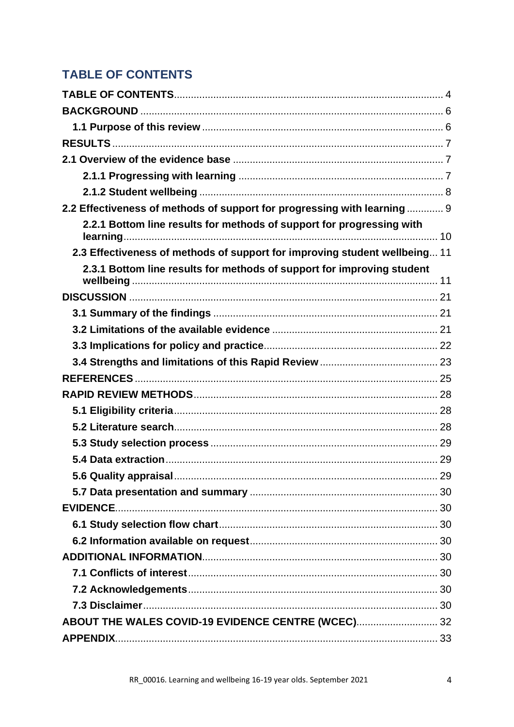# <span id="page-3-0"></span>**TABLE OF CONTENTS**

| 2.2 Effectiveness of methods of support for progressing with learning  9   |  |
|----------------------------------------------------------------------------|--|
| 2.2.1 Bottom line results for methods of support for progressing with      |  |
| 2.3 Effectiveness of methods of support for improving student wellbeing 11 |  |
| 2.3.1 Bottom line results for methods of support for improving student     |  |
|                                                                            |  |
|                                                                            |  |
|                                                                            |  |
|                                                                            |  |
|                                                                            |  |
|                                                                            |  |
|                                                                            |  |
|                                                                            |  |
|                                                                            |  |
|                                                                            |  |
|                                                                            |  |
|                                                                            |  |
|                                                                            |  |
|                                                                            |  |
|                                                                            |  |
|                                                                            |  |
|                                                                            |  |
|                                                                            |  |
|                                                                            |  |
|                                                                            |  |
| ABOUT THE WALES COVID-19 EVIDENCE CENTRE (WCEC) 32                         |  |
|                                                                            |  |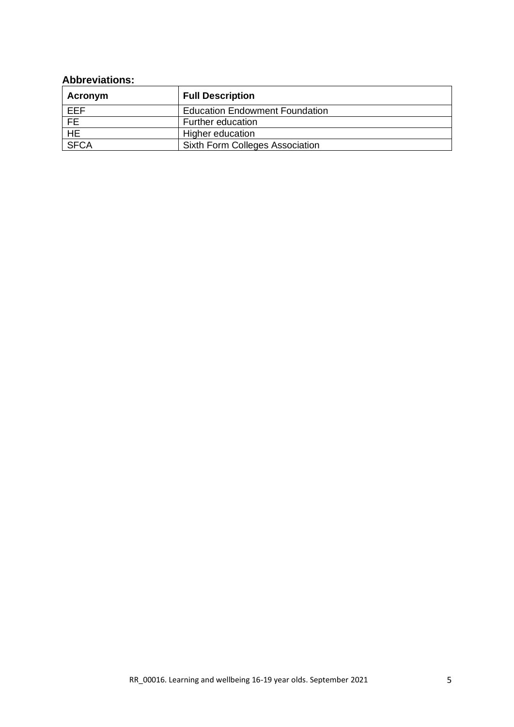## **Abbreviations:**

| Acronym        | <b>Full Description</b>                |
|----------------|----------------------------------------|
| EEF            | <b>Education Endowment Foundation</b>  |
| <b>FE</b>      | Further education                      |
| H <sub>E</sub> | Higher education                       |
| <b>SFCA</b>    | <b>Sixth Form Colleges Association</b> |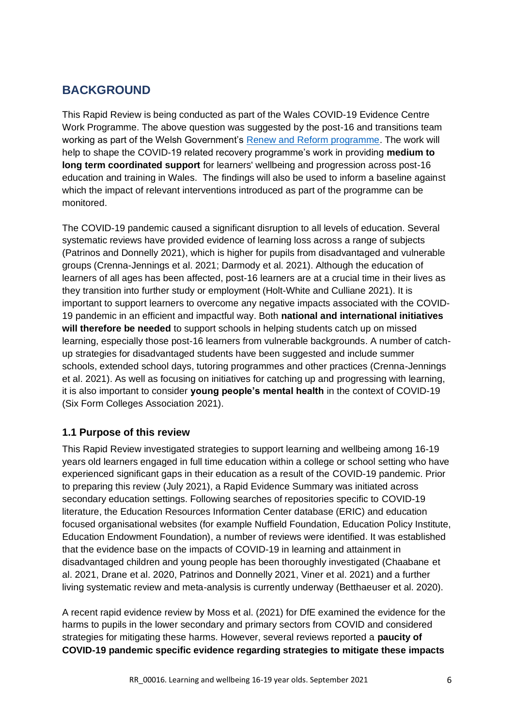## <span id="page-5-0"></span>**BACKGROUND**

This Rapid Review is being conducted as part of the Wales COVID-19 Evidence Centre Work Programme. The above question was suggested by the post-16 and transitions team working as part of the Welsh Government's [Renew and Reform programme.](https://eur03.safelinks.protection.outlook.com/?url=https%3A%2F%2Fgov.wales%2Frenew-and-reform-supporting-learners-wellbeing-and-progression-html&data=04%7C01%7CEdwardsDJ%40cardiff.ac.uk%7Cd30241a255954dafa7dd08d96e2ac2b7%7Cbdb74b3095684856bdbf06759778fcbc%7C1%7C0%7C637661952208685993%7CUnknown%7CTWFpbGZsb3d8eyJWIjoiMC4wLjAwMDAiLCJQIjoiV2luMzIiLCJBTiI6Ik1haWwiLCJXVCI6Mn0%3D%7C1000&sdata=6Ad6C2y8q%2FN0avIosuSMMa6t%2FcPvUTYhU6A52vmSMDY%3D&reserved=0) The work will help to shape the COVID-19 related recovery programme's work in providing **medium to long term coordinated support** for learners' wellbeing and progression across post-16 education and training in Wales. The findings will also be used to inform a baseline against which the impact of relevant interventions introduced as part of the programme can be monitored.

The COVID-19 pandemic caused a significant disruption to all levels of education. Several systematic reviews have provided evidence of learning loss across a range of subjects (Patrinos and Donnelly 2021), which is higher for pupils from disadvantaged and vulnerable groups (Crenna-Jennings et al. 2021; Darmody et al. 2021). Although the education of learners of all ages has been affected, post-16 learners are at a crucial time in their lives as they transition into further study or employment (Holt-White and Culliane 2021). It is important to support learners to overcome any negative impacts associated with the COVID-19 pandemic in an efficient and impactful way. Both **national and international initiatives will therefore be needed** to support schools in helping students catch up on missed learning, especially those post-16 learners from vulnerable backgrounds. A number of catchup strategies for disadvantaged students have been suggested and include summer schools, extended school days, tutoring programmes and other practices (Crenna-Jennings et al. 2021). As well as focusing on initiatives for catching up and progressing with learning, it is also important to consider **young people's mental health** in the context of COVID-19 (Six Form Colleges Association 2021).

## <span id="page-5-1"></span>**1.1 Purpose of this review**

This Rapid Review investigated strategies to support learning and wellbeing among 16-19 years old learners engaged in full time education within a college or school setting who have experienced significant gaps in their education as a result of the COVID-19 pandemic. Prior to preparing this review (July 2021), a Rapid Evidence Summary was initiated across secondary education settings. Following searches of repositories specific to COVID-19 literature, the Education Resources Information Center database (ERIC) and education focused organisational websites (for example Nuffield Foundation, Education Policy Institute, Education Endowment Foundation), a number of reviews were identified. It was established that the evidence base on the impacts of COVID-19 in learning and attainment in disadvantaged children and young people has been thoroughly investigated (Chaabane et al. 2021, Drane et al. 2020, Patrinos and Donnelly 2021, Viner et al. 2021) and a further living systematic review and meta-analysis is currently underway (Betthaeuser et al. 2020).

A recent rapid evidence review by Moss et al. (2021) for DfE examined the evidence for the harms to pupils in the lower secondary and primary sectors from COVID and considered strategies for mitigating these harms. However, several reviews reported a **paucity of COVID-19 pandemic specific evidence regarding strategies to mitigate these impacts**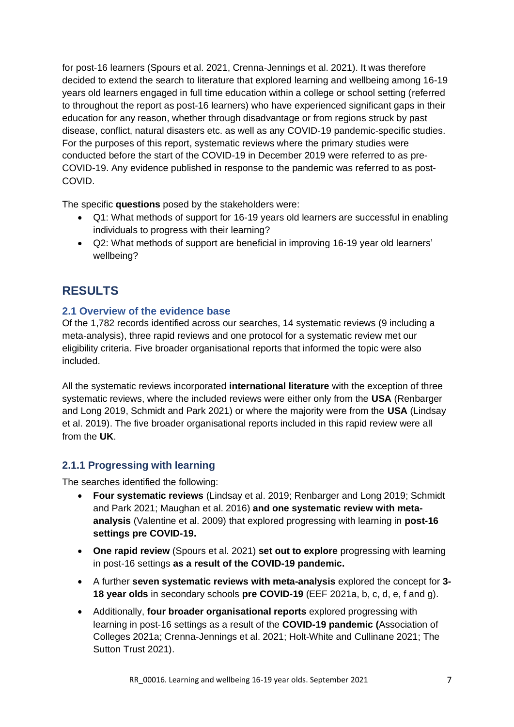for post-16 learners (Spours et al. 2021, Crenna-Jennings et al. 2021). It was therefore decided to extend the search to literature that explored learning and wellbeing among 16-19 years old learners engaged in full time education within a college or school setting (referred to throughout the report as post-16 learners) who have experienced significant gaps in their education for any reason, whether through disadvantage or from regions struck by past disease, conflict, natural disasters etc. as well as any COVID-19 pandemic-specific studies. For the purposes of this report, systematic reviews where the primary studies were conducted before the start of the COVID-19 in December 2019 were referred to as pre-COVID-19. Any evidence published in response to the pandemic was referred to as post-COVID.

The specific **questions** posed by the stakeholders were:

- Q1: What methods of support for 16-19 years old learners are successful in enabling individuals to progress with their learning?
- Q2: What methods of support are beneficial in improving 16-19 year old learners' wellbeing?

## <span id="page-6-0"></span>**RESULTS**

### <span id="page-6-1"></span>**2.1 Overview of the evidence base**

Of the 1,782 records identified across our searches, 14 systematic reviews (9 including a meta-analysis), three rapid reviews and one protocol for a systematic review met our eligibility criteria. Five broader organisational reports that informed the topic were also included.

All the systematic reviews incorporated **international literature** with the exception of three systematic reviews, where the included reviews were either only from the **USA** (Renbarger and Long 2019, Schmidt and Park 2021) or where the majority were from the **USA** (Lindsay et al. 2019). The five broader organisational reports included in this rapid review were all from the **UK**.

## <span id="page-6-2"></span>**2.1.1 Progressing with learning**

The searches identified the following:

- **Four systematic reviews** (Lindsay et al. 2019; Renbarger and Long 2019; Schmidt and Park 2021; Maughan et al. 2016) **and one systematic review with metaanalysis** (Valentine et al. 2009) that explored progressing with learning in **post-16 settings pre COVID-19.**
- **One rapid review** (Spours et al. 2021) **set out to explore** progressing with learning in post-16 settings **as a result of the COVID-19 pandemic.**
- A further **seven systematic reviews with meta-analysis** explored the concept for **3- 18 year olds** in secondary schools **pre COVID-19** (EEF 2021a, b, c, d, e, f and g).
- Additionally, **four broader organisational reports** explored progressing with learning in post-16 settings as a result of the **COVID-19 pandemic (**Association of Colleges 2021a; Crenna-Jennings et al. 2021; Holt-White and Cullinane 2021; The Sutton Trust 2021).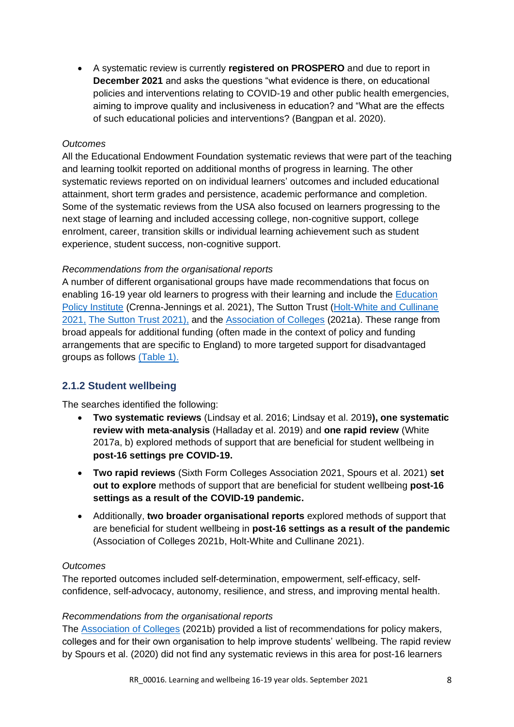• A systematic review is currently **registered on PROSPERO** and due to report in **December 2021** and asks the questions "what evidence is there, on educational policies and interventions relating to COVID-19 and other public health emergencies, aiming to improve quality and inclusiveness in education? and "What are the effects of such educational policies and interventions? (Bangpan et al. 2020).

#### *Outcomes*

All the Educational Endowment Foundation systematic reviews that were part of the teaching and learning toolkit reported on additional months of progress in learning. The other systematic reviews reported on on individual learners' outcomes and included educational attainment, short term grades and persistence, academic performance and completion. Some of the systematic reviews from the USA also focused on learners progressing to the next stage of learning and included accessing college, non-cognitive support, college enrolment, career, transition skills or individual learning achievement such as student experience, student success, non-cognitive support.

#### *Recommendations from the organisational reports*

A number of different organisational groups have made recommendations that focus on enabling 16-19 year old learners to progress with their learning and include the [Education](#page-12-0)  [Policy Institute](#page-12-0) (Crenna-Jennings et al. 2021), The Sutton Trust [\(Holt-White and Cullinane](#page-12-1)  [2021,](#page-12-1) [The Sutton Trust 2021\),](#page-12-2) and the [Association of Colleges](#page-11-0) (2021a). These range from broad appeals for additional funding (often made in the context of policy and funding arrangements that are specific to England) to more targeted support for disadvantaged groups as follows [\(Table 1\).](#page-11-1)

#### <span id="page-7-0"></span>**2.1.2 Student wellbeing**

The searches identified the following:

- **Two systematic reviews** (Lindsay et al. 2016; Lindsay et al. 2019**), one systematic review with meta-analysis** (Halladay et al. 2019) and **one rapid review** (White 2017a, b) explored methods of support that are beneficial for student wellbeing in **post-16 settings pre COVID-19.**
- **Two rapid reviews** (Sixth Form Colleges Association 2021, Spours et al. 2021) **set out to explore** methods of support that are beneficial for student wellbeing **post-16 settings as a result of the COVID-19 pandemic.**
- Additionally, **two broader organisational reports** explored methods of support that are beneficial for student wellbeing in **post-16 settings as a result of the pandemic** (Association of Colleges 2021b, Holt-White and Cullinane 2021).

#### *Outcomes*

The reported outcomes included self-determination, empowerment, self-efficacy, selfconfidence, self-advocacy, autonomy, resilience, and stress, and improving mental health.

#### *Recommendations from the organisational reports*

The [Association of Colleges](#page-11-2) (2021b) provided a list of recommendations for policy makers, colleges and for their own organisation to help improve students' wellbeing. The rapid review by Spours et al. (2020) did not find any systematic reviews in this area for post-16 learners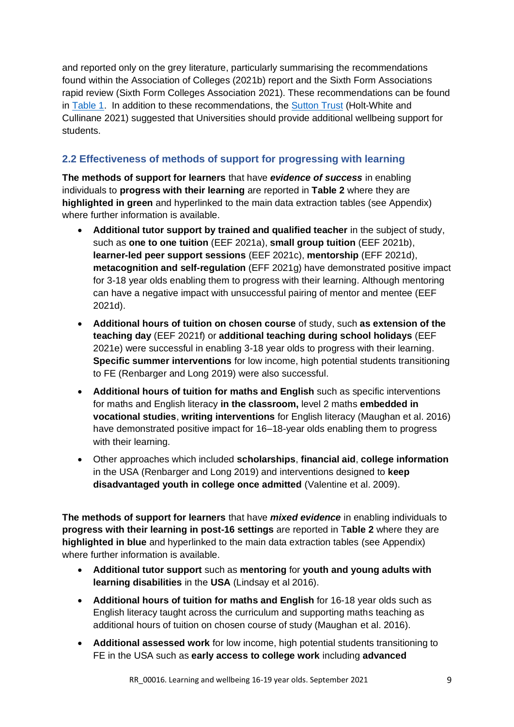and reported only on the grey literature, particularly summarising the recommendations found within the Association of Colleges (2021b) report and the Sixth Form Associations rapid review (Sixth Form Colleges Association 2021). These recommendations can be found in [Table 1.](#page-11-1) In addition to these recommendations, the [Sutton Trust](#page-12-1) (Holt-White and Cullinane 2021) suggested that Universities should provide additional wellbeing support for students.

## <span id="page-8-0"></span>**2.2 Effectiveness of methods of support for progressing with learning**

**The methods of support for learners** that have *evidence of success* in enabling individuals to **progress with their learning** are reported in **Table 2** where they are **highlighted in green** and hyperlinked to the main data extraction tables (see Appendix) where further information is available.

- **Additional tutor support by trained and qualified teacher** in the subject of study, such as **one to one tuition** (EEF 2021a), **small group tuition** (EEF 2021b), **learner-led peer support sessions** (EEF 2021c), **mentorship** (EFF 2021d), **metacognition and self-regulation** (EFF 2021g) have demonstrated positive impact for 3-18 year olds enabling them to progress with their learning. Although mentoring can have a negative impact with unsuccessful pairing of mentor and mentee (EEF 2021d).
- **Additional hours of tuition on chosen course** of study, such **as extension of the teaching day** (EEF 2021f) or **additional teaching during school holidays** (EEF 2021e) were successful in enabling 3-18 year olds to progress with their learning. **Specific summer interventions** for low income, high potential students transitioning to FE (Renbarger and Long 2019) were also successful.
- **Additional hours of tuition for maths and English** such as specific interventions for maths and English literacy **in the classroom,** level 2 maths **embedded in vocational studies**, **writing interventions** for English literacy (Maughan et al. 2016) have demonstrated positive impact for 16–18-year olds enabling them to progress with their learning.
- Other approaches which included **scholarships**, **financial aid**, **college information** in the USA (Renbarger and Long 2019) and interventions designed to **keep disadvantaged youth in college once admitted** (Valentine et al. 2009).

**The methods of support for learners** that have *mixed evidence* in enabling individuals to **progress with their learning in post-16 settings** are reported in T**able 2** where they are **highlighted in blue** and hyperlinked to the main data extraction tables (see Appendix) where further information is available.

- **Additional tutor support** such as **mentoring** for **youth and young adults with learning disabilities** in the **USA** (Lindsay et al 2016).
- **Additional hours of tuition for maths and English** for 16-18 year olds such as English literacy taught across the curriculum and supporting maths teaching as additional hours of tuition on chosen course of study (Maughan et al. 2016).
- **Additional assessed work** for low income, high potential students transitioning to FE in the USA such as **early access to college work** including **advanced**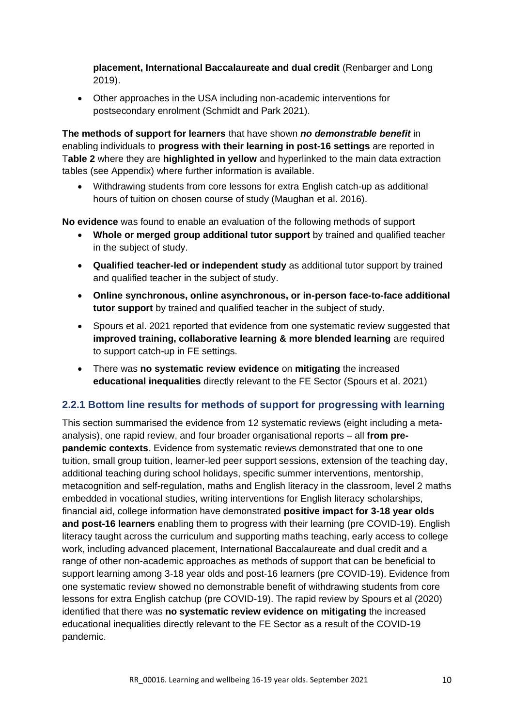**placement, International Baccalaureate and dual credit** (Renbarger and Long 2019).

• Other approaches in the USA including non-academic interventions for postsecondary enrolment (Schmidt and Park 2021).

**The methods of support for learners** that have shown *no demonstrable benefit* in enabling individuals to **progress with their learning in post-16 settings** are reported in T**able 2** where they are **highlighted in yellow** and hyperlinked to the main data extraction tables (see Appendix) where further information is available.

• Withdrawing students from core lessons for extra English catch-up as additional hours of tuition on chosen course of study (Maughan et al. 2016).

**No evidence** was found to enable an evaluation of the following methods of support

- **Whole or merged group additional tutor support** by trained and qualified teacher in the subject of study.
- **Qualified teacher-led or independent study** as additional tutor support by trained and qualified teacher in the subject of study.
- **Online synchronous, online asynchronous, or in-person face-to-face additional tutor support** by trained and qualified teacher in the subject of study.
- Spours et al. 2021 reported that evidence from one systematic review suggested that **improved training, collaborative learning & more blended learning** are required to support catch-up in FE settings.
- There was **no systematic review evidence** on **mitigating** the increased **educational inequalities** directly relevant to the FE Sector (Spours et al. 2021)

#### <span id="page-9-0"></span>**2.2.1 Bottom line results for methods of support for progressing with learning**

This section summarised the evidence from 12 systematic reviews (eight including a metaanalysis), one rapid review, and four broader organisational reports – all **from prepandemic contexts**. Evidence from systematic reviews demonstrated that one to one tuition, small group tuition, learner-led peer support sessions, extension of the teaching day, additional teaching during school holidays, specific summer interventions, mentorship, metacognition and self-regulation, maths and English literacy in the classroom, level 2 maths embedded in vocational studies, writing interventions for English literacy scholarships, financial aid, college information have demonstrated **positive impact for 3-18 year olds and post-16 learners** enabling them to progress with their learning (pre COVID-19). English literacy taught across the curriculum and supporting maths teaching, early access to college work, including advanced placement, International Baccalaureate and dual credit and a range of other non-academic approaches as methods of support that can be beneficial to support learning among 3-18 year olds and post-16 learners (pre COVID-19). Evidence from one systematic review showed no demonstrable benefit of withdrawing students from core lessons for extra English catchup (pre COVID-19). The rapid review by Spours et al (2020) identified that there was **no systematic review evidence on mitigating** the increased educational inequalities directly relevant to the FE Sector as a result of the COVID-19 pandemic.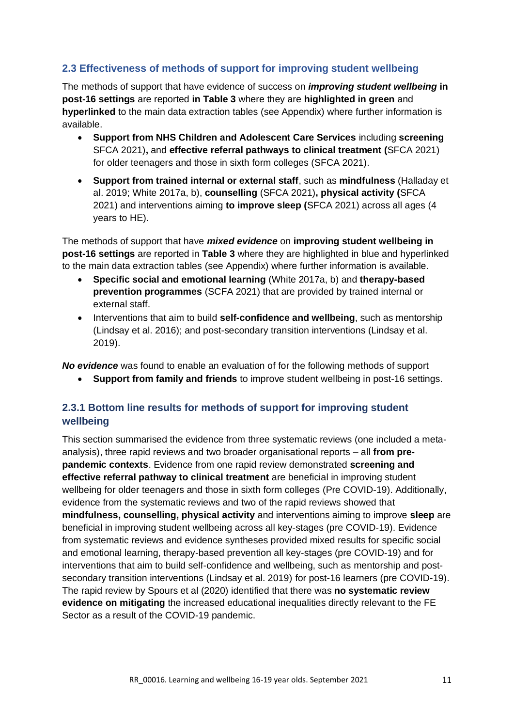## <span id="page-10-0"></span>**2.3 Effectiveness of methods of support for improving student wellbeing**

The methods of support that have evidence of success on *improving student wellbeing* **in post-16 settings** are reported **in Table 3** where they are **highlighted in green** and **hyperlinked** to the main data extraction tables (see Appendix) where further information is available.

- **Support from NHS Children and Adolescent Care Services** including **screening** SFCA 2021)**,** and **effective referral pathways to clinical treatment (**SFCA 2021) for older teenagers and those in sixth form colleges (SFCA 2021).
- **Support from trained internal or external staff**, such as **mindfulness** (Halladay et al. 2019; White 2017a, b), **counselling** (SFCA 2021)**, physical activity (**SFCA 2021) and interventions aiming **to improve sleep (**SFCA 2021) across all ages (4 years to HE).

The methods of support that have *mixed evidence* on **improving student wellbeing in post-16 settings** are reported in **Table 3** where they are highlighted in blue and hyperlinked to the main data extraction tables (see Appendix) where further information is available.

- **Specific social and emotional learning** (White 2017a, b) and **therapy-based prevention programmes** (SCFA 2021) that are provided by trained internal or external staff.
- Interventions that aim to build **self-confidence and wellbeing**, such as mentorship (Lindsay et al. 2016); and post-secondary transition interventions (Lindsay et al. 2019).

*No evidence* was found to enable an evaluation of for the following methods of support

• **Support from family and friends** to improve student wellbeing in post-16 settings.

## <span id="page-10-1"></span>**2.3.1 Bottom line results for methods of support for improving student wellbeing**

This section summarised the evidence from three systematic reviews (one included a metaanalysis), three rapid reviews and two broader organisational reports – all **from prepandemic contexts**. Evidence from one rapid review demonstrated **screening and effective referral pathway to clinical treatment** are beneficial in improving student wellbeing for older teenagers and those in sixth form colleges (Pre COVID-19). Additionally, evidence from the systematic reviews and two of the rapid reviews showed that **mindfulness, counselling, physical activity** and interventions aiming to improve **sleep** are beneficial in improving student wellbeing across all key-stages (pre COVID-19). Evidence from systematic reviews and evidence syntheses provided mixed results for specific social and emotional learning, therapy-based prevention all key-stages (pre COVID-19) and for interventions that aim to build self-confidence and wellbeing, such as mentorship and postsecondary transition interventions (Lindsay et al. 2019) for post-16 learners (pre COVID-19). The rapid review by Spours et al (2020) identified that there was **no systematic review evidence on mitigating** the increased educational inequalities directly relevant to the FE Sector as a result of the COVID-19 pandemic.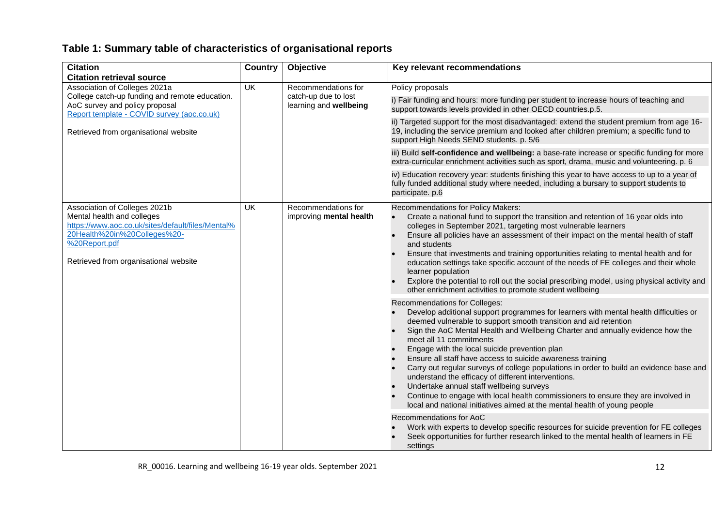## **Table 1: Summary table of characteristics of organisational reports**

<span id="page-11-3"></span><span id="page-11-2"></span><span id="page-11-1"></span><span id="page-11-0"></span>

| <b>Citation</b><br><b>Citation retrieval source</b>                                                                                                                                                        | <b>Country</b>            | Objective                                      | Key relevant recommendations                                                                                                                                                                                                                                                                                                                                                                                                                                                                                                                                                                                                                                                                                                                                                           |  |  |
|------------------------------------------------------------------------------------------------------------------------------------------------------------------------------------------------------------|---------------------------|------------------------------------------------|----------------------------------------------------------------------------------------------------------------------------------------------------------------------------------------------------------------------------------------------------------------------------------------------------------------------------------------------------------------------------------------------------------------------------------------------------------------------------------------------------------------------------------------------------------------------------------------------------------------------------------------------------------------------------------------------------------------------------------------------------------------------------------------|--|--|
| Association of Colleges 2021a                                                                                                                                                                              | $\overline{\mathsf{U}}$ K | Recommendations for                            | Policy proposals                                                                                                                                                                                                                                                                                                                                                                                                                                                                                                                                                                                                                                                                                                                                                                       |  |  |
| College catch-up funding and remote education.<br>AoC survey and policy proposal<br>Report template - COVID survey (aoc.co.uk)                                                                             |                           | catch-up due to lost<br>learning and wellbeing | i) Fair funding and hours: more funding per student to increase hours of teaching and<br>support towards levels provided in other OECD countries.p.5.                                                                                                                                                                                                                                                                                                                                                                                                                                                                                                                                                                                                                                  |  |  |
| Retrieved from organisational website                                                                                                                                                                      |                           |                                                | ii) Targeted support for the most disadvantaged: extend the student premium from age 16-<br>19, including the service premium and looked after children premium; a specific fund to<br>support High Needs SEND students. p. 5/6                                                                                                                                                                                                                                                                                                                                                                                                                                                                                                                                                        |  |  |
|                                                                                                                                                                                                            |                           |                                                | iii) Build self-confidence and wellbeing: a base-rate increase or specific funding for more<br>extra-curricular enrichment activities such as sport, drama, music and volunteering. p. 6                                                                                                                                                                                                                                                                                                                                                                                                                                                                                                                                                                                               |  |  |
|                                                                                                                                                                                                            |                           |                                                | iv) Education recovery year: students finishing this year to have access to up to a year of<br>fully funded additional study where needed, including a bursary to support students to<br>participate. p.6                                                                                                                                                                                                                                                                                                                                                                                                                                                                                                                                                                              |  |  |
| Association of Colleges 2021b<br>Mental health and colleges<br>https://www.aoc.co.uk/sites/default/files/Mental%<br>20Health%20in%20Colleges%20-<br>%20Report.pdf<br>Retrieved from organisational website | UK                        | Recommendations for<br>improving mental health | Recommendations for Policy Makers:<br>Create a national fund to support the transition and retention of 16 year olds into<br>colleges in September 2021, targeting most vulnerable learners<br>Ensure all policies have an assessment of their impact on the mental health of staff<br>and students<br>Ensure that investments and training opportunities relating to mental health and for<br>education settings take specific account of the needs of FE colleges and their whole<br>learner population<br>Explore the potential to roll out the social prescribing model, using physical activity and<br>other enrichment activities to promote student wellbeing                                                                                                                   |  |  |
|                                                                                                                                                                                                            |                           |                                                | Recommendations for Colleges:<br>Develop additional support programmes for learners with mental health difficulties or<br>deemed vulnerable to support smooth transition and aid retention<br>Sign the AoC Mental Health and Wellbeing Charter and annually evidence how the<br>meet all 11 commitments<br>Engage with the local suicide prevention plan<br>Ensure all staff have access to suicide awareness training<br>Carry out regular surveys of college populations in order to build an evidence base and<br>understand the efficacy of different interventions.<br>Undertake annual staff wellbeing surveys<br>Continue to engage with local health commissioners to ensure they are involved in<br>local and national initiatives aimed at the mental health of young people |  |  |
|                                                                                                                                                                                                            |                           |                                                | Recommendations for AoC<br>Work with experts to develop specific resources for suicide prevention for FE colleges<br>Seek opportunities for further research linked to the mental health of learners in FE<br>settings                                                                                                                                                                                                                                                                                                                                                                                                                                                                                                                                                                 |  |  |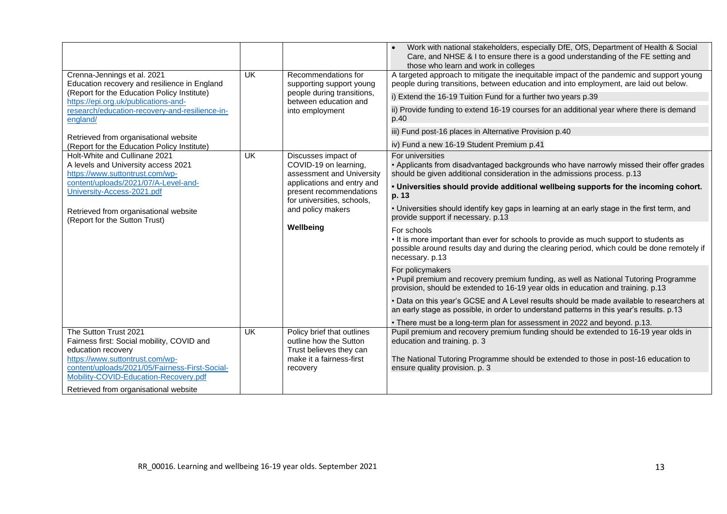<span id="page-12-2"></span><span id="page-12-1"></span><span id="page-12-0"></span>

|                                                                                                         |                                                       |                                                                                                                                                                                   | Work with national stakeholders, especially DfE, OfS, Department of Health & Social<br>Care, and NHSE & I to ensure there is a good understanding of the FE setting and<br>those who learn and work in colleges         |
|---------------------------------------------------------------------------------------------------------|-------------------------------------------------------|-----------------------------------------------------------------------------------------------------------------------------------------------------------------------------------|-------------------------------------------------------------------------------------------------------------------------------------------------------------------------------------------------------------------------|
| Crenna-Jennings et al. 2021<br>Education recovery and resilience in England                             | UK<br>Recommendations for<br>supporting support young | A targeted approach to mitigate the inequitable impact of the pandemic and support young<br>people during transitions, between education and into employment, are laid out below. |                                                                                                                                                                                                                         |
| (Report for the Education Policy Institute)<br>https://epi.org.uk/publications-and-                     |                                                       | people during transitions,<br>between education and                                                                                                                               | i) Extend the 16-19 Tuition Fund for a further two years p.39                                                                                                                                                           |
| research/education-recovery-and-resilience-in-<br>england/                                              |                                                       | into employment                                                                                                                                                                   | ii) Provide funding to extend 16-19 courses for an additional year where there is demand<br>p.40                                                                                                                        |
| Retrieved from organisational website                                                                   |                                                       |                                                                                                                                                                                   | iii) Fund post-16 places in Alternative Provision p.40                                                                                                                                                                  |
| (Report for the Education Policy Institute)                                                             |                                                       |                                                                                                                                                                                   | iv) Fund a new 16-19 Student Premium p.41                                                                                                                                                                               |
| Holt-White and Cullinane 2021<br>A levels and University access 2021<br>https://www.suttontrust.com/wp- | <b>UK</b>                                             | Discusses impact of<br>COVID-19 on learning,<br>assessment and University                                                                                                         | For universities<br>. Applicants from disadvantaged backgrounds who have narrowly missed their offer grades<br>should be given additional consideration in the admissions process. p.13                                 |
| content/uploads/2021/07/A-Level-and-<br>University-Access-2021.pdf                                      |                                                       | applications and entry and<br>present recommendations<br>for universities, schools,                                                                                               | . Universities should provide additional wellbeing supports for the incoming cohort.<br>p. 13                                                                                                                           |
| Retrieved from organisational website<br>(Report for the Sutton Trust)                                  | and policy makers                                     |                                                                                                                                                                                   | . Universities should identify key gaps in learning at an early stage in the first term, and<br>provide support if necessary. p.13                                                                                      |
|                                                                                                         |                                                       | Wellbeing                                                                                                                                                                         | For schools<br>. It is more important than ever for schools to provide as much support to students as<br>possible around results day and during the clearing period, which could be done remotely if<br>necessary. p.13 |
|                                                                                                         |                                                       |                                                                                                                                                                                   | For policymakers<br>. Pupil premium and recovery premium funding, as well as National Tutoring Programme<br>provision, should be extended to 16-19 year olds in education and training. p.13                            |
|                                                                                                         |                                                       |                                                                                                                                                                                   | • Data on this year's GCSE and A Level results should be made available to researchers at<br>an early stage as possible, in order to understand patterns in this year's results. p.13                                   |
|                                                                                                         |                                                       |                                                                                                                                                                                   | • There must be a long-term plan for assessment in 2022 and beyond. p.13.                                                                                                                                               |
| The Sutton Trust 2021<br>Fairness first: Social mobility, COVID and<br>education recovery               | <b>UK</b>                                             | Policy brief that outlines<br>outline how the Sutton<br>Trust believes they can                                                                                                   | Pupil premium and recovery premium funding should be extended to 16-19 year olds in<br>education and training. p. 3                                                                                                     |
| https://www.suttontrust.com/wp-<br>content/uploads/2021/05/Fairness-First-Social-                       |                                                       | make it a fairness-first<br>recovery                                                                                                                                              | The National Tutoring Programme should be extended to those in post-16 education to<br>ensure quality provision. p. 3                                                                                                   |
| Mobility-COVID-Education-Recovery.pdf                                                                   |                                                       |                                                                                                                                                                                   |                                                                                                                                                                                                                         |
| Retrieved from organisational website                                                                   |                                                       |                                                                                                                                                                                   |                                                                                                                                                                                                                         |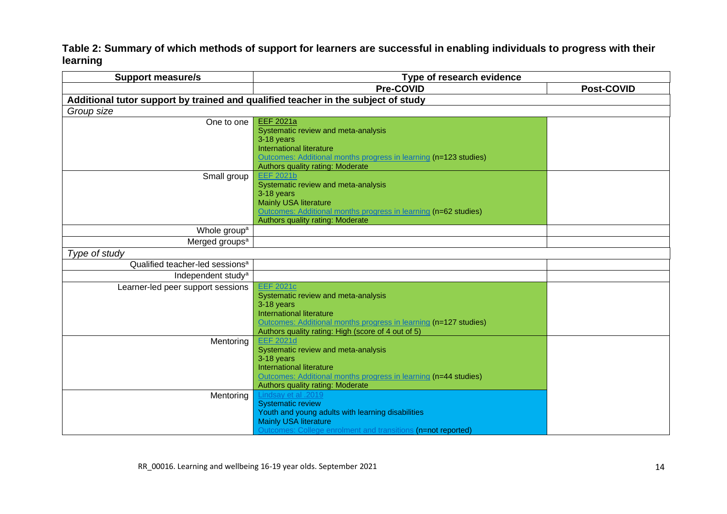**Table 2: Summary of which methods of support for learners are successful in enabling individuals to progress with their learning** 

| <b>Support measure/s</b>                                                          | Type of research evidence                                                                                                                                                                                                                                                                                                                                                                                        |                   |  |
|-----------------------------------------------------------------------------------|------------------------------------------------------------------------------------------------------------------------------------------------------------------------------------------------------------------------------------------------------------------------------------------------------------------------------------------------------------------------------------------------------------------|-------------------|--|
|                                                                                   | <b>Pre-COVID</b>                                                                                                                                                                                                                                                                                                                                                                                                 | <b>Post-COVID</b> |  |
| Additional tutor support by trained and qualified teacher in the subject of study |                                                                                                                                                                                                                                                                                                                                                                                                                  |                   |  |
| Group size                                                                        |                                                                                                                                                                                                                                                                                                                                                                                                                  |                   |  |
| One to one                                                                        | <b>EEF 2021a</b><br>Systematic review and meta-analysis<br>3-18 years<br><b>International literature</b><br>Outcomes: Additional months progress in learning (n=123 studies)<br>Authors quality rating: Moderate                                                                                                                                                                                                 |                   |  |
| Small group                                                                       | <b>EEF 2021b</b><br>Systematic review and meta-analysis<br>3-18 years<br><b>Mainly USA literature</b><br>Outcomes: Additional months progress in learning (n=62 studies)<br>Authors quality rating: Moderate                                                                                                                                                                                                     |                   |  |
| Whole group <sup>a</sup>                                                          |                                                                                                                                                                                                                                                                                                                                                                                                                  |                   |  |
| Merged groups <sup>a</sup>                                                        |                                                                                                                                                                                                                                                                                                                                                                                                                  |                   |  |
| Type of study                                                                     |                                                                                                                                                                                                                                                                                                                                                                                                                  |                   |  |
| Qualified teacher-led sessions <sup>a</sup>                                       |                                                                                                                                                                                                                                                                                                                                                                                                                  |                   |  |
| Independent study <sup>a</sup>                                                    |                                                                                                                                                                                                                                                                                                                                                                                                                  |                   |  |
| Learner-led peer support sessions                                                 | <b>EEF 2021c</b><br>Systematic review and meta-analysis<br>3-18 years<br><b>International literature</b><br>Outcomes: Additional months progress in learning (n=127 studies)<br>Authors quality rating: High (score of 4 out of 5)                                                                                                                                                                               |                   |  |
| Mentoring<br>Mentoring                                                            | <b>EEF 2021d</b><br>Systematic review and meta-analysis<br>3-18 years<br>International literature<br>Outcomes: Additional months progress in learning (n=44 studies)<br>Authors quality rating: Moderate<br>Lindsay et al .2019<br><b>Systematic review</b><br>Youth and young adults with learning disabilities<br><b>Mainly USA literature</b><br>Outcomes: College enrolment and transitions (n=not reported) |                   |  |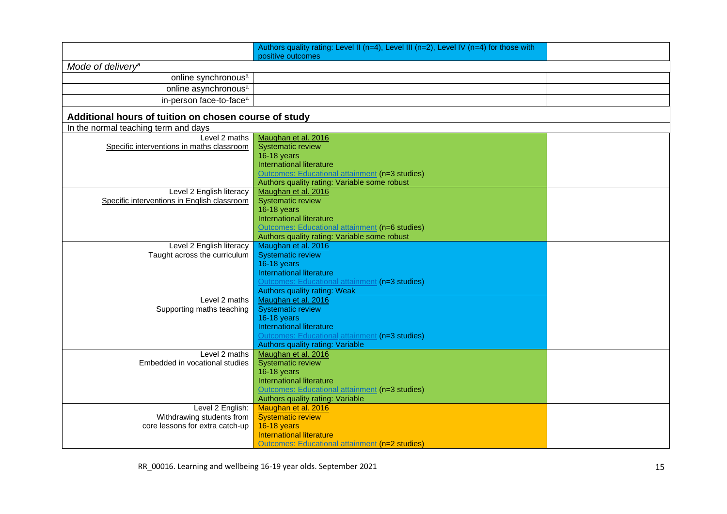|                                                                         | Authors quality rating: Level II (n=4), Level III (n=2), Level IV (n=4) for those with<br>positive outcomes |  |
|-------------------------------------------------------------------------|-------------------------------------------------------------------------------------------------------------|--|
| Mode of delivery <sup>a</sup>                                           |                                                                                                             |  |
| online synchronous <sup>a</sup>                                         |                                                                                                             |  |
| online asynchronous <sup>a</sup>                                        |                                                                                                             |  |
| in-person face-to-face <sup>a</sup>                                     |                                                                                                             |  |
| Additional hours of tuition on chosen course of study                   |                                                                                                             |  |
| In the normal teaching term and days                                    |                                                                                                             |  |
| Level 2 maths                                                           | Maughan et al. 2016                                                                                         |  |
| Specific interventions in maths classroom                               | <b>Systematic review</b>                                                                                    |  |
|                                                                         | 16-18 years                                                                                                 |  |
|                                                                         | <b>International literature</b>                                                                             |  |
|                                                                         | Outcomes: Educational attainment (n=3 studies)                                                              |  |
|                                                                         | Authors quality rating: Variable some robust<br>Maughan et al. 2016                                         |  |
| Level 2 English literacy<br>Specific interventions in English classroom | Systematic review                                                                                           |  |
|                                                                         | 16-18 years                                                                                                 |  |
|                                                                         | <b>International literature</b>                                                                             |  |
|                                                                         | Outcomes: Educational attainment (n=6 studies)                                                              |  |
|                                                                         | Authors quality rating: Variable some robust                                                                |  |
| Level 2 English literacy                                                | Maughan et al. 2016                                                                                         |  |
| Taught across the curriculum                                            | <b>Systematic review</b>                                                                                    |  |
|                                                                         | 16-18 years                                                                                                 |  |
|                                                                         | International literature                                                                                    |  |
|                                                                         | Outcomes: Educational attainment (n=3 studies)                                                              |  |
|                                                                         | <b>Authors quality rating: Weak</b>                                                                         |  |
| Level 2 maths                                                           | Maughan et al. 2016                                                                                         |  |
| Supporting maths teaching                                               | <b>Systematic review</b>                                                                                    |  |
|                                                                         | <b>16-18 years</b>                                                                                          |  |
|                                                                         | International literature                                                                                    |  |
|                                                                         | Outcomes: Educational attainment (n=3 studies)<br>Authors quality rating: Variable                          |  |
| Level 2 maths                                                           | Maughan et al. 2016                                                                                         |  |
| Embedded in vocational studies                                          | <b>Systematic review</b>                                                                                    |  |
|                                                                         | 16-18 years                                                                                                 |  |
|                                                                         | <b>International literature</b>                                                                             |  |
|                                                                         | Outcomes: Educational attainment (n=3 studies)                                                              |  |
|                                                                         | Authors quality rating: Variable                                                                            |  |
| Level 2 English:                                                        | Maughan et al. 2016                                                                                         |  |
| Withdrawing students from                                               | <b>Systematic review</b>                                                                                    |  |
| core lessons for extra catch-up                                         | <b>16-18 years</b>                                                                                          |  |
|                                                                         | <b>International literature</b>                                                                             |  |
|                                                                         | Outcomes: Educational attainment (n=2 studies)                                                              |  |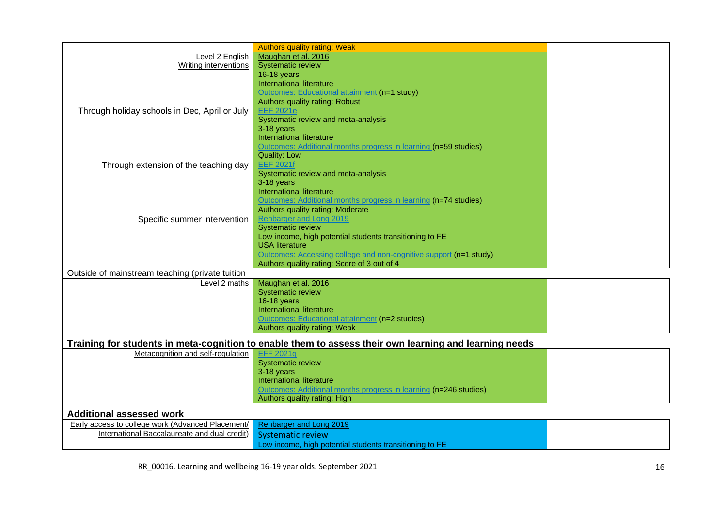|                                                   | <b>Authors quality rating: Weak</b>                                                                    |  |
|---------------------------------------------------|--------------------------------------------------------------------------------------------------------|--|
| Level 2 English                                   | Maughan et al. 2016                                                                                    |  |
| <b>Writing interventions</b>                      | <b>Systematic review</b>                                                                               |  |
|                                                   |                                                                                                        |  |
|                                                   | 16-18 years                                                                                            |  |
|                                                   | <b>International literature</b>                                                                        |  |
|                                                   | Outcomes: Educational attainment (n=1 study)                                                           |  |
|                                                   | Authors quality rating: Robust                                                                         |  |
| Through holiday schools in Dec, April or July     | <b>EEF 2021e</b>                                                                                       |  |
|                                                   | Systematic review and meta-analysis                                                                    |  |
|                                                   | 3-18 years                                                                                             |  |
|                                                   | International literature                                                                               |  |
|                                                   | Outcomes: Additional months progress in learning (n=59 studies)                                        |  |
|                                                   | <b>Quality: Low</b>                                                                                    |  |
| Through extension of the teaching day             | <b>EEF 2021f</b>                                                                                       |  |
|                                                   | Systematic review and meta-analysis                                                                    |  |
|                                                   | 3-18 years                                                                                             |  |
|                                                   |                                                                                                        |  |
|                                                   | International literature                                                                               |  |
|                                                   | Outcomes: Additional months progress in learning (n=74 studies)                                        |  |
|                                                   | Authors quality rating: Moderate                                                                       |  |
| Specific summer intervention                      | Renbarger and Long 2019                                                                                |  |
|                                                   | <b>Systematic review</b>                                                                               |  |
|                                                   | Low income, high potential students transitioning to FE                                                |  |
|                                                   | <b>USA literature</b>                                                                                  |  |
|                                                   | Outcomes: Accessing college and non-cognitive support (n=1 study)                                      |  |
|                                                   | Authors quality rating: Score of 3 out of 4                                                            |  |
| Outside of mainstream teaching (private tuition   |                                                                                                        |  |
| Level 2 maths                                     | Maughan et al. 2016                                                                                    |  |
|                                                   | Systematic review                                                                                      |  |
|                                                   | <b>16-18 years</b>                                                                                     |  |
|                                                   | International literature                                                                               |  |
|                                                   |                                                                                                        |  |
|                                                   | Outcomes: Educational attainment (n=2 studies)                                                         |  |
|                                                   | Authors quality rating: Weak                                                                           |  |
|                                                   | Training for students in meta-cognition to enable them to assess their own learning and learning needs |  |
|                                                   |                                                                                                        |  |
| Metacognition and self-regulation                 | <b>EFF 2021g</b>                                                                                       |  |
|                                                   | <b>Systematic review</b>                                                                               |  |
|                                                   | 3-18 years                                                                                             |  |
|                                                   | International literature                                                                               |  |
|                                                   | Outcomes: Additional months progress in learning (n=246 studies)                                       |  |
|                                                   | Authors quality rating: High                                                                           |  |
| <b>Additional assessed work</b>                   |                                                                                                        |  |
| Early access to college work (Advanced Placement/ | Renbarger and Long 2019                                                                                |  |
| International Baccalaureate and dual credit)      |                                                                                                        |  |
|                                                   | <b>Systematic review</b>                                                                               |  |
|                                                   | Low income, high potential students transitioning to FE                                                |  |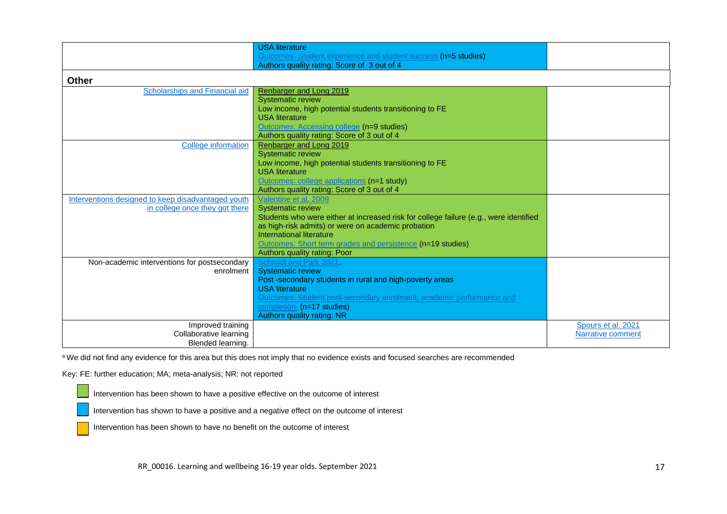|                                                    | <b>USA</b> literature                                                                 |                    |
|----------------------------------------------------|---------------------------------------------------------------------------------------|--------------------|
|                                                    | Outcomes: Student experience and student success (n=5 studies)                        |                    |
|                                                    | Authors quality rating: Score of 3 out of 4                                           |                    |
| <b>Other</b>                                       |                                                                                       |                    |
|                                                    |                                                                                       |                    |
| Scholarships and Financial aid                     | Renbarger and Long 2019                                                               |                    |
|                                                    | <b>Systematic review</b>                                                              |                    |
|                                                    | Low income, high potential students transitioning to FE<br><b>USA</b> literature      |                    |
|                                                    | Outcomes: Accessing college (n=9 studies)                                             |                    |
|                                                    | Authors quality rating: Score of 3 out of 4                                           |                    |
| <b>College information</b>                         | Renbarger and Long 2019                                                               |                    |
|                                                    | <b>Systematic review</b>                                                              |                    |
|                                                    | Low income, high potential students transitioning to FE                               |                    |
|                                                    | <b>USA</b> literature                                                                 |                    |
|                                                    | Outcomes: college applications (n=1 study)                                            |                    |
|                                                    | Authors quality rating: Score of 3 out of 4                                           |                    |
| Interventions designed to keep disadvantaged youth | Valentine et al. 2009                                                                 |                    |
| in college once they got there                     | <b>Systematic review</b>                                                              |                    |
|                                                    | Students who were either at increased risk for college failure (e.g., were identified |                    |
|                                                    | as high-risk admits) or were on academic probation                                    |                    |
|                                                    | International literature                                                              |                    |
|                                                    | Outcomes: Short term grades and persistence (n=19 studies)                            |                    |
|                                                    | Authors quality rating: Poor                                                          |                    |
| Non-academic interventions for postsecondary       | Schmidt and Park 2021.                                                                |                    |
| enrolment                                          | <b>Systematic review</b>                                                              |                    |
|                                                    | Post-secondary students in rural and high-poverty areas                               |                    |
|                                                    | <b>USA</b> literature                                                                 |                    |
|                                                    | Outcomes: Student post-secondary enrolment, academic performance and                  |                    |
|                                                    | completion. (n=17 studies)                                                            |                    |
|                                                    | Authors quality rating: NR                                                            |                    |
| Improved training                                  |                                                                                       | Spours et al. 2021 |
| Collaborative learning                             |                                                                                       | Narrative comment  |
| Blended learning.                                  |                                                                                       |                    |

a We did not find any evidence for this area but this does not imply that no evidence exists and focused searches are recommended

Key: FE: further education; MA; meta-analysis; NR: not reported

Intervention has been shown to have a positive effective on the outcome of interest

Intervention has shown to have a positive and a negative effect on the outcome of interest

Intervention has been shown to have no benefit on the outcome of interest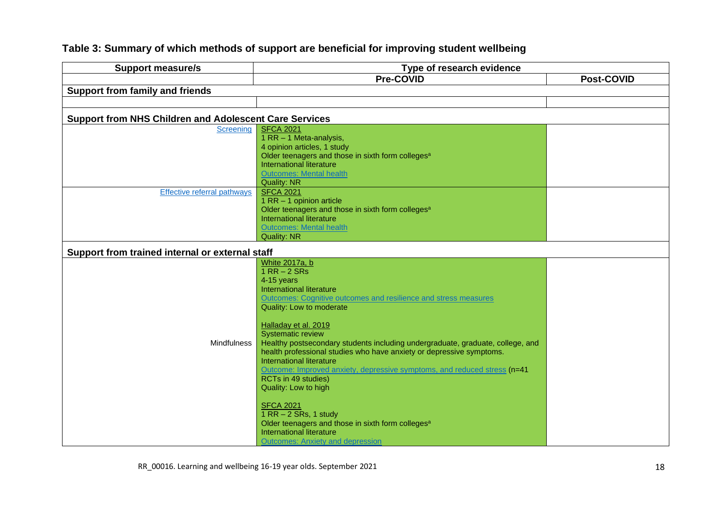#### **Support measure/s Type of research evidence Pre-COVID Post-COVID Support from family and friends Support from NHS Children and Adolescent Care Services** [Screening](#page-51-0) [SFCA 2021](https://sfcawebsite.s3.amazonaws.com/uploads/document/SFCA-Mental-health-in-colleges-evidence-review-Updated.pdf?t=1615373296) 1 RR – 1 Meta-analysis, 4 opinion articles, 1 study Older teenagers and those in sixth form colleges<sup>a</sup> International literature [Outcomes: Mental health](#page-51-1) Quality: NR [Effective referral pathways](#page-51-2)  $\overline{\phantom{a}}$  [SFCA 2021](https://sfcawebsite.s3.amazonaws.com/uploads/document/SFCA-Mental-health-in-colleges-evidence-review-Updated.pdf?t=1615373296) 1 RR – 1 opinion article Older teenagers and those in sixth form colleges<sup>a</sup> International literature [Outcomes: Mental health](#page-51-1) Quality: NR **Support from trained internal or external staff**  Mindfulness [White 2017a, b](http://www.healthscotland.scot/media/1735/evidence-summary-reducing-the-attainment-gap-the-role-of-health-and-wellbeing-interventions-in-schools.pdf) 1 RR – 2 SRs 4-15 years International literature [Outcomes: Cognitive outcomes and resilience and stress measures](#page-51-3) Quality: Low to moderate [Halladay et al. 2019](https://link.springer.com/article/10.1007/s12671-018-0979-z) Systematic review Healthy postsecondary students including undergraduate, graduate, college, and health professional studies who have anxiety or depressive symptoms. International literature [Outcome: Improved anxiety, depressive symptoms, and reduced stress](#page-38-0) (n=41 RCTs in 49 studies) Quality: Low to high [SFCA 2021](https://sfcawebsite.s3.amazonaws.com/uploads/document/SFCA-Mental-health-in-colleges-evidence-review-Updated.pdf?t=1615373296) 1 RR – 2 SRs, 1 study Older teenagers and those in sixth form colleges<sup>a</sup> International literature [Outcomes: Anxiety and depression](#page-51-1)

#### **Table 3: Summary of which methods of support are beneficial for improving student wellbeing**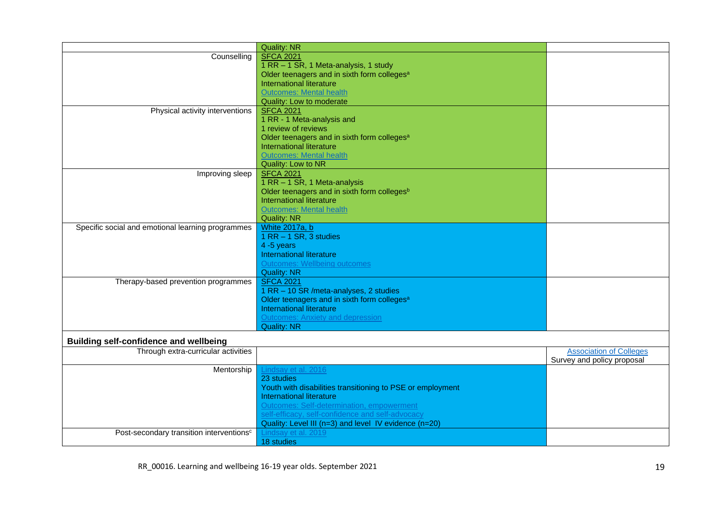|                                                      | <b>Quality: NR</b>                                         |                                |
|------------------------------------------------------|------------------------------------------------------------|--------------------------------|
| Counselling                                          | <b>SFCA 2021</b>                                           |                                |
|                                                      | 1 RR - 1 SR, 1 Meta-analysis, 1 study                      |                                |
|                                                      | Older teenagers and in sixth form colleges <sup>a</sup>    |                                |
|                                                      | International literature                                   |                                |
|                                                      | <b>Outcomes: Mental health</b>                             |                                |
|                                                      | Quality: Low to moderate                                   |                                |
| Physical activity interventions                      | <b>SFCA 2021</b>                                           |                                |
|                                                      | 1 RR - 1 Meta-analysis and                                 |                                |
|                                                      | 1 review of reviews                                        |                                |
|                                                      | Older teenagers and in sixth form colleges <sup>a</sup>    |                                |
|                                                      | International literature                                   |                                |
|                                                      | <b>Outcomes: Mental health</b>                             |                                |
|                                                      | Quality: Low to NR                                         |                                |
| Improving sleep                                      | <b>SFCA 2021</b>                                           |                                |
|                                                      | 1 RR - 1 SR, 1 Meta-analysis                               |                                |
|                                                      | Older teenagers and in sixth form colleges <sup>b</sup>    |                                |
|                                                      | International literature                                   |                                |
|                                                      | <b>Outcomes: Mental health</b>                             |                                |
|                                                      | <b>Quality: NR</b>                                         |                                |
| Specific social and emotional learning programmes    | <b>White 2017a, b</b>                                      |                                |
|                                                      | 1 RR - 1 SR, 3 studies                                     |                                |
|                                                      | 4 -5 years                                                 |                                |
|                                                      | International literature                                   |                                |
|                                                      | <b>Outcomes: Wellbeing outcomes</b>                        |                                |
|                                                      | <b>Quality: NR</b>                                         |                                |
| Therapy-based prevention programmes                  | <b>SFCA 2021</b>                                           |                                |
|                                                      | 1 RR - 10 SR / meta-analyses, 2 studies                    |                                |
|                                                      | Older teenagers and in sixth form colleges <sup>a</sup>    |                                |
|                                                      | International literature                                   |                                |
|                                                      | <b>Outcomes: Anxiety and depression</b>                    |                                |
|                                                      | <b>Quality: NR</b>                                         |                                |
| <b>Building self-confidence and wellbeing</b>        |                                                            |                                |
| Through extra-curricular activities                  |                                                            | <b>Association of Colleges</b> |
|                                                      |                                                            | Survey and policy proposal     |
| Mentorship                                           | Lindsay et al. 2016                                        |                                |
|                                                      | 23 studies                                                 |                                |
|                                                      | Youth with disabilities transitioning to PSE or employment |                                |
|                                                      | International literature                                   |                                |
|                                                      | Outcomes: Self-determination, empowerment                  |                                |
|                                                      | self-efficacy, self-confidence and self-advocacy           |                                |
|                                                      | Quality: Level III (n=3) and level IV evidence (n=20)      |                                |
| Post-secondary transition interventions <sup>c</sup> | Lindsay et al. 2019                                        |                                |
|                                                      | 18 studies                                                 |                                |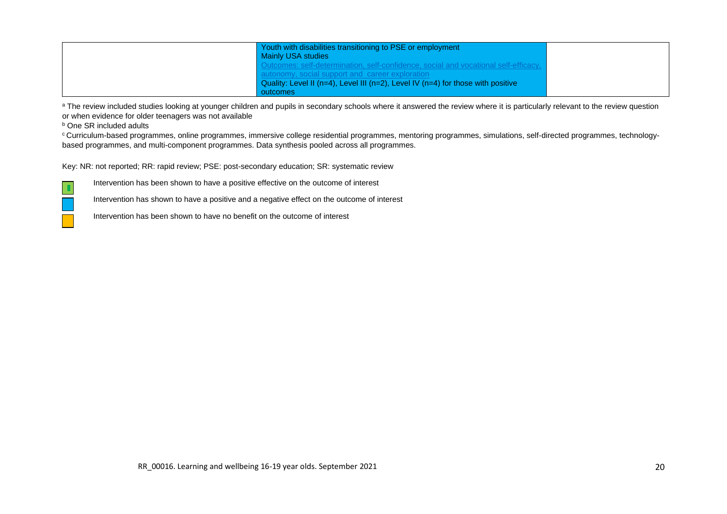| Youth with disabilities transitioning to PSE or employment                                   |  |
|----------------------------------------------------------------------------------------------|--|
| Mainly USA studies                                                                           |  |
| utcomes: self-determination, self-confidence, social and vocational self-efficacy,           |  |
| onomy, social support and career exploration                                                 |  |
| Quality: Level II ( $n=4$ ), Level III ( $n=2$ ), Level IV ( $n=4$ ) for those with positive |  |
| outcomes                                                                                     |  |

a The review included studies looking at younger children and pupils in secondary schools where it answered the review where it is particularly relevant to the review question or when evidence for older teenagers was not available

**b** One SR included adults

 $\blacksquare$ 

<sup>c</sup> Curriculum-based programmes, online programmes, immersive college residential programmes, mentoring programmes, simulations, self-directed programmes, technologybased programmes, and multi-component programmes. Data synthesis pooled across all programmes.

Key: NR: not reported; RR: rapid review; PSE: post-secondary education; SR: systematic review

Intervention has been shown to have a positive effective on the outcome of interest

Intervention has shown to have a positive and a negative effect on the outcome of interest

Intervention has been shown to have no benefit on the outcome of interest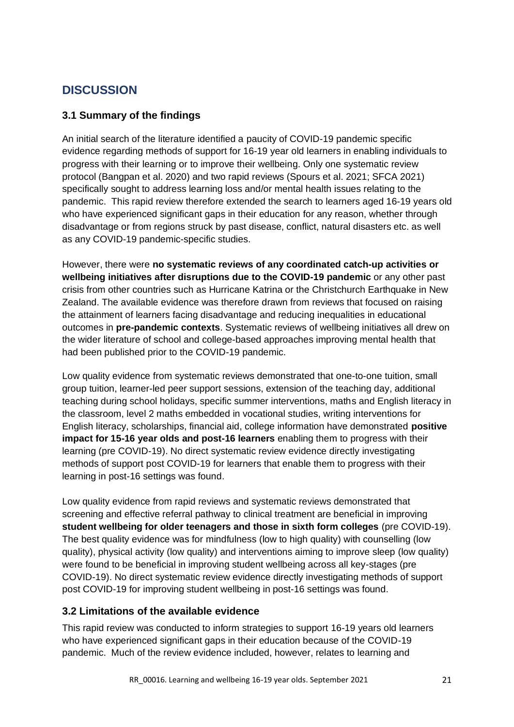## <span id="page-20-0"></span>**DISCUSSION**

### <span id="page-20-1"></span>**3.1 Summary of the findings**

An initial search of the literature identified a paucity of COVID-19 pandemic specific evidence regarding methods of support for 16-19 year old learners in enabling individuals to progress with their learning or to improve their wellbeing. Only one systematic review protocol (Bangpan et al. 2020) and two rapid reviews (Spours et al. 2021; SFCA 2021) specifically sought to address learning loss and/or mental health issues relating to the pandemic. This rapid review therefore extended the search to learners aged 16-19 years old who have experienced significant gaps in their education for any reason, whether through disadvantage or from regions struck by past disease, conflict, natural disasters etc. as well as any COVID-19 pandemic-specific studies.

However, there were **no systematic reviews of any coordinated catch-up activities or wellbeing initiatives after disruptions due to the COVID-19 pandemic** or any other past crisis from other countries such as Hurricane Katrina or the Christchurch Earthquake in New Zealand. The available evidence was therefore drawn from reviews that focused on raising the attainment of learners facing disadvantage and reducing inequalities in educational outcomes in **pre-pandemic contexts**. Systematic reviews of wellbeing initiatives all drew on the wider literature of school and college-based approaches improving mental health that had been published prior to the COVID-19 pandemic.

Low quality evidence from systematic reviews demonstrated that one-to-one tuition, small group tuition, learner-led peer support sessions, extension of the teaching day, additional teaching during school holidays, specific summer interventions, maths and English literacy in the classroom, level 2 maths embedded in vocational studies, writing interventions for English literacy, scholarships, financial aid, college information have demonstrated **positive impact for 15-16 year olds and post-16 learners** enabling them to progress with their learning (pre COVID-19). No direct systematic review evidence directly investigating methods of support post COVID-19 for learners that enable them to progress with their learning in post-16 settings was found.

Low quality evidence from rapid reviews and systematic reviews demonstrated that screening and effective referral pathway to clinical treatment are beneficial in improving **student wellbeing for older teenagers and those in sixth form colleges** (pre COVID-19). The best quality evidence was for mindfulness (low to high quality) with counselling (low quality), physical activity (low quality) and interventions aiming to improve sleep (low quality) were found to be beneficial in improving student wellbeing across all key-stages (pre COVID-19). No direct systematic review evidence directly investigating methods of support post COVID-19 for improving student wellbeing in post-16 settings was found.

#### <span id="page-20-2"></span>**3.2 Limitations of the available evidence**

This rapid review was conducted to inform strategies to support 16-19 years old learners who have experienced significant gaps in their education because of the COVID-19 pandemic. Much of the review evidence included, however, relates to learning and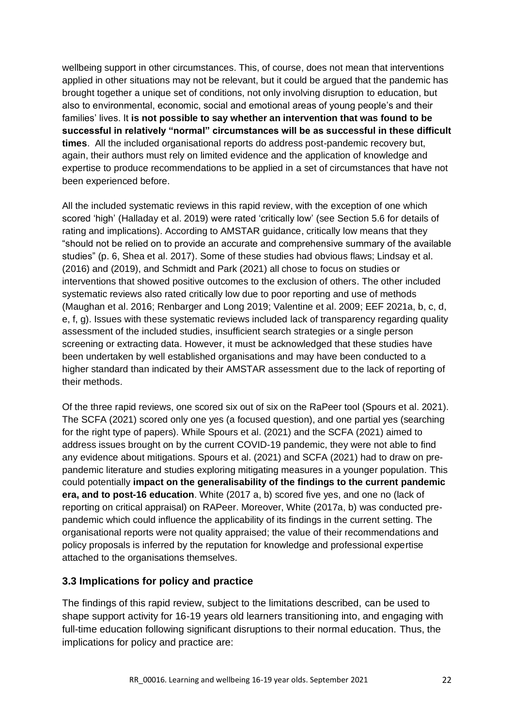wellbeing support in other circumstances. This, of course, does not mean that interventions applied in other situations may not be relevant, but it could be argued that the pandemic has brought together a unique set of conditions, not only involving disruption to education, but also to environmental, economic, social and emotional areas of young people's and their families' lives. It **is not possible to say whether an intervention that was found to be successful in relatively "normal" circumstances will be as successful in these difficult times**. All the included organisational reports do address post-pandemic recovery but, again, their authors must rely on limited evidence and the application of knowledge and expertise to produce recommendations to be applied in a set of circumstances that have not been experienced before.

All the included systematic reviews in this rapid review, with the exception of one which scored 'high' (Halladay et al. 2019) were rated 'critically low' (see Section 5.6 for details of rating and implications). According to AMSTAR guidance, critically low means that they "should not be relied on to provide an accurate and comprehensive summary of the available studies" (p. 6, Shea et al. 2017). Some of these studies had obvious flaws; Lindsay et al. (2016) and (2019), and Schmidt and Park (2021) all chose to focus on studies or interventions that showed positive outcomes to the exclusion of others. The other included systematic reviews also rated critically low due to poor reporting and use of methods (Maughan et al. 2016; Renbarger and Long 2019; Valentine et al. 2009; EEF 2021a, b, c, d, e, f, g). Issues with these systematic reviews included lack of transparency regarding quality assessment of the included studies, insufficient search strategies or a single person screening or extracting data. However, it must be acknowledged that these studies have been undertaken by well established organisations and may have been conducted to a higher standard than indicated by their AMSTAR assessment due to the lack of reporting of their methods.

Of the three rapid reviews, one scored six out of six on the RaPeer tool (Spours et al. 2021). The SCFA (2021) scored only one yes (a focused question), and one partial yes (searching for the right type of papers). While Spours et al. (2021) and the SCFA (2021) aimed to address issues brought on by the current COVID-19 pandemic, they were not able to find any evidence about mitigations. Spours et al. (2021) and SCFA (2021) had to draw on prepandemic literature and studies exploring mitigating measures in a younger population. This could potentially **impact on the generalisability of the findings to the current pandemic era, and to post-16 education**. White (2017 a, b) scored five yes, and one no (lack of reporting on critical appraisal) on RAPeer. Moreover, White (2017a, b) was conducted prepandemic which could influence the applicability of its findings in the current setting. The organisational reports were not quality appraised; the value of their recommendations and policy proposals is inferred by the reputation for knowledge and professional expertise attached to the organisations themselves.

## <span id="page-21-0"></span>**3.3 Implications for policy and practice**

The findings of this rapid review, subject to the limitations described, can be used to shape support activity for 16-19 years old learners transitioning into, and engaging with full-time education following significant disruptions to their normal education. Thus, the implications for policy and practice are: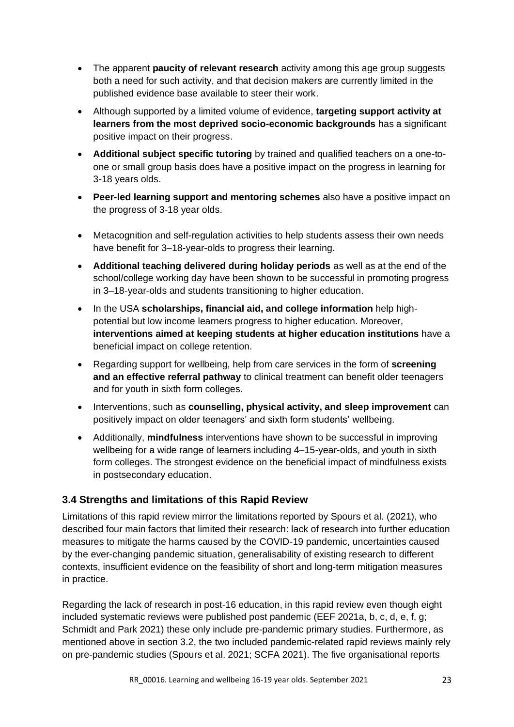- The apparent **paucity of relevant research** activity among this age group suggests both a need for such activity, and that decision makers are currently limited in the published evidence base available to steer their work.
- Although supported by a limited volume of evidence, **targeting support activity at learners from the most deprived socio-economic backgrounds** has a significant positive impact on their progress.
- **Additional subject specific tutoring** by trained and qualified teachers on a one-toone or small group basis does have a positive impact on the progress in learning for 3-18 years olds.
- **Peer-led learning support and mentoring schemes** also have a positive impact on the progress of 3-18 year olds.
- Metacognition and self-regulation activities to help students assess their own needs have benefit for 3–18-year-olds to progress their learning.
- **Additional teaching delivered during holiday periods** as well as at the end of the school/college working day have been shown to be successful in promoting progress in 3–18-year-olds and students transitioning to higher education.
- In the USA **scholarships, financial aid, and college information** help highpotential but low income learners progress to higher education. Moreover, **interventions aimed at keeping students at higher education institutions** have a beneficial impact on college retention.
- Regarding support for wellbeing, help from care services in the form of **screening and an effective referral pathway** to clinical treatment can benefit older teenagers and for youth in sixth form colleges.
- Interventions, such as **counselling, physical activity, and sleep improvement** can positively impact on older teenagers' and sixth form students' wellbeing.
- Additionally, **mindfulness** interventions have shown to be successful in improving wellbeing for a wide range of learners including 4–15-year-olds, and youth in sixth form colleges. The strongest evidence on the beneficial impact of mindfulness exists in postsecondary education.

## <span id="page-22-0"></span>**3.4 Strengths and limitations of this Rapid Review**

Limitations of this rapid review mirror the limitations reported by Spours et al. (2021), who described four main factors that limited their research: lack of research into further education measures to mitigate the harms caused by the COVID-19 pandemic, uncertainties caused by the ever-changing pandemic situation, generalisability of existing research to different contexts, insufficient evidence on the feasibility of short and long-term mitigation measures in practice.

Regarding the lack of research in post-16 education, in this rapid review even though eight included systematic reviews were published post pandemic (EEF 2021a, b, c, d, e, f, g; Schmidt and Park 2021) these only include pre-pandemic primary studies. Furthermore, as mentioned above in section 3.2, the two included pandemic-related rapid reviews mainly rely on pre-pandemic studies (Spours et al. 2021; SCFA 2021). The five organisational reports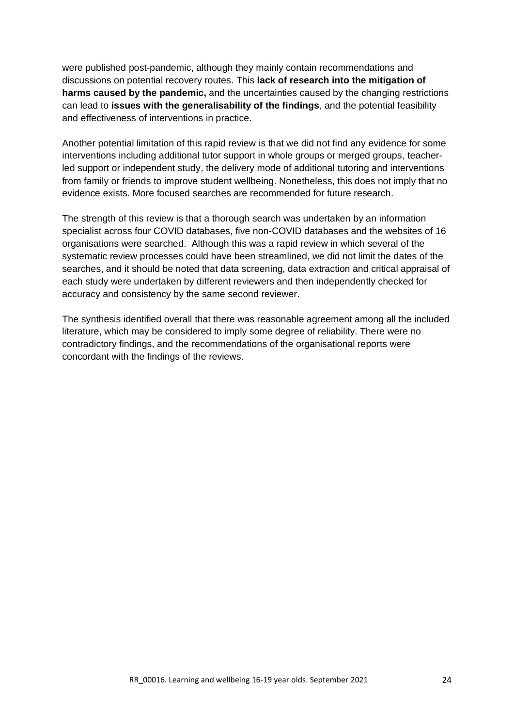were published post-pandemic, although they mainly contain recommendations and discussions on potential recovery routes. This **lack of research into the mitigation of harms caused by the pandemic,** and the uncertainties caused by the changing restrictions can lead to **issues with the generalisability of the findings**, and the potential feasibility and effectiveness of interventions in practice.

Another potential limitation of this rapid review is that we did not find any evidence for some interventions including additional tutor support in whole groups or merged groups, teacherled support or independent study, the delivery mode of additional tutoring and interventions from family or friends to improve student wellbeing. Nonetheless, this does not imply that no evidence exists. More focused searches are recommended for future research.

The strength of this review is that a thorough search was undertaken by an information specialist across four COVID databases, five non-COVID databases and the websites of 16 organisations were searched. Although this was a rapid review in which several of the systematic review processes could have been streamlined, we did not limit the dates of the searches, and it should be noted that data screening, data extraction and critical appraisal of each study were undertaken by different reviewers and then independently checked for accuracy and consistency by the same second reviewer.

The synthesis identified overall that there was reasonable agreement among all the included literature, which may be considered to imply some degree of reliability. There were no contradictory findings, and the recommendations of the organisational reports were concordant with the findings of the reviews.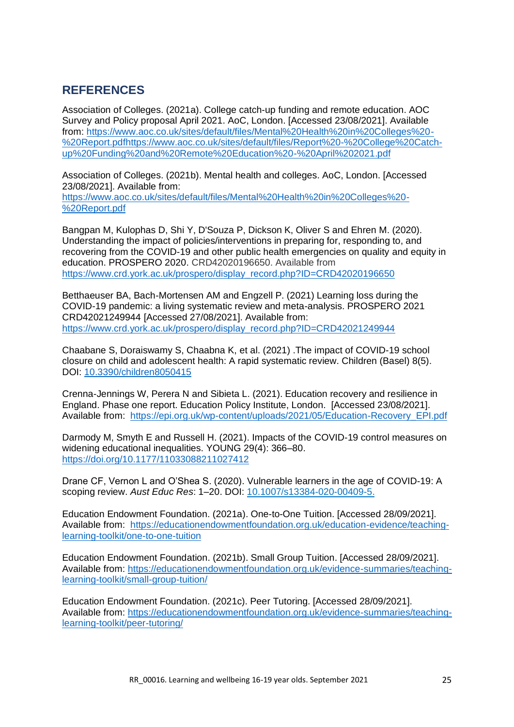## <span id="page-24-0"></span>**REFERENCES**

Association of Colleges. (2021a). College catch-up funding and remote education. AOC Survey and Policy proposal April 2021. AoC, London. [Accessed 23/08/2021]. Available from: [https://www.aoc.co.uk/sites/default/files/Mental%20Health%20in%20Colleges%20-](https://www.aoc.co.uk/sites/default/files/Mental%20Health%20in%20Colleges%20-%20Report.pdf) [%20Report.pdf](https://www.aoc.co.uk/sites/default/files/Mental%20Health%20in%20Colleges%20-%20Report.pdf)[https://www.aoc.co.uk/sites/default/files/Report%20-%20College%20Catch](https://www.aoc.co.uk/sites/default/files/Report%20-%20College%20Catch-up%20Funding%20and%20Remote%20Education%20-%20April%202021.pdf)[up%20Funding%20and%20Remote%20Education%20-%20April%202021.pdf](https://www.aoc.co.uk/sites/default/files/Report%20-%20College%20Catch-up%20Funding%20and%20Remote%20Education%20-%20April%202021.pdf)

Association of Colleges. (2021b). Mental health and colleges. AoC, London. [Accessed 23/08/2021]. Available from:

[https://www.aoc.co.uk/sites/default/files/Mental%20Health%20in%20Colleges%20-](https://www.aoc.co.uk/sites/default/files/Mental%20Health%20in%20Colleges%20-%20Report.pdf) [%20Report.pdf](https://www.aoc.co.uk/sites/default/files/Mental%20Health%20in%20Colleges%20-%20Report.pdf)

Bangpan M, Kulophas D, Shi Y, D'Souza P, Dickson K, Oliver S and Ehren M. (2020). Understanding the impact of policies/interventions in preparing for, responding to, and recovering from the COVID-19 and other public health emergencies on quality and equity in education. PROSPERO 2020. CRD42020196650. Available from [https://www.crd.york.ac.uk/prospero/display\\_record.php?ID=CRD42020196650](https://www.crd.york.ac.uk/prospero/display_record.php?ID=CRD42020196650)

Betthaeuser BA, Bach-Mortensen AM and Engzell P. (2021) Learning loss during the COVID-19 pandemic: a living systematic review and meta-analysis. PROSPERO 2021 CRD42021249944 [Accessed 27/08/2021]. Available from: [https://www.crd.york.ac.uk/prospero/display\\_record.php?ID=CRD42021249944](https://www.crd.york.ac.uk/prospero/display_record.php?ID=CRD42021249944)

Chaabane S, Doraiswamy S, Chaabna K, et al. (2021) .The impact of COVID-19 school closure on child and adolescent health: A rapid systematic review. Children (Basel) 8(5). DOI: [10.3390/children8050415](https://cf-my.sharepoint.com/personal/edwardsdj_cardiff_ac_uk/Documents/My%20work/WC19_EC_Review%202_Education/Rapid%20Review%20of%20reviews/Final%20report/10.3390/children8050415)

Crenna-Jennings W, Perera N and Sibieta L. (2021). Education recovery and resilience in England. Phase one report. Education Policy Institute, London. [Accessed 23/08/2021]. Available from: [https://epi.org.uk/wp-content/uploads/2021/05/Education-Recovery\\_EPI.pdf](https://epi.org.uk/wp-content/uploads/2021/05/Education-Recovery_EPI.pdf)

Darmody M, Smyth E and Russell H. (2021). Impacts of the COVID-19 control measures on widening educational inequalities. YOUNG 29(4): 366–80. <https://doi.org/10.1177/11033088211027412>

Drane CF, Vernon L and O'Shea S. (2020). Vulnerable learners in the age of COVID-19: A scoping review. *Aust Educ Res*: 1–20. DOI: [10.1007/s13384-020-00409-5.](https://cf-my.sharepoint.com/personal/edwardsdj_cardiff_ac_uk/Documents/My%20work/WC19_EC_Review%202_Education/10.1007/s13384-020-00409-5.)

Education Endowment Foundation. (2021a). One-to-One Tuition. [Accessed 28/09/2021]. Available from: [https://educationendowmentfoundation.org.uk/education-evidence/teaching](https://educationendowmentfoundation.org.uk/education-evidence/teaching-learning-toolkit/one-to-one-tuition)[learning-toolkit/one-to-one-tuition](https://educationendowmentfoundation.org.uk/education-evidence/teaching-learning-toolkit/one-to-one-tuition)

Education Endowment Foundation. (2021b). Small Group Tuition. [Accessed 28/09/2021]. Available from: [https://educationendowmentfoundation.org.uk/evidence-summaries/teaching](https://educationendowmentfoundation.org.uk/evidence-summaries/teaching-learning-toolkit/small-group-tuition/)[learning-toolkit/small-group-tuition/](https://educationendowmentfoundation.org.uk/evidence-summaries/teaching-learning-toolkit/small-group-tuition/)

Education Endowment Foundation. (2021c). Peer Tutoring. [Accessed 28/09/2021]. Available from: [https://educationendowmentfoundation.org.uk/evidence-summaries/teaching](https://educationendowmentfoundation.org.uk/evidence-summaries/teaching-learning-toolkit/peer-tutoring/)[learning-toolkit/peer-tutoring/](https://educationendowmentfoundation.org.uk/evidence-summaries/teaching-learning-toolkit/peer-tutoring/)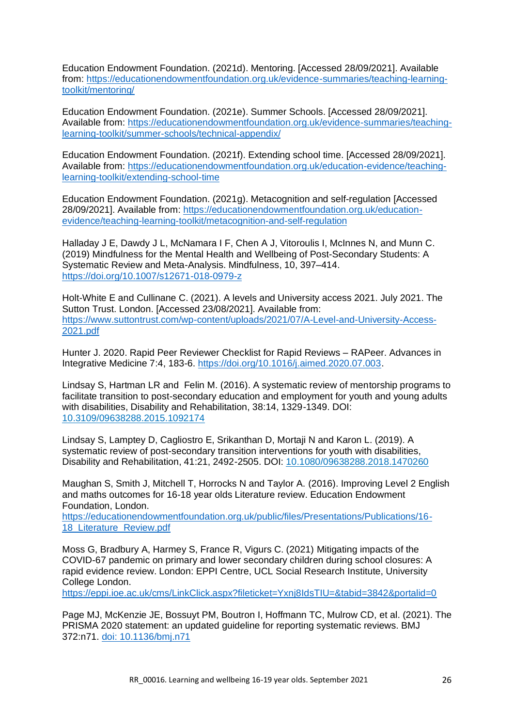Education Endowment Foundation. (2021d). Mentoring. [Accessed 28/09/2021]. Available from: [https://educationendowmentfoundation.org.uk/evidence-summaries/teaching-learning](https://educationendowmentfoundation.org.uk/evidence-summaries/teaching-learning-toolkit/mentoring/)[toolkit/mentoring/](https://educationendowmentfoundation.org.uk/evidence-summaries/teaching-learning-toolkit/mentoring/)

Education Endowment Foundation. (2021e). Summer Schools. [Accessed 28/09/2021]. Available from: [https://educationendowmentfoundation.org.uk/evidence-summaries/teaching](https://educationendowmentfoundation.org.uk/evidence-summaries/teaching-learning-toolkit/summer-schools/technical-appendix/)[learning-toolkit/summer-schools/technical-appendix/](https://educationendowmentfoundation.org.uk/evidence-summaries/teaching-learning-toolkit/summer-schools/technical-appendix/)

Education Endowment Foundation. (2021f). Extending school time. [Accessed 28/09/2021]. Available from: [https://educationendowmentfoundation.org.uk/education-evidence/teaching](https://educationendowmentfoundation.org.uk/education-evidence/teaching-learning-toolkit/extending-school-time)[learning-toolkit/extending-school-time](https://educationendowmentfoundation.org.uk/education-evidence/teaching-learning-toolkit/extending-school-time)

Education Endowment Foundation. (2021g). Metacognition and self-regulation [Accessed 28/09/2021]. Available from: [https://educationendowmentfoundation.org.uk/education](https://educationendowmentfoundation.org.uk/education-evidence/teaching-learning-toolkit/metacognition-and-self-regulation)[evidence/teaching-learning-toolkit/metacognition-and-self-regulation](https://educationendowmentfoundation.org.uk/education-evidence/teaching-learning-toolkit/metacognition-and-self-regulation)

Halladay J E, Dawdy J L, McNamara I F, Chen A J, Vitoroulis I, McInnes N, and Munn C. (2019) Mindfulness for the Mental Health and Wellbeing of Post-Secondary Students: A Systematic Review and Meta-Analysis. Mindfulness, 10, 397–414. <https://doi.org/10.1007/s12671-018-0979-z>

Holt-White E and Cullinane C. (2021). A levels and University access 2021. July 2021. The Sutton Trust. London. [Accessed 23/08/2021]. Available from: [https://www.suttontrust.com/wp-content/uploads/2021/07/A-Level-and-University-Access-](https://www.suttontrust.com/wp-content/uploads/2021/07/A-Level-and-University-Access-2021.pdf)[2021.pdf](https://www.suttontrust.com/wp-content/uploads/2021/07/A-Level-and-University-Access-2021.pdf)

Hunter J. 2020. Rapid Peer Reviewer Checklist for Rapid Reviews – RAPeer. Advances in Integrative Medicine 7:4, 183-6. [https://doi.org/10.1016/j.aimed.2020.07.003.](https://doi.org/10.1016/j.aimed.2020.07.003)

Lindsay S, Hartman LR and Felin M. (2016). A systematic review of mentorship programs to facilitate transition to post-secondary education and employment for youth and young adults with disabilities, Disability and Rehabilitation, 38:14, 1329-1349. DOI: [10.3109/09638288.2015.1092174](https://doi.org/10.3109/09638288.2015.1092174)

Lindsay S, Lamptey D, Cagliostro E, Srikanthan D, Mortaji N and Karon L. (2019). A systematic review of post-secondary transition interventions for youth with disabilities, Disability and Rehabilitation, 41:21, 2492-2505. DOI: [10.1080/09638288.2018.1470260](https://doi.org/10.1080/09638288.2018.1470260)

Maughan S, Smith J, Mitchell T, Horrocks N and Taylor A. (2016). Improving Level 2 English and maths outcomes for 16-18 year olds Literature review. Education Endowment Foundation, London.

[https://educationendowmentfoundation.org.uk/public/files/Presentations/Publications/16-](https://educationendowmentfoundation.org.uk/public/files/Presentations/Publications/16-18_Literature_Review.pdf) 18<sup>Literature Review.pdf</sup>

Moss G, Bradbury A, Harmey S, France R, Vigurs C. (2021) Mitigating impacts of the COVID-67 pandemic on primary and lower secondary children during school closures: A rapid evidence review. London: EPPI Centre, UCL Social Research Institute, University College London.

https://eppi.ioe.ac.uk/cms/LinkClick.aspx?fileticket=Yxnj8IdsTIU=&tabid=3842&portalid=0

Page MJ, McKenzie JE, Bossuyt PM, Boutron I, Hoffmann TC, Mulrow CD, et al. (2021). The PRISMA 2020 statement: an updated guideline for reporting systematic reviews. BMJ 372:n71. [doi: 10.1136/bmj.n71](doi:%2010.1136/bmj.n71)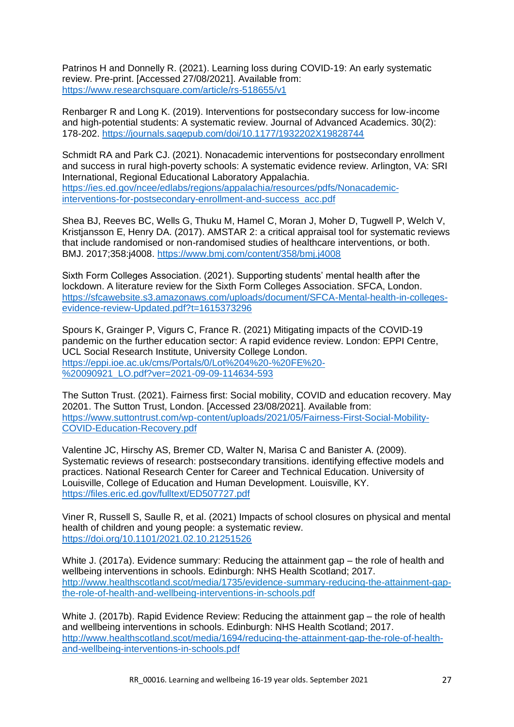Patrinos H and Donnelly R. (2021). Learning loss during COVID-19: An early systematic review. Pre-print. [Accessed 27/08/2021]. Available from: <https://www.researchsquare.com/article/rs-518655/v1>

Renbarger R and Long K. (2019). Interventions for postsecondary success for low-income and high-potential students: A systematic review. Journal of Advanced Academics. 30(2): 178-202.<https://journals.sagepub.com/doi/10.1177/1932202X19828744>

Schmidt RA and Park CJ. (2021). Nonacademic interventions for postsecondary enrollment and success in rural high-poverty schools: A systematic evidence review. Arlington, VA: SRI International, Regional Educational Laboratory Appalachia. [https://ies.ed.gov/ncee/edlabs/regions/appalachia/resources/pdfs/Nonacademic](https://ies.ed.gov/ncee/edlabs/regions/appalachia/resources/pdfs/Nonacademic-interventions-for-postsecondary-enrollment-and-success_acc.pdf)[interventions-for-postsecondary-enrollment-and-success\\_acc.pdf](https://ies.ed.gov/ncee/edlabs/regions/appalachia/resources/pdfs/Nonacademic-interventions-for-postsecondary-enrollment-and-success_acc.pdf)

Shea BJ, Reeves BC, Wells G, Thuku M, Hamel C, Moran J, Moher D, Tugwell P, Welch V, Kristjansson E, Henry DA. (2017). AMSTAR 2: a critical appraisal tool for systematic reviews that include randomised or non-randomised studies of healthcare interventions, or both. BMJ. 2017;358:j4008. <https://www.bmj.com/content/358/bmj.j4008>

Sixth Form Colleges Association. (2021). Supporting students' mental health after the lockdown. A literature review for the Sixth Form Colleges Association. SFCA, London. [https://sfcawebsite.s3.amazonaws.com/uploads/document/SFCA-Mental-health-in-colleges](https://sfcawebsite.s3.amazonaws.com/uploads/document/SFCA-Mental-health-in-colleges-evidence-review-Updated.pdf?t=1615373296)[evidence-review-Updated.pdf?t=1615373296](https://sfcawebsite.s3.amazonaws.com/uploads/document/SFCA-Mental-health-in-colleges-evidence-review-Updated.pdf?t=1615373296)

Spours K, Grainger P, Vigurs C, France R. (2021) Mitigating impacts of the COVID-19 pandemic on the further education sector: A rapid evidence review. London: EPPI Centre, UCL Social Research Institute, University College London. [https://eppi.ioe.ac.uk/cms/Portals/0/Lot%204%20-%20FE%20-](https://eppi.ioe.ac.uk/cms/Portals/0/Lot%204%20-%20FE%20-%20090921_LO.pdf?ver=2021-09-09-114634-593) [%20090921\\_LO.pdf?ver=2021-09-09-114634-593](https://eppi.ioe.ac.uk/cms/Portals/0/Lot%204%20-%20FE%20-%20090921_LO.pdf?ver=2021-09-09-114634-593)

The Sutton Trust. (2021). Fairness first: Social mobility, COVID and education recovery. May 20201. The Sutton Trust, London. [Accessed 23/08/2021]. Available from: [https://www.suttontrust.com/wp-content/uploads/2021/05/Fairness-First-Social-Mobility-](https://www.suttontrust.com/wp-content/uploads/2021/05/Fairness-First-Social-Mobility-Covid-Education-Recovery.pdf)[COVID-Education-Recovery.pdf](https://www.suttontrust.com/wp-content/uploads/2021/05/Fairness-First-Social-Mobility-Covid-Education-Recovery.pdf)

Valentine JC, Hirschy AS, Bremer CD, Walter N, Marisa C and Banister A. (2009). Systematic reviews of research: postsecondary transitions. identifying effective models and practices. National Research Center for Career and Technical Education. University of Louisville, College of Education and Human Development. Louisville, KY. <https://files.eric.ed.gov/fulltext/ED507727.pdf>

Viner R, Russell S, Saulle R, et al. (2021) Impacts of school closures on physical and mental health of children and young people: a systematic review. <https://doi.org/10.1101/2021.02.10.21251526>

White J. (2017a). Evidence summary: Reducing the attainment gap – the role of health and wellbeing interventions in schools. Edinburgh: NHS Health Scotland; 2017. [http://www.healthscotland.scot/media/1735/evidence-summary-reducing-the-attainment-gap](http://www.healthscotland.scot/media/1735/evidence-summary-reducing-the-attainment-gap-the-role-of-health-and-wellbeing-interventions-in-schools.pdf)[the-role-of-health-and-wellbeing-interventions-in-schools.pdf](http://www.healthscotland.scot/media/1735/evidence-summary-reducing-the-attainment-gap-the-role-of-health-and-wellbeing-interventions-in-schools.pdf)

White J. (2017b). Rapid Evidence Review: Reducing the attainment gap – the role of health and wellbeing interventions in schools. Edinburgh: NHS Health Scotland; 2017. [http://www.healthscotland.scot/media/1694/reducing-the-attainment-gap-the-role-of-health](https://eur03.safelinks.protection.outlook.com/?url=http%3A%2F%2Fwww.healthscotland.scot%2Fmedia%2F1694%2Freducing-the-attainment-gap-the-role-of-health-and-wellbeing-interventions-in-schools.pdf&data=04%7C01%7CEdwardsDJ%40cardiff.ac.uk%7Cbb60e68a57c04455347908d971581232%7Cbdb74b3095684856bdbf06759778fcbc%7C1%7C0%7C637665445469602887%7CUnknown%7CTWFpbGZsb3d8eyJWIjoiMC4wLjAwMDAiLCJQIjoiV2luMzIiLCJBTiI6Ik1haWwiLCJXVCI6Mn0%3D%7C1000&sdata=FZ7S6mjAxg5BZaOArkecsXainhXN7TgQES%2FS9sccsTk%3D&reserved=0)[and-wellbeing-interventions-in-schools.pdf](https://eur03.safelinks.protection.outlook.com/?url=http%3A%2F%2Fwww.healthscotland.scot%2Fmedia%2F1694%2Freducing-the-attainment-gap-the-role-of-health-and-wellbeing-interventions-in-schools.pdf&data=04%7C01%7CEdwardsDJ%40cardiff.ac.uk%7Cbb60e68a57c04455347908d971581232%7Cbdb74b3095684856bdbf06759778fcbc%7C1%7C0%7C637665445469602887%7CUnknown%7CTWFpbGZsb3d8eyJWIjoiMC4wLjAwMDAiLCJQIjoiV2luMzIiLCJBTiI6Ik1haWwiLCJXVCI6Mn0%3D%7C1000&sdata=FZ7S6mjAxg5BZaOArkecsXainhXN7TgQES%2FS9sccsTk%3D&reserved=0)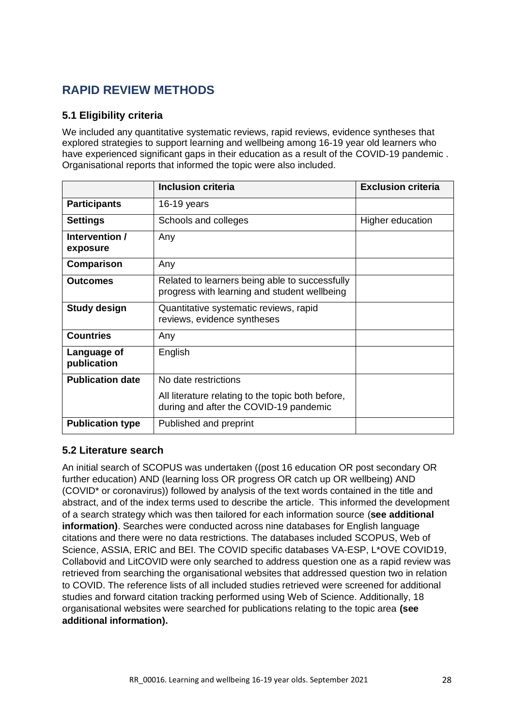## <span id="page-27-0"></span>**RAPID REVIEW METHODS**

### <span id="page-27-1"></span>**5.1 Eligibility criteria**

We included any quantitative systematic reviews, rapid reviews, evidence syntheses that explored strategies to support learning and wellbeing among 16-19 year old learners who have experienced significant gaps in their education as a result of the COVID-19 pandemic . Organisational reports that informed the topic were also included.

|                            | <b>Inclusion criteria</b>                                                                      | <b>Exclusion criteria</b> |
|----------------------------|------------------------------------------------------------------------------------------------|---------------------------|
| <b>Participants</b>        | 16-19 years                                                                                    |                           |
| <b>Settings</b>            | Schools and colleges                                                                           | Higher education          |
| Intervention /<br>exposure | Any                                                                                            |                           |
| Comparison                 | Any                                                                                            |                           |
| <b>Outcomes</b>            | Related to learners being able to successfully<br>progress with learning and student wellbeing |                           |
| <b>Study design</b>        | Quantitative systematic reviews, rapid<br>reviews, evidence syntheses                          |                           |
| <b>Countries</b>           | Any                                                                                            |                           |
| Language of<br>publication | English                                                                                        |                           |
| <b>Publication date</b>    | No date restrictions                                                                           |                           |
|                            | All literature relating to the topic both before,<br>during and after the COVID-19 pandemic    |                           |
| <b>Publication type</b>    | Published and preprint                                                                         |                           |

#### <span id="page-27-2"></span>**5.2 Literature search**

An initial search of SCOPUS was undertaken ((post 16 education OR post secondary OR further education) AND (learning loss OR progress OR catch up OR wellbeing) AND (COVID\* or coronavirus)) followed by analysis of the text words contained in the title and abstract, and of the index terms used to describe the article. This informed the development of a search strategy which was then tailored for each information source (**see additional information)**. Searches were conducted across nine databases for English language citations and there were no data restrictions. The databases included SCOPUS, Web of Science, ASSIA, ERIC and BEI. The COVID specific databases VA-ESP, L\*OVE COVID19, Collabovid and LitCOVID were only searched to address question one as a rapid review was retrieved from searching the organisational websites that addressed question two in relation to COVID. The reference lists of all included studies retrieved were screened for additional studies and forward citation tracking performed using Web of Science. Additionally, 18 organisational websites were searched for publications relating to the topic area **(see additional information).**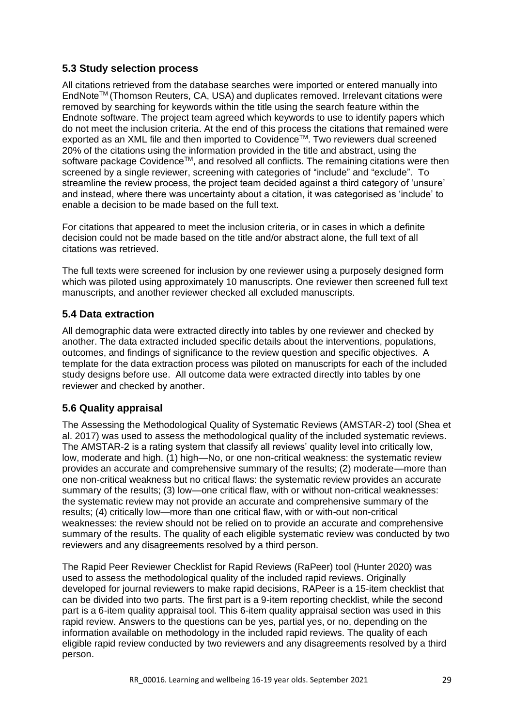### <span id="page-28-0"></span>**5.3 Study selection process**

All citations retrieved from the database searches were imported or entered manually into EndNoteTM (Thomson Reuters, CA, USA) and duplicates removed. Irrelevant citations were removed by searching for keywords within the title using the search feature within the Endnote software. The project team agreed which keywords to use to identify papers which do not meet the inclusion criteria. At the end of this process the citations that remained were exported as an XML file and then imported to Covidence™. Two reviewers dual screened 20% of the citations using the information provided in the title and abstract, using the software package Covidence™, and resolved all conflicts. The remaining citations were then screened by a single reviewer, screening with categories of "include" and "exclude". To streamline the review process, the project team decided against a third category of 'unsure' and instead, where there was uncertainty about a citation, it was categorised as 'include' to enable a decision to be made based on the full text.

For citations that appeared to meet the inclusion criteria, or in cases in which a definite decision could not be made based on the title and/or abstract alone, the full text of all citations was retrieved.

The full texts were screened for inclusion by one reviewer using a purposely designed form which was piloted using approximately 10 manuscripts. One reviewer then screened full text manuscripts, and another reviewer checked all excluded manuscripts.

### <span id="page-28-1"></span>**5.4 Data extraction**

All demographic data were extracted directly into tables by one reviewer and checked by another. The data extracted included specific details about the interventions, populations, outcomes, and findings of significance to the review question and specific objectives. A template for the data extraction process was piloted on manuscripts for each of the included study designs before use. All outcome data were extracted directly into tables by one reviewer and checked by another.

## <span id="page-28-2"></span>**5.6 Quality appraisal**

The Assessing the Methodological Quality of Systematic Reviews (AMSTAR-2) tool (Shea et al. 2017) was used to assess the methodological quality of the included systematic reviews. The AMSTAR-2 is a rating system that classify all reviews' quality level into critically low, low, moderate and high. (1) high—No, or one non-critical weakness: the systematic review provides an accurate and comprehensive summary of the results; (2) moderate—more than one non-critical weakness but no critical flaws: the systematic review provides an accurate summary of the results; (3) low—one critical flaw, with or without non-critical weaknesses: the systematic review may not provide an accurate and comprehensive summary of the results; (4) critically low—more than one critical flaw, with or with-out non-critical weaknesses: the review should not be relied on to provide an accurate and comprehensive summary of the results. The quality of each eligible systematic review was conducted by two reviewers and any disagreements resolved by a third person.

The Rapid Peer Reviewer Checklist for Rapid Reviews (RaPeer) tool (Hunter 2020) was used to assess the methodological quality of the included rapid reviews. Originally developed for journal reviewers to make rapid decisions, RAPeer is a 15-item checklist that can be divided into two parts. The first part is a 9-item reporting checklist, while the second part is a 6-item quality appraisal tool. This 6-item quality appraisal section was used in this rapid review. Answers to the questions can be yes, partial yes, or no, depending on the information available on methodology in the included rapid reviews. The quality of each eligible rapid review conducted by two reviewers and any disagreements resolved by a third person.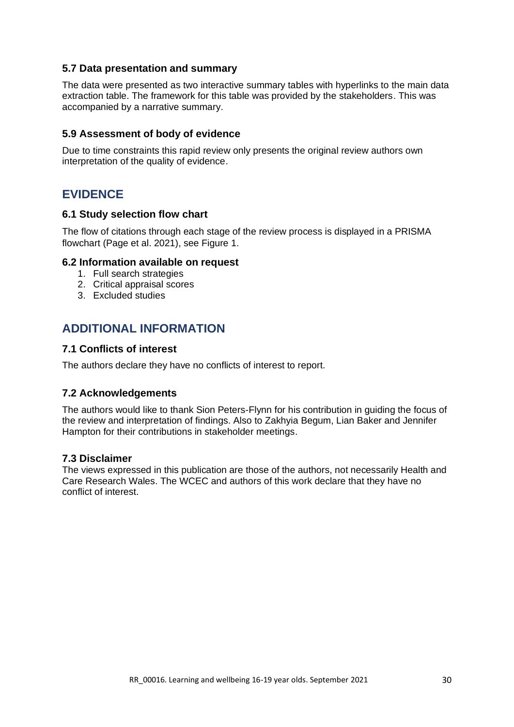#### <span id="page-29-0"></span>**5.7 Data presentation and summary**

The data were presented as two interactive summary tables with hyperlinks to the main data extraction table. The framework for this table was provided by the stakeholders. This was accompanied by a narrative summary.

#### **5.9 Assessment of body of evidence**

<span id="page-29-1"></span>Due to time constraints this rapid review only presents the original review authors own interpretation of the quality of evidence.

## **EVIDENCE**

#### <span id="page-29-2"></span>**6.1 Study selection flow chart**

The flow of citations through each stage of the review process is displayed in a PRISMA flowchart (Page et al. 2021), see Figure 1.

#### <span id="page-29-3"></span>**6.2 Information available on request**

- 1. Full search strategies
- 2. Critical appraisal scores
- <span id="page-29-4"></span>3. Excluded studies

## **ADDITIONAL INFORMATION**

#### <span id="page-29-5"></span>**7.1 Conflicts of interest**

The authors declare they have no conflicts of interest to report.

#### <span id="page-29-6"></span>**7.2 Acknowledgements**

The authors would like to thank Sion Peters-Flynn for his contribution in guiding the focus of the review and interpretation of findings. Also to Zakhyia Begum, Lian Baker and Jennifer Hampton for their contributions in stakeholder meetings.

#### <span id="page-29-7"></span>**7.3 Disclaimer**

The views expressed in this publication are those of the authors, not necessarily Health and Care Research Wales. The WCEC and authors of this work declare that they have no conflict of interest.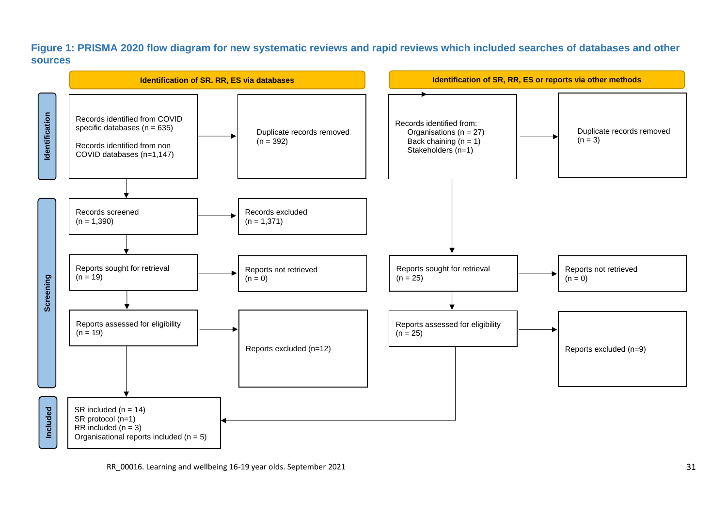#### **Figure 1: PRISMA 2020 flow diagram for new systematic reviews and rapid reviews which included searches of databases and other sources**

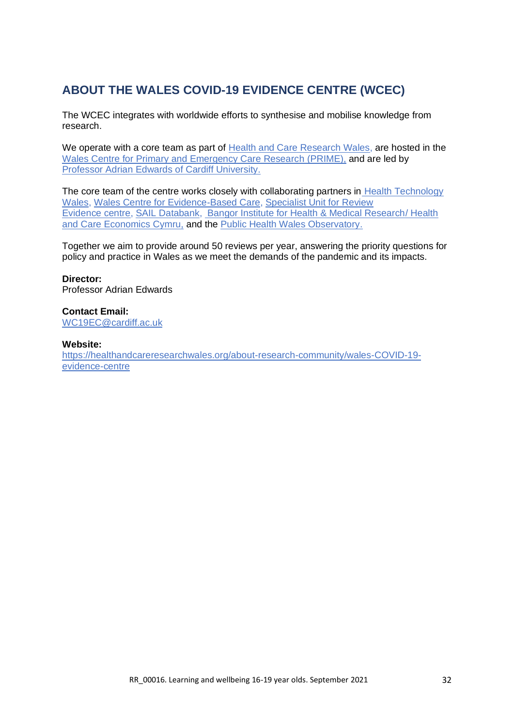## <span id="page-31-0"></span>**ABOUT THE WALES COVID-19 EVIDENCE CENTRE (WCEC)**

The WCEC integrates with worldwide efforts to synthesise and mobilise knowledge from research.

We operate with a core team as part of [Health and Care Research Wales,](https://healthandcareresearchwales.org/about-research-community/wales-covid-19-evidence-centre) are hosted in the [Wales Centre for Primary and Emergency Care Research \(PRIME\),](http://www.primecentre.wales/) and are led by [Professor Adrian Edwards of Cardiff University.](https://www.cardiff.ac.uk/people/view/123022-edwards-adrian)

The core team of the centre works closely with collaborating partners in [Health Technology](https://www.healthtechnology.wales/)  [Wales,](https://www.healthtechnology.wales/) [Wales Centre for Evidence-Based Care,](https://www.cardiff.ac.uk/research/explore/research-units/wales-centre-for-evidence-based-care) [Specialist Unit for Review](https://www.cardiff.ac.uk/specialist-unit-for-review-evidence)  [Evidence](https://www.cardiff.ac.uk/specialist-unit-for-review-evidence) [centre,](https://www.cardiff.ac.uk/specialist-unit-for-review-evidence) [SAIL Databank,](https://healthandcareresearchwales.org/about-research-community/secure-anonymised-information-linkage-sail-databank) [Bangor Institute for Health & Medical Research/](https://www.bangor.ac.uk/health-sciences/research/index.php.en) Health and Care Economics Cymru, and the [Public Health Wales Observatory.](https://phw.nhs.wales/services-and-teams/observatory/)

Together we aim to provide around 50 reviews per year, answering the priority questions for policy and practice in Wales as we meet the demands of the pandemic and its impacts.

#### **Director:**

Professor Adrian Edwards

#### **Contact Email:**

[WC19EC@cardiff.ac.uk](mailto:WC19EC@cardiff.ac.uk)

#### **Website:**

[https://healthandcareresearchwales.org/about-research-community/wales-COVID-19](https://healthandcareresearchwales.org/about-research-community/wales-covid-19-evidence-centre) [evidence-centre](https://healthandcareresearchwales.org/about-research-community/wales-covid-19-evidence-centre)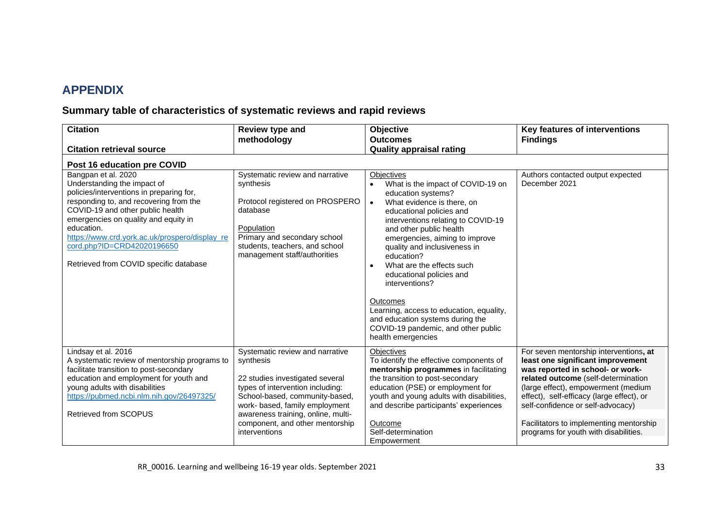## **APPENDIX**

## **Summary table of characteristics of systematic reviews and rapid reviews**

<span id="page-32-1"></span><span id="page-32-0"></span>

| <b>Citation</b>                                                                                                                                                                                                                                                                                                                                              | Review type and                                                                                                                                                                                                                                                                   | Objective                                                                                                                                                                                                                                                                                                                                                                                                                                                                                                                                             | Key features of interventions                                                                                                                                                                                                                                                                                                                                       |
|--------------------------------------------------------------------------------------------------------------------------------------------------------------------------------------------------------------------------------------------------------------------------------------------------------------------------------------------------------------|-----------------------------------------------------------------------------------------------------------------------------------------------------------------------------------------------------------------------------------------------------------------------------------|-------------------------------------------------------------------------------------------------------------------------------------------------------------------------------------------------------------------------------------------------------------------------------------------------------------------------------------------------------------------------------------------------------------------------------------------------------------------------------------------------------------------------------------------------------|---------------------------------------------------------------------------------------------------------------------------------------------------------------------------------------------------------------------------------------------------------------------------------------------------------------------------------------------------------------------|
|                                                                                                                                                                                                                                                                                                                                                              | methodology                                                                                                                                                                                                                                                                       | <b>Outcomes</b>                                                                                                                                                                                                                                                                                                                                                                                                                                                                                                                                       | <b>Findings</b>                                                                                                                                                                                                                                                                                                                                                     |
| <b>Citation retrieval source</b>                                                                                                                                                                                                                                                                                                                             |                                                                                                                                                                                                                                                                                   | <b>Quality appraisal rating</b>                                                                                                                                                                                                                                                                                                                                                                                                                                                                                                                       |                                                                                                                                                                                                                                                                                                                                                                     |
| Post 16 education pre COVID                                                                                                                                                                                                                                                                                                                                  |                                                                                                                                                                                                                                                                                   |                                                                                                                                                                                                                                                                                                                                                                                                                                                                                                                                                       |                                                                                                                                                                                                                                                                                                                                                                     |
| Bangpan et al. 2020<br>Understanding the impact of<br>policies/interventions in preparing for,<br>responding to, and recovering from the<br>COVID-19 and other public health<br>emergencies on quality and equity in<br>education.<br>https://www.crd.york.ac.uk/prospero/display_re<br>cord.php?ID=CRD42020196650<br>Retrieved from COVID specific database | Systematic review and narrative<br>synthesis<br>Protocol registered on PROSPERO<br>database<br>Population<br>Primary and secondary school<br>students, teachers, and school<br>management staff/authorities                                                                       | <b>Objectives</b><br>What is the impact of COVID-19 on<br>education systems?<br>What evidence is there, on<br>$\bullet$<br>educational policies and<br>interventions relating to COVID-19<br>and other public health<br>emergencies, aiming to improve<br>quality and inclusiveness in<br>education?<br>What are the effects such<br>$\bullet$<br>educational policies and<br>interventions?<br>Outcomes<br>Learning, access to education, equality,<br>and education systems during the<br>COVID-19 pandemic, and other public<br>health emergencies | Authors contacted output expected<br>December 2021                                                                                                                                                                                                                                                                                                                  |
| Lindsay et al. 2016<br>A systematic review of mentorship programs to<br>facilitate transition to post-secondary<br>education and employment for youth and<br>young adults with disabilities<br>https://pubmed.ncbi.nlm.nih.gov/26497325/<br><b>Retrieved from SCOPUS</b>                                                                                     | Systematic review and narrative<br>synthesis<br>22 studies investigated several<br>types of intervention including:<br>School-based, community-based,<br>work- based, family employment<br>awareness training, online, multi-<br>component, and other mentorship<br>interventions | <b>Objectives</b><br>To identify the effective components of<br>mentorship programmes in facilitating<br>the transition to post-secondary<br>education (PSE) or employment for<br>youth and young adults with disabilities,<br>and describe participants' experiences<br>Outcome<br>Self-determination<br>Empowerment                                                                                                                                                                                                                                 | For seven mentorship interventions, at<br>least one significant improvement<br>was reported in school- or work-<br>related outcome (self-determination<br>(large effect), empowerment (medium<br>effect), self-efficacy (large effect), or<br>self-confidence or self-advocacy)<br>Facilitators to implementing mentorship<br>programs for youth with disabilities. |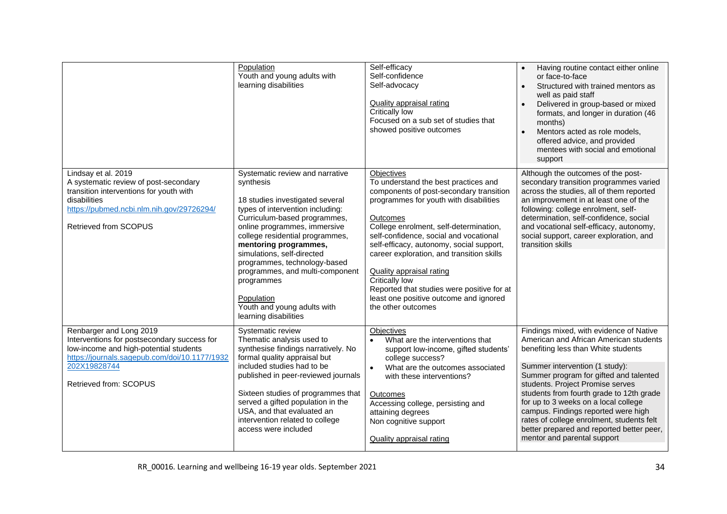<span id="page-33-1"></span><span id="page-33-0"></span>

|                                                                                                                                                                                               | Population<br>Youth and young adults with<br>learning disabilities                                                                                                                                                                                                                                                                                                                                                                   | Self-efficacy<br>Self-confidence<br>Self-advocacy<br><b>Quality appraisal rating</b><br>Critically low<br>Focused on a sub set of studies that<br>showed positive outcomes                                                                                                                                                                                                                                                                                                                                 | Having routine contact either online<br>or face-to-face<br>Structured with trained mentors as<br>well as paid staff<br>Delivered in group-based or mixed<br>formats, and longer in duration (46<br>months)<br>Mentors acted as role models,<br>offered advice, and provided<br>mentees with social and emotional<br>support                                      |
|-----------------------------------------------------------------------------------------------------------------------------------------------------------------------------------------------|--------------------------------------------------------------------------------------------------------------------------------------------------------------------------------------------------------------------------------------------------------------------------------------------------------------------------------------------------------------------------------------------------------------------------------------|------------------------------------------------------------------------------------------------------------------------------------------------------------------------------------------------------------------------------------------------------------------------------------------------------------------------------------------------------------------------------------------------------------------------------------------------------------------------------------------------------------|------------------------------------------------------------------------------------------------------------------------------------------------------------------------------------------------------------------------------------------------------------------------------------------------------------------------------------------------------------------|
| Lindsay et al. 2019<br>A systematic review of post-secondary<br>transition interventions for youth with<br>disabilities<br>https://pubmed.ncbi.nlm.nih.gov/29726294/<br>Retrieved from SCOPUS | Systematic review and narrative<br>synthesis<br>18 studies investigated several<br>types of intervention including:<br>Curriculum-based programmes,<br>online programmes, immersive<br>college residential programmes,<br>mentoring programmes,<br>simulations, self-directed<br>programmes, technology-based<br>programmes, and multi-component<br>programmes<br>Population<br>Youth and young adults with<br>learning disabilities | Objectives<br>To understand the best practices and<br>components of post-secondary transition<br>programmes for youth with disabilities<br>Outcomes<br>College enrolment, self-determination,<br>self-confidence, social and vocational<br>self-efficacy, autonomy, social support,<br>career exploration, and transition skills<br><b>Quality appraisal rating</b><br><b>Critically low</b><br>Reported that studies were positive for at<br>least one positive outcome and ignored<br>the other outcomes | Although the outcomes of the post-<br>secondary transition programmes varied<br>across the studies, all of them reported<br>an improvement in at least one of the<br>following: college enrolment, self-<br>determination, self-confidence, social<br>and vocational self-efficacy, autonomy,<br>social support, career exploration, and<br>transition skills    |
| Renbarger and Long 2019<br>Interventions for postsecondary success for<br>low-income and high-potential students<br>https://journals.sagepub.com/doi/10.1177/1932                             | Systematic review<br>Thematic analysis used to<br>synthesise findings narratively. No<br>formal quality appraisal but                                                                                                                                                                                                                                                                                                                | Objectives<br>What are the interventions that<br>$\bullet$<br>support low-income, gifted students'<br>college success?                                                                                                                                                                                                                                                                                                                                                                                     | Findings mixed, with evidence of Native<br>American and African American students<br>benefiting less than White students                                                                                                                                                                                                                                         |
| 202X19828744<br>Retrieved from: SCOPUS                                                                                                                                                        | included studies had to be<br>published in peer-reviewed journals<br>Sixteen studies of programmes that<br>served a gifted population in the<br>USA, and that evaluated an<br>intervention related to college<br>access were included                                                                                                                                                                                                | What are the outcomes associated<br>$\bullet$<br>with these interventions?<br>Outcomes<br>Accessing college, persisting and<br>attaining degrees<br>Non cognitive support<br><b>Quality appraisal rating</b>                                                                                                                                                                                                                                                                                               | Summer intervention (1 study):<br>Summer program for gifted and talented<br>students. Project Promise serves<br>students from fourth grade to 12th grade<br>for up to 3 weeks on a local college<br>campus. Findings reported were high<br>rates of college enrolment, students felt<br>better prepared and reported better peer,<br>mentor and parental support |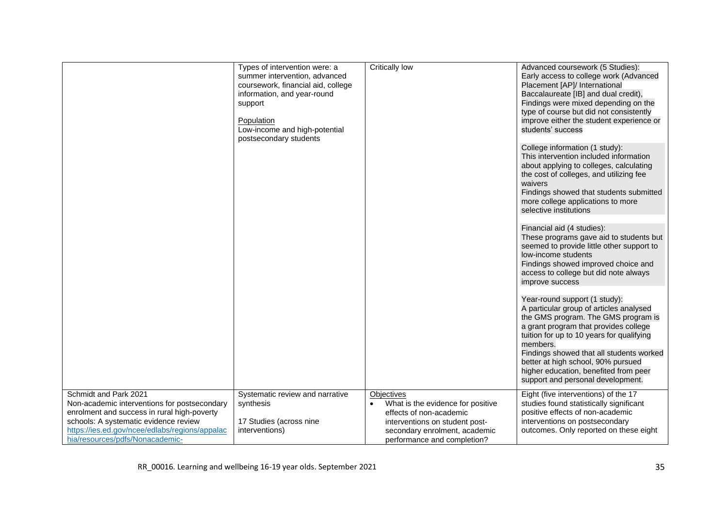<span id="page-34-2"></span><span id="page-34-1"></span><span id="page-34-0"></span>

|                                                                                                                                                                                                                                                    | Types of intervention were: a<br>summer intervention, advanced<br>coursework, financial aid, college<br>information, and year-round<br>support<br>Population<br>Low-income and high-potential<br>postsecondary students | Critically low                                                                                                                                                                      | Advanced coursework (5 Studies):<br>Early access to college work (Advanced<br>Placement [AP]/ International<br>Baccalaureate [IB] and dual credit),<br>Findings were mixed depending on the<br>type of course but did not consistently<br>improve either the student experience or<br>students' success<br>College information (1 study):<br>This intervention included information<br>about applying to colleges, calculating<br>the cost of colleges, and utilizing fee<br>waivers<br>Findings showed that students submitted<br>more college applications to more<br>selective institutions<br>Financial aid (4 studies):<br>These programs gave aid to students but<br>seemed to provide little other support to<br>low-income students<br>Findings showed improved choice and<br>access to college but did note always<br>improve success<br>Year-round support (1 study):<br>A particular group of articles analysed<br>the GMS program. The GMS program is<br>a grant program that provides college<br>tuition for up to 10 years for qualifying<br>members.<br>Findings showed that all students worked<br>better at high school, 90% pursued |
|----------------------------------------------------------------------------------------------------------------------------------------------------------------------------------------------------------------------------------------------------|-------------------------------------------------------------------------------------------------------------------------------------------------------------------------------------------------------------------------|-------------------------------------------------------------------------------------------------------------------------------------------------------------------------------------|-------------------------------------------------------------------------------------------------------------------------------------------------------------------------------------------------------------------------------------------------------------------------------------------------------------------------------------------------------------------------------------------------------------------------------------------------------------------------------------------------------------------------------------------------------------------------------------------------------------------------------------------------------------------------------------------------------------------------------------------------------------------------------------------------------------------------------------------------------------------------------------------------------------------------------------------------------------------------------------------------------------------------------------------------------------------------------------------------------------------------------------------------------|
|                                                                                                                                                                                                                                                    |                                                                                                                                                                                                                         |                                                                                                                                                                                     | higher education, benefited from peer<br>support and personal development.                                                                                                                                                                                                                                                                                                                                                                                                                                                                                                                                                                                                                                                                                                                                                                                                                                                                                                                                                                                                                                                                            |
| Schmidt and Park 2021<br>Non-academic interventions for postsecondary<br>enrolment and success in rural high-poverty<br>schools: A systematic evidence review<br>https://ies.ed.gov/ncee/edlabs/regions/appalac<br>hia/resources/pdfs/Nonacademic- | Systematic review and narrative<br>synthesis<br>17 Studies (across nine<br>interventions)                                                                                                                               | <b>Objectives</b><br>What is the evidence for positive<br>effects of non-academic<br>interventions on student post-<br>secondary enrolment, academic<br>performance and completion? | Eight (five interventions) of the 17<br>studies found statistically significant<br>positive effects of non-academic<br>interventions on postsecondary<br>outcomes. Only reported on these eight                                                                                                                                                                                                                                                                                                                                                                                                                                                                                                                                                                                                                                                                                                                                                                                                                                                                                                                                                       |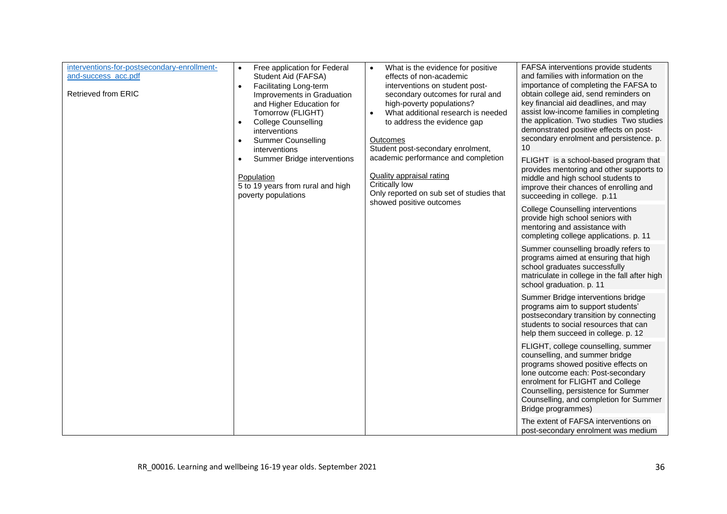<span id="page-35-0"></span>

| interventions-for-postsecondary-enrollment-<br>and-success_acc.pdf<br>Retrieved from ERIC | Free application for Federal<br>$\bullet$<br>Student Aid (FAFSA)<br><b>Facilitating Long-term</b><br>$\bullet$<br>Improvements in Graduation<br>and Higher Education for<br>Tomorrow (FLIGHT)<br><b>College Counselling</b><br>$\bullet$<br>interventions<br><b>Summer Counselling</b><br>interventions | What is the evidence for positive<br>$\bullet$<br>effects of non-academic<br>interventions on student post-<br>secondary outcomes for rural and<br>high-poverty populations?<br>What additional research is needed<br>$\bullet$<br>to address the evidence gap<br>Outcomes<br>Student post-secondary enrolment, | FAFSA interventions provide students<br>and families with information on the<br>importance of completing the FAFSA to<br>obtain college aid, send reminders on<br>key financial aid deadlines, and may<br>assist low-income families in completing<br>the application. Two studies Two studies<br>demonstrated positive effects on post-<br>secondary enrolment and persistence. p.<br>10 |
|-------------------------------------------------------------------------------------------|---------------------------------------------------------------------------------------------------------------------------------------------------------------------------------------------------------------------------------------------------------------------------------------------------------|-----------------------------------------------------------------------------------------------------------------------------------------------------------------------------------------------------------------------------------------------------------------------------------------------------------------|-------------------------------------------------------------------------------------------------------------------------------------------------------------------------------------------------------------------------------------------------------------------------------------------------------------------------------------------------------------------------------------------|
|                                                                                           | academic performance and completion<br>Summer Bridge interventions<br><b>Quality appraisal rating</b><br>Population<br>Critically low<br>5 to 19 years from rural and high<br>Only reported on sub set of studies that<br>poverty populations                                                           | FLIGHT is a school-based program that<br>provides mentoring and other supports to<br>middle and high school students to<br>improve their chances of enrolling and<br>succeeding in college. p.11                                                                                                                |                                                                                                                                                                                                                                                                                                                                                                                           |
|                                                                                           |                                                                                                                                                                                                                                                                                                         | showed positive outcomes                                                                                                                                                                                                                                                                                        | <b>College Counselling interventions</b><br>provide high school seniors with<br>mentoring and assistance with<br>completing college applications. p. 11                                                                                                                                                                                                                                   |
|                                                                                           |                                                                                                                                                                                                                                                                                                         |                                                                                                                                                                                                                                                                                                                 | Summer counselling broadly refers to<br>programs aimed at ensuring that high<br>school graduates successfully<br>matriculate in college in the fall after high<br>school graduation. p. 11                                                                                                                                                                                                |
|                                                                                           |                                                                                                                                                                                                                                                                                                         |                                                                                                                                                                                                                                                                                                                 | Summer Bridge interventions bridge<br>programs aim to support students'<br>postsecondary transition by connecting<br>students to social resources that can<br>help them succeed in college. p. 12                                                                                                                                                                                         |
|                                                                                           |                                                                                                                                                                                                                                                                                                         |                                                                                                                                                                                                                                                                                                                 | FLIGHT, college counselling, summer<br>counselling, and summer bridge<br>programs showed positive effects on<br>lone outcome each: Post-secondary<br>enrolment for FLIGHT and College<br>Counselling, persistence for Summer<br>Counselling, and completion for Summer<br>Bridge programmes)                                                                                              |
|                                                                                           |                                                                                                                                                                                                                                                                                                         |                                                                                                                                                                                                                                                                                                                 | The extent of FAFSA interventions on<br>post-secondary enrolment was medium                                                                                                                                                                                                                                                                                                               |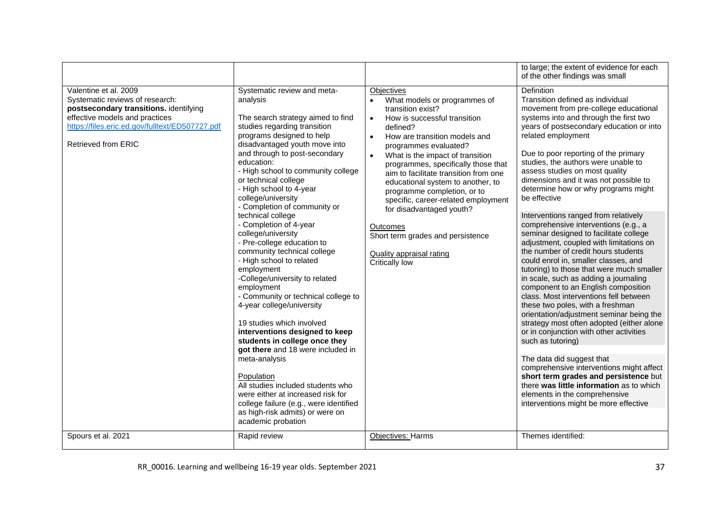<span id="page-36-0"></span>

|                                                                                                                                                                                                                       |                                                                                                                                                                                                                                                                                                                                                                                                                                                                                                                                                                                                                                                                                                                                                                                                                                                                                                                                                                                                                           |                                                                                                                                                                                                                                                                                                                                                                                                                                                                                                                                                                                                                 | to large; the extent of evidence for each<br>of the other findings was small                                                                                                                                                                                                                                                                                                                                                                                                                                                                                                                                                                                                                                                                                                                                                                                                                                                                                                                                                                                                                                                                                                                                                                                                                |
|-----------------------------------------------------------------------------------------------------------------------------------------------------------------------------------------------------------------------|---------------------------------------------------------------------------------------------------------------------------------------------------------------------------------------------------------------------------------------------------------------------------------------------------------------------------------------------------------------------------------------------------------------------------------------------------------------------------------------------------------------------------------------------------------------------------------------------------------------------------------------------------------------------------------------------------------------------------------------------------------------------------------------------------------------------------------------------------------------------------------------------------------------------------------------------------------------------------------------------------------------------------|-----------------------------------------------------------------------------------------------------------------------------------------------------------------------------------------------------------------------------------------------------------------------------------------------------------------------------------------------------------------------------------------------------------------------------------------------------------------------------------------------------------------------------------------------------------------------------------------------------------------|---------------------------------------------------------------------------------------------------------------------------------------------------------------------------------------------------------------------------------------------------------------------------------------------------------------------------------------------------------------------------------------------------------------------------------------------------------------------------------------------------------------------------------------------------------------------------------------------------------------------------------------------------------------------------------------------------------------------------------------------------------------------------------------------------------------------------------------------------------------------------------------------------------------------------------------------------------------------------------------------------------------------------------------------------------------------------------------------------------------------------------------------------------------------------------------------------------------------------------------------------------------------------------------------|
| Valentine et al. 2009<br>Systematic reviews of research:<br>postsecondary transitions. identifying<br>effective models and practices<br>https://files.eric.ed.gov/fulltext/ED507727.pdf<br><b>Retrieved from ERIC</b> | Systematic review and meta-<br>analysis<br>The search strategy aimed to find<br>studies regarding transition<br>programs designed to help<br>disadvantaged youth move into<br>and through to post-secondary<br>education:<br>- High school to community college<br>or technical college<br>- High school to 4-year<br>college/university<br>- Completion of community or<br>technical college<br>- Completion of 4-year<br>college/university<br>- Pre-college education to<br>community technical college<br>- High school to related<br>employment<br>-College/university to related<br>employment<br>- Community or technical college to<br>4-year college/university<br>19 studies which involved<br>interventions designed to keep<br>students in college once they<br>got there and 18 were included in<br>meta-analysis<br>Population<br>All studies included students who<br>were either at increased risk for<br>college failure (e.g., were identified<br>as high-risk admits) or were on<br>academic probation | <b>Objectives</b><br>What models or programmes of<br>$\bullet$<br>transition exist?<br>How is successful transition<br>$\bullet$<br>defined?<br>How are transition models and<br>$\bullet$<br>programmes evaluated?<br>What is the impact of transition<br>$\bullet$<br>programmes, specifically those that<br>aim to facilitate transition from one<br>educational system to another, to<br>programme completion, or to<br>specific, career-related employment<br>for disadvantaged youth?<br><b>Outcomes</b><br>Short term grades and persistence<br><b>Quality appraisal rating</b><br><b>Critically low</b> | <b>Definition</b><br>Transition defined as individual<br>movement from pre-college educational<br>systems into and through the first two<br>years of postsecondary education or into<br>related employment<br>Due to poor reporting of the primary<br>studies, the authors were unable to<br>assess studies on most quality<br>dimensions and it was not possible to<br>determine how or why programs might<br>be effective<br>Interventions ranged from relatively<br>comprehensive interventions (e.g., a<br>seminar designed to facilitate college<br>adjustment, coupled with limitations on<br>the number of credit hours students<br>could enrol in, smaller classes, and<br>tutoring) to those that were much smaller<br>in scale, such as adding a journaling<br>component to an English composition<br>class. Most interventions fell between<br>these two poles, with a freshman<br>orientation/adjustment seminar being the<br>strategy most often adopted (either alone<br>or in conjunction with other activities<br>such as tutoring)<br>The data did suggest that<br>comprehensive interventions might affect<br>short term grades and persistence but<br>there was little information as to which<br>elements in the comprehensive<br>interventions might be more effective |
| Spours et al. 2021                                                                                                                                                                                                    | Rapid review                                                                                                                                                                                                                                                                                                                                                                                                                                                                                                                                                                                                                                                                                                                                                                                                                                                                                                                                                                                                              | <b>Objectives: Harms</b>                                                                                                                                                                                                                                                                                                                                                                                                                                                                                                                                                                                        | Themes identified:                                                                                                                                                                                                                                                                                                                                                                                                                                                                                                                                                                                                                                                                                                                                                                                                                                                                                                                                                                                                                                                                                                                                                                                                                                                                          |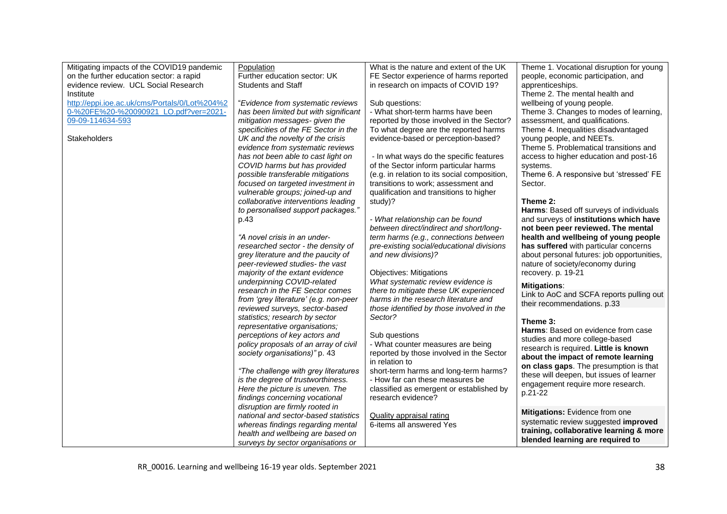<span id="page-37-0"></span>

| Mitigating impacts of the COVID19 pandemic    | Population                            | What is the nature and extent of the UK      | Theme 1. Vocational disruption for young   |
|-----------------------------------------------|---------------------------------------|----------------------------------------------|--------------------------------------------|
| on the further education sector: a rapid      | Further education sector: UK          | FE Sector experience of harms reported       | people, economic participation, and        |
| evidence review. UCL Social Research          | <b>Students and Staff</b>             | in research on impacts of COVID 19?          | apprenticeships.                           |
| Institute                                     |                                       |                                              | Theme 2. The mental health and             |
| http://eppi.ioe.ac.uk/cms/Portals/0/Lot%204%2 | "Evidence from systematic reviews     | Sub questions:                               | wellbeing of young people.                 |
| 0-%20FE%20-%20090921_LO.pdf?ver=2021-         | has been limited but with significant | - What short-term harms have been            | Theme 3. Changes to modes of learning,     |
| 09-09-114634-593                              | mitigation messages- given the        | reported by those involved in the Sector?    | assessment, and qualifications.            |
|                                               | specificities of the FE Sector in the | To what degree are the reported harms        | Theme 4. Inequalities disadvantaged        |
| Stakeholders                                  | UK and the novelty of the crisis      | evidence-based or perception-based?          | young people, and NEETs.                   |
|                                               | evidence from systematic reviews      |                                              | Theme 5. Problematical transitions and     |
|                                               | has not been able to cast light on    | - In what ways do the specific features      | access to higher education and post-16     |
|                                               | COVID harms but has provided          | of the Sector inform particular harms        | systems.                                   |
|                                               | possible transferable mitigations     | (e.g. in relation to its social composition, | Theme 6. A responsive but 'stressed' FE    |
|                                               | focused on targeted investment in     | transitions to work; assessment and          | Sector.                                    |
|                                               | vulnerable groups; joined-up and      | qualification and transitions to higher      |                                            |
|                                               | collaborative interventions leading   | study)?                                      | Theme 2:                                   |
|                                               | to personalised support packages."    |                                              | Harms: Based off surveys of individuals    |
|                                               | p.43                                  | - What relationship can be found             | and surveys of institutions which have     |
|                                               |                                       | between direct/indirect and short/long-      | not been peer reviewed. The mental         |
|                                               | "A novel crisis in an under-          | term harms (e.g., connections between        | health and wellbeing of young people       |
|                                               | researched sector - the density of    | pre-existing social/educational divisions    | has suffered with particular concerns      |
|                                               | grey literature and the paucity of    | and new divisions)?                          | about personal futures: job opportunities, |
|                                               | peer-reviewed studies- the vast       |                                              | nature of society/economy during           |
|                                               | majority of the extant evidence       | <b>Objectives: Mitigations</b>               | recovery. p. 19-21                         |
|                                               | underpinning COVID-related            | What systematic review evidence is           | <b>Mitigations:</b>                        |
|                                               | research in the FE Sector comes       | there to mitigate these UK experienced       | Link to AoC and SCFA reports pulling out   |
|                                               | from 'grey literature' (e.g. non-peer | harms in the research literature and         | their recommendations. p.33                |
|                                               | reviewed surveys, sector-based        | those identified by those involved in the    |                                            |
|                                               | statistics; research by sector        | Sector?                                      | Theme 3:                                   |
|                                               | representative organisations;         |                                              | Harms: Based on evidence from case         |
|                                               | perceptions of key actors and         | Sub questions                                | studies and more college-based             |
|                                               | policy proposals of an array of civil | - What counter measures are being            | research is required. Little is known      |
|                                               | society organisations)" p. 43         | reported by those involved in the Sector     | about the impact of remote learning        |
|                                               |                                       | in relation to                               | on class gaps. The presumption is that     |
|                                               | "The challenge with grey literatures  | short-term harms and long-term harms?        | these will deepen, but issues of learner   |
|                                               | is the degree of trustworthiness.     | - How far can these measures be              | engagement require more research.          |
|                                               | Here the picture is uneven. The       | classified as emergent or established by     | p.21-22                                    |
|                                               | findings concerning vocational        | research evidence?                           |                                            |
|                                               | disruption are firmly rooted in       |                                              | Mitigations: Evidence from one             |
|                                               | national and sector-based statistics  | <b>Quality appraisal rating</b>              |                                            |
|                                               | whereas findings regarding mental     | 6-items all answered Yes                     | systematic review suggested improved       |
|                                               | health and wellbeing are based on     |                                              | training, collaborative learning & more    |
|                                               | surveys by sector organisations or    |                                              | blended learning are required to           |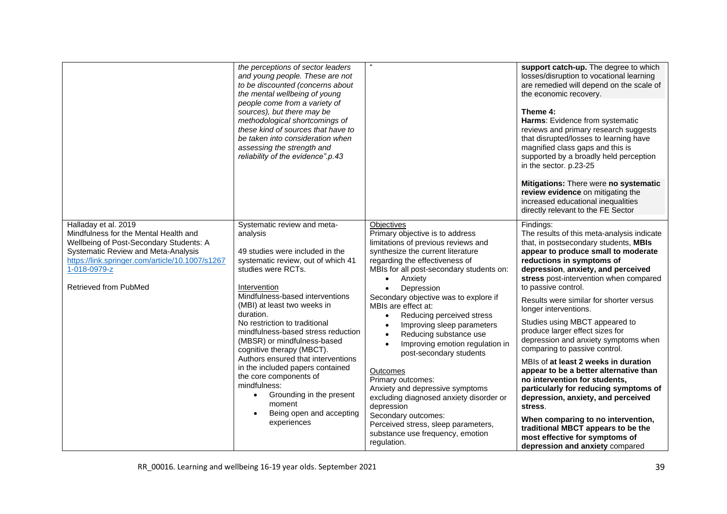<span id="page-38-0"></span>

|                                                                                                                                                                                                                                             | the perceptions of sector leaders<br>and young people. These are not<br>to be discounted (concerns about<br>the mental wellbeing of young<br>people come from a variety of<br>sources), but there may be<br>methodological shortcomings of<br>these kind of sources that have to<br>be taken into consideration when<br>assessing the strength and<br>reliability of the evidence".p.43                                                                                                                                                                                       |                                                                                                                                                                                                                                                                                                                                                                                                                                                                                                                                                                                                                                                                                                                                                              | support catch-up. The degree to which<br>losses/disruption to vocational learning<br>are remedied will depend on the scale of<br>the economic recovery.<br>Theme 4:<br>Harms: Evidence from systematic<br>reviews and primary research suggests<br>that disrupted/losses to learning have<br>magnified class gaps and this is<br>supported by a broadly held perception<br>in the sector. p.23-25<br>Mitigations: There were no systematic<br>review evidence on mitigating the<br>increased educational inequalities<br>directly relevant to the FE Sector                                                                                                                                                                                                                                                                                                 |
|---------------------------------------------------------------------------------------------------------------------------------------------------------------------------------------------------------------------------------------------|-------------------------------------------------------------------------------------------------------------------------------------------------------------------------------------------------------------------------------------------------------------------------------------------------------------------------------------------------------------------------------------------------------------------------------------------------------------------------------------------------------------------------------------------------------------------------------|--------------------------------------------------------------------------------------------------------------------------------------------------------------------------------------------------------------------------------------------------------------------------------------------------------------------------------------------------------------------------------------------------------------------------------------------------------------------------------------------------------------------------------------------------------------------------------------------------------------------------------------------------------------------------------------------------------------------------------------------------------------|-------------------------------------------------------------------------------------------------------------------------------------------------------------------------------------------------------------------------------------------------------------------------------------------------------------------------------------------------------------------------------------------------------------------------------------------------------------------------------------------------------------------------------------------------------------------------------------------------------------------------------------------------------------------------------------------------------------------------------------------------------------------------------------------------------------------------------------------------------------|
| Halladay et al. 2019<br>Mindfulness for the Mental Health and<br>Wellbeing of Post-Secondary Students: A<br>Systematic Review and Meta-Analysis<br>https://link.springer.com/article/10.1007/s1267<br>1-018-0979-z<br>Retrieved from PubMed | Systematic review and meta-<br>analysis<br>49 studies were included in the<br>systematic review, out of which 41<br>studies were RCTs.<br>Intervention<br>Mindfulness-based interventions<br>(MBI) at least two weeks in<br>duration.<br>No restriction to traditional<br>mindfulness-based stress reduction<br>(MBSR) or mindfulness-based<br>cognitive therapy (MBCT).<br>Authors ensured that interventions<br>in the included papers contained<br>the core components of<br>mindfulness:<br>Grounding in the present<br>moment<br>Being open and accepting<br>experiences | <b>Objectives</b><br>Primary objective is to address<br>limitations of previous reviews and<br>synthesize the current literature<br>regarding the effectiveness of<br>MBIs for all post-secondary students on:<br>Anxiety<br>$\bullet$<br>Depression<br>$\bullet$<br>Secondary objective was to explore if<br>MBIs are effect at:<br>Reducing perceived stress<br>$\bullet$<br>Improving sleep parameters<br>$\bullet$<br>Reducing substance use<br>Improving emotion regulation in<br>post-secondary students<br>Outcomes<br>Primary outcomes:<br>Anxiety and depressive symptoms<br>excluding diagnosed anxiety disorder or<br>depression<br>Secondary outcomes:<br>Perceived stress, sleep parameters,<br>substance use frequency, emotion<br>regulation. | Findings:<br>The results of this meta-analysis indicate<br>that, in postsecondary students, MBIs<br>appear to produce small to moderate<br>reductions in symptoms of<br>depression, anxiety, and perceived<br>stress post-intervention when compared<br>to passive control.<br>Results were similar for shorter versus<br>longer interventions.<br>Studies using MBCT appeared to<br>produce larger effect sizes for<br>depression and anxiety symptoms when<br>comparing to passive control.<br>MBIs of at least 2 weeks in duration<br>appear to be a better alternative than<br>no intervention for students,<br>particularly for reducing symptoms of<br>depression, anxiety, and perceived<br>stress.<br>When comparing to no intervention,<br>traditional MBCT appears to be the<br>most effective for symptoms of<br>depression and anxiety compared |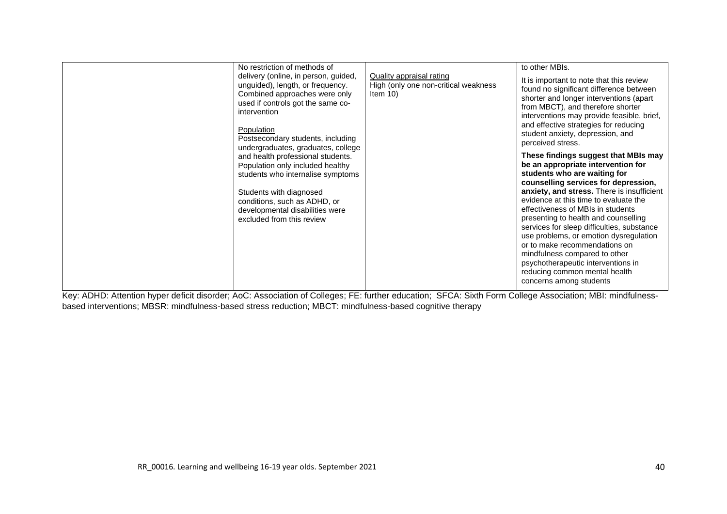| No restriction of methods of                                                                                                                                                                                                                                                                                                                                                                                                                                                                     |                                                                                        | to other MBIs.                                                                                                                                                                                                                                                                                                                                                                                                                                                                                                                                                                                                                                                                                                                                                                                                                                                                                            |
|--------------------------------------------------------------------------------------------------------------------------------------------------------------------------------------------------------------------------------------------------------------------------------------------------------------------------------------------------------------------------------------------------------------------------------------------------------------------------------------------------|----------------------------------------------------------------------------------------|-----------------------------------------------------------------------------------------------------------------------------------------------------------------------------------------------------------------------------------------------------------------------------------------------------------------------------------------------------------------------------------------------------------------------------------------------------------------------------------------------------------------------------------------------------------------------------------------------------------------------------------------------------------------------------------------------------------------------------------------------------------------------------------------------------------------------------------------------------------------------------------------------------------|
| delivery (online, in person, guided,<br>unguided), length, or frequency.<br>Combined approaches were only<br>used if controls got the same co-<br>intervention<br>Population<br>Postsecondary students, including<br>undergraduates, graduates, college<br>and health professional students.<br>Population only included healthy<br>students who internalise symptoms<br>Students with diagnosed<br>conditions, such as ADHD, or<br>developmental disabilities were<br>excluded from this review | <b>Quality appraisal rating</b><br>High (only one non-critical weakness<br>Item $10$ ) | It is important to note that this review<br>found no significant difference between<br>shorter and longer interventions (apart<br>from MBCT), and therefore shorter<br>interventions may provide feasible, brief,<br>and effective strategies for reducing<br>student anxiety, depression, and<br>perceived stress.<br>These findings suggest that MBIs may<br>be an appropriate intervention for<br>students who are waiting for<br>counselling services for depression,<br>anxiety, and stress. There is insufficient<br>evidence at this time to evaluate the<br>effectiveness of MBIs in students<br>presenting to health and counselling<br>services for sleep difficulties, substance<br>use problems, or emotion dysregulation<br>or to make recommendations on<br>mindfulness compared to other<br>psychotherapeutic interventions in<br>reducing common mental health<br>concerns among students |

Key: ADHD: Attention hyper deficit disorder; AoC: Association of Colleges; FE: further education; SFCA: Sixth Form College Association; MBI: mindfulnessbased interventions; MBSR: mindfulness-based stress reduction; MBCT: mindfulness-based cognitive therapy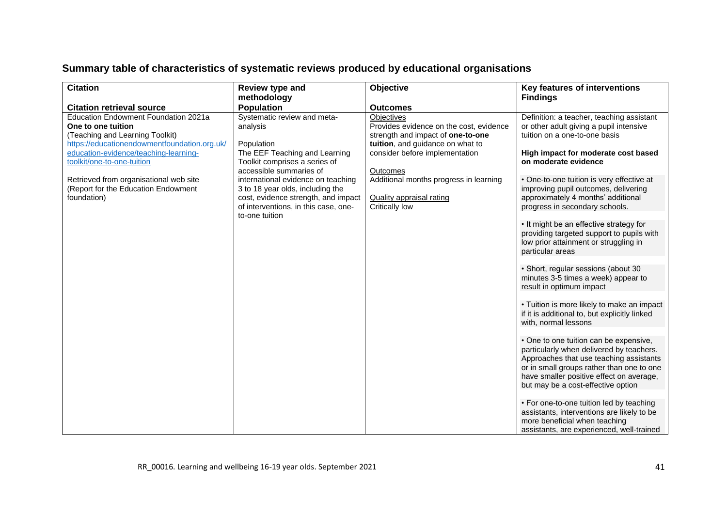## **Summary table of characteristics of systematic reviews produced by educational organisations**

<span id="page-40-0"></span>

| <b>Citation</b>                                                                                                                                                                                                                                                                                                                                          | Review type and                                                                                                                                                                                                                                                                                                                                                   | Objective                                                                                                                                                                                                                                                                                      | Key features of interventions                                                                                                                                                                                                                                                                                                                                                                                                                                                                                                                                                                                                                                                                                                                                                                                                                                                                                                                                                                                                                                          |
|----------------------------------------------------------------------------------------------------------------------------------------------------------------------------------------------------------------------------------------------------------------------------------------------------------------------------------------------------------|-------------------------------------------------------------------------------------------------------------------------------------------------------------------------------------------------------------------------------------------------------------------------------------------------------------------------------------------------------------------|------------------------------------------------------------------------------------------------------------------------------------------------------------------------------------------------------------------------------------------------------------------------------------------------|------------------------------------------------------------------------------------------------------------------------------------------------------------------------------------------------------------------------------------------------------------------------------------------------------------------------------------------------------------------------------------------------------------------------------------------------------------------------------------------------------------------------------------------------------------------------------------------------------------------------------------------------------------------------------------------------------------------------------------------------------------------------------------------------------------------------------------------------------------------------------------------------------------------------------------------------------------------------------------------------------------------------------------------------------------------------|
|                                                                                                                                                                                                                                                                                                                                                          |                                                                                                                                                                                                                                                                                                                                                                   |                                                                                                                                                                                                                                                                                                |                                                                                                                                                                                                                                                                                                                                                                                                                                                                                                                                                                                                                                                                                                                                                                                                                                                                                                                                                                                                                                                                        |
| <b>Citation retrieval source</b><br>Education Endowment Foundation 2021a<br>One to one tuition<br>(Teaching and Learning Toolkit)<br>https://educationendowmentfoundation.org.uk/<br>education-evidence/teaching-learning-<br>toolkit/one-to-one-tuition<br>Retrieved from organisational web site<br>(Report for the Education Endowment<br>foundation) | methodology<br><b>Population</b><br>Systematic review and meta-<br>analysis<br>Population<br>The EEF Teaching and Learning<br>Toolkit comprises a series of<br>accessible summaries of<br>international evidence on teaching<br>3 to 18 year olds, including the<br>cost, evidence strength, and impact<br>of interventions, in this case, one-<br>to-one tuition | <b>Outcomes</b><br>Objectives<br>Provides evidence on the cost, evidence<br>strength and impact of one-to-one<br>tuition, and guidance on what to<br>consider before implementation<br>Outcomes<br>Additional months progress in learning<br><b>Quality appraisal rating</b><br>Critically low | <b>Findings</b><br>Definition: a teacher, teaching assistant<br>or other adult giving a pupil intensive<br>tuition on a one-to-one basis<br>High impact for moderate cost based<br>on moderate evidence<br>• One-to-one tuition is very effective at<br>improving pupil outcomes, delivering<br>approximately 4 months' additional<br>progress in secondary schools.<br>• It might be an effective strategy for<br>providing targeted support to pupils with<br>low prior attainment or struggling in<br>particular areas<br>· Short, regular sessions (about 30<br>minutes 3-5 times a week) appear to<br>result in optimum impact<br>• Tuition is more likely to make an impact<br>if it is additional to, but explicitly linked<br>with, normal lessons<br>• One to one tuition can be expensive,<br>particularly when delivered by teachers.<br>Approaches that use teaching assistants<br>or in small groups rather than one to one<br>have smaller positive effect on average,<br>but may be a cost-effective option<br>• For one-to-one tuition led by teaching |
|                                                                                                                                                                                                                                                                                                                                                          |                                                                                                                                                                                                                                                                                                                                                                   |                                                                                                                                                                                                                                                                                                | assistants, interventions are likely to be<br>more beneficial when teaching<br>assistants, are experienced, well-trained                                                                                                                                                                                                                                                                                                                                                                                                                                                                                                                                                                                                                                                                                                                                                                                                                                                                                                                                               |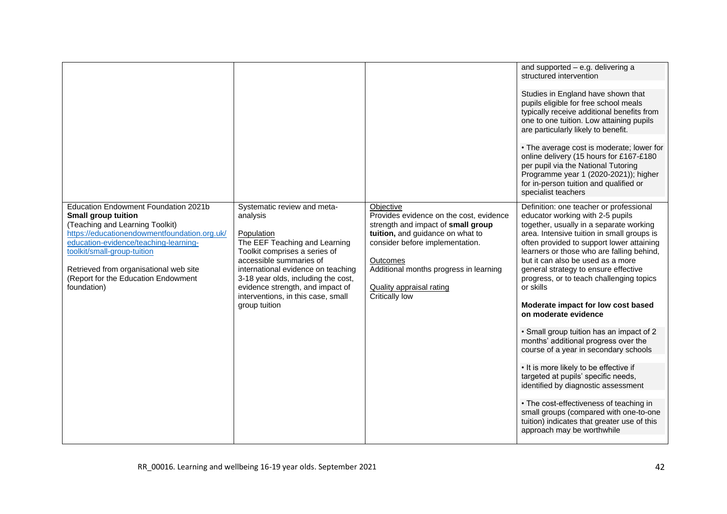<span id="page-41-0"></span>

|                                                                                              |                                                                                                               |                                                                           | and supported - e.g. delivering a<br>structured intervention                                                                                                                                                                          |
|----------------------------------------------------------------------------------------------|---------------------------------------------------------------------------------------------------------------|---------------------------------------------------------------------------|---------------------------------------------------------------------------------------------------------------------------------------------------------------------------------------------------------------------------------------|
|                                                                                              |                                                                                                               |                                                                           | Studies in England have shown that                                                                                                                                                                                                    |
|                                                                                              |                                                                                                               |                                                                           | pupils eligible for free school meals<br>typically receive additional benefits from                                                                                                                                                   |
|                                                                                              |                                                                                                               |                                                                           | one to one tuition. Low attaining pupils                                                                                                                                                                                              |
|                                                                                              |                                                                                                               |                                                                           | are particularly likely to benefit.                                                                                                                                                                                                   |
|                                                                                              |                                                                                                               |                                                                           | • The average cost is moderate; lower for<br>online delivery (15 hours for £167-£180<br>per pupil via the National Tutoring<br>Programme year 1 (2020-2021)); higher<br>for in-person tuition and qualified or<br>specialist teachers |
| Education Endowment Foundation 2021b<br><b>Small group tuition</b>                           | Systematic review and meta-<br>analysis                                                                       | Objective<br>Provides evidence on the cost, evidence                      | Definition: one teacher or professional<br>educator working with 2-5 pupils                                                                                                                                                           |
| (Teaching and Learning Toolkit)<br>https://educationendowmentfoundation.org.uk/              | Population                                                                                                    | strength and impact of small group<br>tuition, and guidance on what to    | together, usually in a separate working<br>area. Intensive tuition in small groups is                                                                                                                                                 |
| education-evidence/teaching-learning-<br>toolkit/small-group-tuition                         | The EEF Teaching and Learning<br>Toolkit comprises a series of                                                | consider before implementation.                                           | often provided to support lower attaining<br>learners or those who are falling behind,                                                                                                                                                |
|                                                                                              | accessible summaries of                                                                                       | <b>Outcomes</b>                                                           | but it can also be used as a more                                                                                                                                                                                                     |
| Retrieved from organisational web site<br>(Report for the Education Endowment<br>foundation) | international evidence on teaching<br>3-18 year olds, including the cost,<br>evidence strength, and impact of | Additional months progress in learning<br><b>Quality appraisal rating</b> | general strategy to ensure effective<br>progress, or to teach challenging topics<br>or skills                                                                                                                                         |
|                                                                                              | interventions, in this case, small                                                                            | Critically low                                                            |                                                                                                                                                                                                                                       |
|                                                                                              | group tuition                                                                                                 |                                                                           | Moderate impact for low cost based<br>on moderate evidence                                                                                                                                                                            |
|                                                                                              |                                                                                                               |                                                                           | • Small group tuition has an impact of 2                                                                                                                                                                                              |
|                                                                                              |                                                                                                               |                                                                           | months' additional progress over the<br>course of a year in secondary schools                                                                                                                                                         |
|                                                                                              |                                                                                                               |                                                                           | • It is more likely to be effective if                                                                                                                                                                                                |
|                                                                                              |                                                                                                               |                                                                           | targeted at pupils' specific needs,<br>identified by diagnostic assessment                                                                                                                                                            |
|                                                                                              |                                                                                                               |                                                                           | • The cost-effectiveness of teaching in                                                                                                                                                                                               |
|                                                                                              |                                                                                                               |                                                                           | small groups (compared with one-to-one<br>tuition) indicates that greater use of this                                                                                                                                                 |
|                                                                                              |                                                                                                               |                                                                           | approach may be worthwhile                                                                                                                                                                                                            |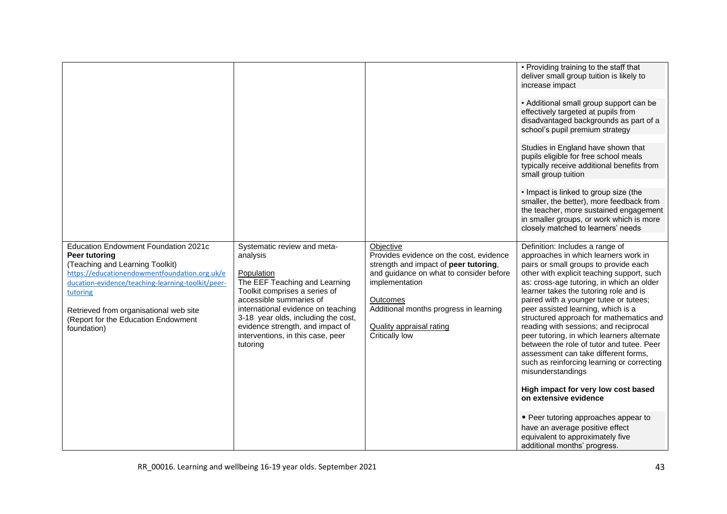<span id="page-42-0"></span>

|                                                                                                                                                                                                                                                                                                                   |                                                                                                                                                                                                                                                                                                                      |                                                                                                                                                                                                                                                                       | • Providing training to the staff that<br>deliver small group tuition is likely to<br>increase impact<br>• Additional small group support can be<br>effectively targeted at pupils from<br>disadvantaged backgrounds as part of a<br>school's pupil premium strategy<br>Studies in England have shown that<br>pupils eligible for free school meals<br>typically receive additional benefits from<br>small group tuition<br>• Impact is linked to group size (the<br>smaller, the better), more feedback from<br>the teacher, more sustained engagement<br>in smaller groups, or work which is more<br>closely matched to learners' needs                                                                                                                                                                                                      |
|-------------------------------------------------------------------------------------------------------------------------------------------------------------------------------------------------------------------------------------------------------------------------------------------------------------------|----------------------------------------------------------------------------------------------------------------------------------------------------------------------------------------------------------------------------------------------------------------------------------------------------------------------|-----------------------------------------------------------------------------------------------------------------------------------------------------------------------------------------------------------------------------------------------------------------------|------------------------------------------------------------------------------------------------------------------------------------------------------------------------------------------------------------------------------------------------------------------------------------------------------------------------------------------------------------------------------------------------------------------------------------------------------------------------------------------------------------------------------------------------------------------------------------------------------------------------------------------------------------------------------------------------------------------------------------------------------------------------------------------------------------------------------------------------|
| Education Endowment Foundation 2021c<br><b>Peer tutoring</b><br>(Teaching and Learning Toolkit)<br>https://educationendowmentfoundation.org.uk/e<br>ducation-evidence/teaching-learning-toolkit/peer-<br>tutoring<br>Retrieved from organisational web site<br>(Report for the Education Endowment<br>foundation) | Systematic review and meta-<br>analysis<br>Population<br>The EEF Teaching and Learning<br>Toolkit comprises a series of<br>accessible summaries of<br>international evidence on teaching<br>3-18 year olds, including the cost,<br>evidence strength, and impact of<br>interventions, in this case, peer<br>tutoring | Objective<br>Provides evidence on the cost, evidence<br>strength and impact of peer tutoring,<br>and guidance on what to consider before<br>implementation<br>Outcomes<br>Additional months progress in learning<br><b>Quality appraisal rating</b><br>Critically low | Definition: Includes a range of<br>approaches in which learners work in<br>pairs or small groups to provide each<br>other with explicit teaching support, such<br>as: cross-age tutoring, in which an older<br>learner takes the tutoring role and is<br>paired with a younger tutee or tutees;<br>peer assisted learning, which is a<br>structured approach for mathematics and<br>reading with sessions; and reciprocal<br>peer tutoring, in which learners alternate<br>between the role of tutor and tutee. Peer<br>assessment can take different forms,<br>such as reinforcing learning or correcting<br>misunderstandings<br>High impact for very low cost based<br>on extensive evidence<br>• Peer tutoring approaches appear to<br>have an average positive effect<br>equivalent to approximately five<br>additional months' progress. |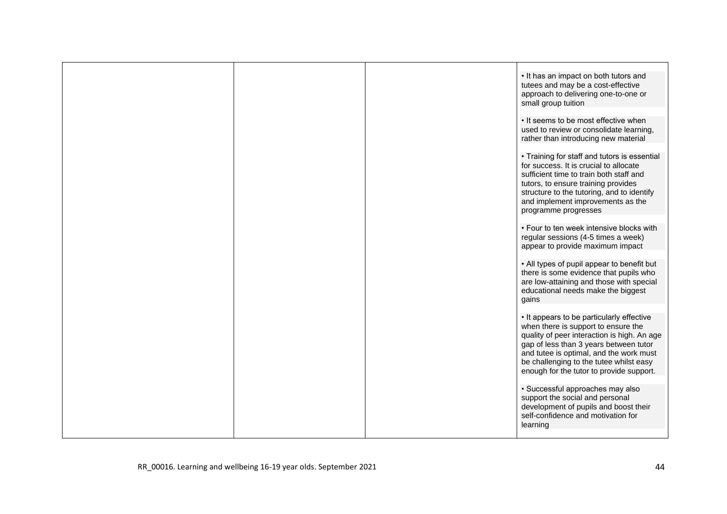|  | . It has an impact on both tutors and<br>tutees and may be a cost-effective<br>approach to delivering one-to-one or<br>small group tuition                                                                                                                                                                  |
|--|-------------------------------------------------------------------------------------------------------------------------------------------------------------------------------------------------------------------------------------------------------------------------------------------------------------|
|  | • It seems to be most effective when<br>used to review or consolidate learning,<br>rather than introducing new material                                                                                                                                                                                     |
|  | • Training for staff and tutors is essential<br>for success. It is crucial to allocate<br>sufficient time to train both staff and<br>tutors, to ensure training provides<br>structure to the tutoring, and to identify<br>and implement improvements as the<br>programme progresses                         |
|  | • Four to ten week intensive blocks with<br>regular sessions (4-5 times a week)<br>appear to provide maximum impact                                                                                                                                                                                         |
|  | • All types of pupil appear to benefit but<br>there is some evidence that pupils who<br>are low-attaining and those with special<br>educational needs make the biggest<br>gains                                                                                                                             |
|  | • It appears to be particularly effective<br>when there is support to ensure the<br>quality of peer interaction is high. An age<br>gap of less than 3 years between tutor<br>and tutee is optimal, and the work must<br>be challenging to the tutee whilst easy<br>enough for the tutor to provide support. |
|  | · Successful approaches may also<br>support the social and personal<br>development of pupils and boost their<br>self-confidence and motivation for<br>learning                                                                                                                                              |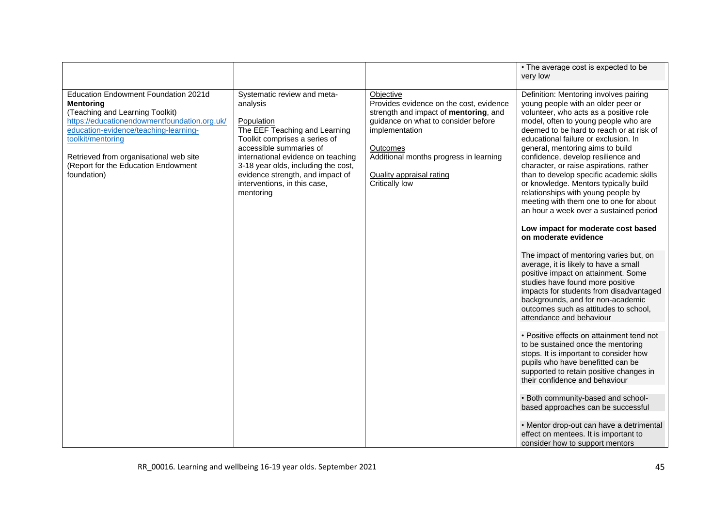<span id="page-44-0"></span>

|                                                                                                                                                                                                                                                                                                           |                                                                                                                                                                                                                                                                                                                  |                                                                                                                                                                                                                                                            | • The average cost is expected to be<br>very low                                                                                                                                                                                                                                                                                                                                                                                                                                                                                                                                                                                                                                                                                                                                                                                                                                                                                                                                                                                                                                                                                                                                                                                                                                                                                                                                                                           |
|-----------------------------------------------------------------------------------------------------------------------------------------------------------------------------------------------------------------------------------------------------------------------------------------------------------|------------------------------------------------------------------------------------------------------------------------------------------------------------------------------------------------------------------------------------------------------------------------------------------------------------------|------------------------------------------------------------------------------------------------------------------------------------------------------------------------------------------------------------------------------------------------------------|----------------------------------------------------------------------------------------------------------------------------------------------------------------------------------------------------------------------------------------------------------------------------------------------------------------------------------------------------------------------------------------------------------------------------------------------------------------------------------------------------------------------------------------------------------------------------------------------------------------------------------------------------------------------------------------------------------------------------------------------------------------------------------------------------------------------------------------------------------------------------------------------------------------------------------------------------------------------------------------------------------------------------------------------------------------------------------------------------------------------------------------------------------------------------------------------------------------------------------------------------------------------------------------------------------------------------------------------------------------------------------------------------------------------------|
| Education Endowment Foundation 2021d<br><b>Mentoring</b><br>(Teaching and Learning Toolkit)<br>https://educationendowmentfoundation.org.uk/<br>education-evidence/teaching-learning-<br>toolkit/mentoring<br>Retrieved from organisational web site<br>(Report for the Education Endowment<br>foundation) | Systematic review and meta-<br>analysis<br>Population<br>The EEF Teaching and Learning<br>Toolkit comprises a series of<br>accessible summaries of<br>international evidence on teaching<br>3-18 year olds, including the cost,<br>evidence strength, and impact of<br>interventions, in this case,<br>mentoring | Objective<br>Provides evidence on the cost, evidence<br>strength and impact of mentoring, and<br>guidance on what to consider before<br>implementation<br>Outcomes<br>Additional months progress in learning<br>Quality appraisal rating<br>Critically low | Definition: Mentoring involves pairing<br>young people with an older peer or<br>volunteer, who acts as a positive role<br>model, often to young people who are<br>deemed to be hard to reach or at risk of<br>educational failure or exclusion. In<br>general, mentoring aims to build<br>confidence, develop resilience and<br>character, or raise aspirations, rather<br>than to develop specific academic skills<br>or knowledge. Mentors typically build<br>relationships with young people by<br>meeting with them one to one for about<br>an hour a week over a sustained period<br>Low impact for moderate cost based<br>on moderate evidence<br>The impact of mentoring varies but, on<br>average, it is likely to have a small<br>positive impact on attainment. Some<br>studies have found more positive<br>impacts for students from disadvantaged<br>backgrounds, and for non-academic<br>outcomes such as attitudes to school,<br>attendance and behaviour<br>• Positive effects on attainment tend not<br>to be sustained once the mentoring<br>stops. It is important to consider how<br>pupils who have benefitted can be<br>supported to retain positive changes in<br>their confidence and behaviour<br>. Both community-based and school-<br>based approaches can be successful<br>• Mentor drop-out can have a detrimental<br>effect on mentees. It is important to<br>consider how to support mentors |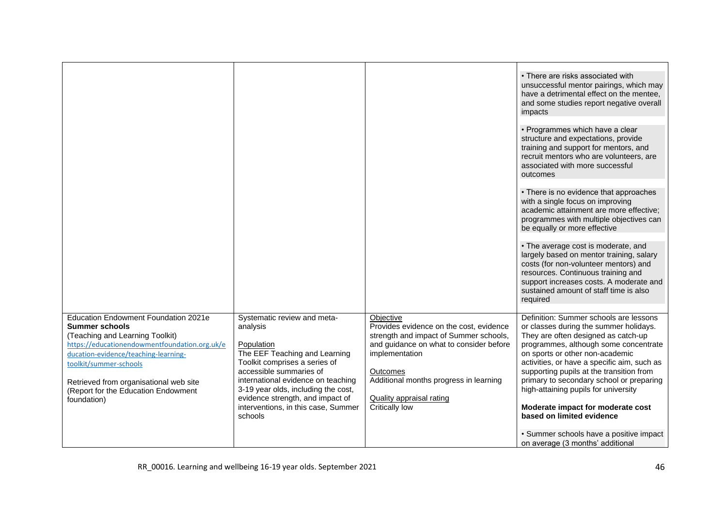<span id="page-45-0"></span>

|                                                                                                                                                                                                                                                                                                                     |                                                                                                                                                                                                                                                                                                                       |                                                                                                                                                                                                                                                                               | • There are risks associated with<br>unsuccessful mentor pairings, which may<br>have a detrimental effect on the mentee,<br>and some studies report negative overall<br>impacts                                                                                                                                                                                                                                                                                                                 |
|---------------------------------------------------------------------------------------------------------------------------------------------------------------------------------------------------------------------------------------------------------------------------------------------------------------------|-----------------------------------------------------------------------------------------------------------------------------------------------------------------------------------------------------------------------------------------------------------------------------------------------------------------------|-------------------------------------------------------------------------------------------------------------------------------------------------------------------------------------------------------------------------------------------------------------------------------|-------------------------------------------------------------------------------------------------------------------------------------------------------------------------------------------------------------------------------------------------------------------------------------------------------------------------------------------------------------------------------------------------------------------------------------------------------------------------------------------------|
|                                                                                                                                                                                                                                                                                                                     |                                                                                                                                                                                                                                                                                                                       |                                                                                                                                                                                                                                                                               | • Programmes which have a clear<br>structure and expectations, provide<br>training and support for mentors, and<br>recruit mentors who are volunteers, are<br>associated with more successful<br>outcomes                                                                                                                                                                                                                                                                                       |
|                                                                                                                                                                                                                                                                                                                     |                                                                                                                                                                                                                                                                                                                       |                                                                                                                                                                                                                                                                               | • There is no evidence that approaches<br>with a single focus on improving<br>academic attainment are more effective;<br>programmes with multiple objectives can<br>be equally or more effective                                                                                                                                                                                                                                                                                                |
|                                                                                                                                                                                                                                                                                                                     |                                                                                                                                                                                                                                                                                                                       |                                                                                                                                                                                                                                                                               | • The average cost is moderate, and<br>largely based on mentor training, salary<br>costs (for non-volunteer mentors) and<br>resources. Continuous training and<br>support increases costs. A moderate and<br>sustained amount of staff time is also<br>required                                                                                                                                                                                                                                 |
| Education Endowment Foundation 2021e<br><b>Summer schools</b><br>(Teaching and Learning Toolkit)<br>https://educationendowmentfoundation.org.uk/e<br>ducation-evidence/teaching-learning-<br>toolkit/summer-schools<br>Retrieved from organisational web site<br>(Report for the Education Endowment<br>foundation) | Systematic review and meta-<br>analysis<br>Population<br>The EEF Teaching and Learning<br>Toolkit comprises a series of<br>accessible summaries of<br>international evidence on teaching<br>3-19 year olds, including the cost,<br>evidence strength, and impact of<br>interventions, in this case, Summer<br>schools | Objective<br>Provides evidence on the cost, evidence<br>strength and impact of Summer schools,<br>and guidance on what to consider before<br>implementation<br><b>Outcomes</b><br>Additional months progress in learning<br><b>Quality appraisal rating</b><br>Critically low | Definition: Summer schools are lessons<br>or classes during the summer holidays.<br>They are often designed as catch-up<br>programmes, although some concentrate<br>on sports or other non-academic<br>activities, or have a specific aim, such as<br>supporting pupils at the transition from<br>primary to secondary school or preparing<br>high-attaining pupils for university<br>Moderate impact for moderate cost<br>based on limited evidence<br>· Summer schools have a positive impact |
|                                                                                                                                                                                                                                                                                                                     |                                                                                                                                                                                                                                                                                                                       |                                                                                                                                                                                                                                                                               | on average (3 months' additional                                                                                                                                                                                                                                                                                                                                                                                                                                                                |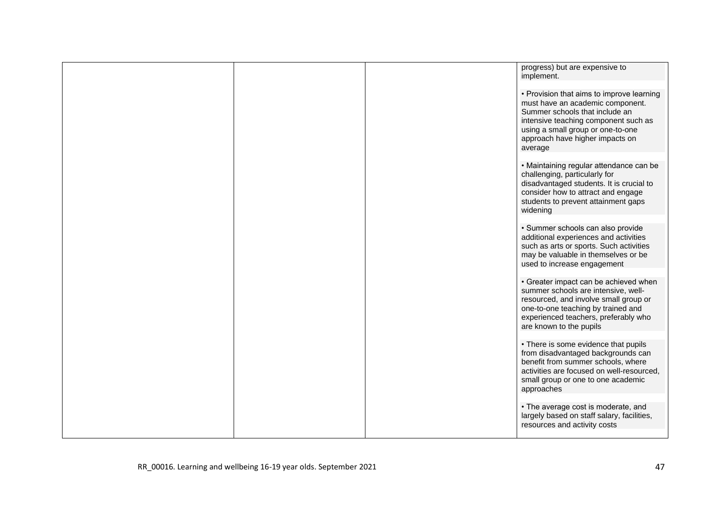|  | progress) but are expensive to<br>implement.                                                                                                                                                                                               |
|--|--------------------------------------------------------------------------------------------------------------------------------------------------------------------------------------------------------------------------------------------|
|  | • Provision that aims to improve learning<br>must have an academic component.<br>Summer schools that include an<br>intensive teaching component such as<br>using a small group or one-to-one<br>approach have higher impacts on<br>average |
|  | • Maintaining regular attendance can be<br>challenging, particularly for<br>disadvantaged students. It is crucial to<br>consider how to attract and engage<br>students to prevent attainment gaps<br>widening                              |
|  | · Summer schools can also provide<br>additional experiences and activities<br>such as arts or sports. Such activities<br>may be valuable in themselves or be<br>used to increase engagement                                                |
|  | • Greater impact can be achieved when<br>summer schools are intensive, well-<br>resourced, and involve small group or<br>one-to-one teaching by trained and<br>experienced teachers, preferably who<br>are known to the pupils             |
|  | • There is some evidence that pupils<br>from disadvantaged backgrounds can<br>benefit from summer schools, where<br>activities are focused on well-resourced,<br>small group or one to one academic<br>approaches                          |
|  | • The average cost is moderate, and<br>largely based on staff salary, facilities,<br>resources and activity costs                                                                                                                          |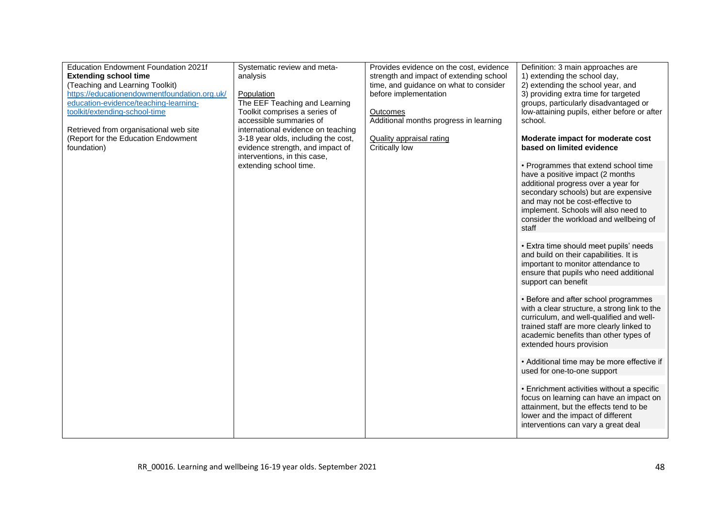<span id="page-47-0"></span>

| Education Endowment Foundation 2021f         | Systematic review and meta-         | Provides evidence on the cost, evidence | Definition: 3 main approaches are                                                |
|----------------------------------------------|-------------------------------------|-----------------------------------------|----------------------------------------------------------------------------------|
| <b>Extending school time</b>                 | analysis                            | strength and impact of extending school | 1) extending the school day,                                                     |
| (Teaching and Learning Toolkit)              |                                     | time, and guidance on what to consider  | 2) extending the school year, and                                                |
| https://educationendowmentfoundation.org.uk/ | Population                          | before implementation                   | 3) providing extra time for targeted                                             |
| education-evidence/teaching-learning-        | The EEF Teaching and Learning       |                                         | groups, particularly disadvantaged or                                            |
| toolkit/extending-school-time                | Toolkit comprises a series of       | Outcomes                                | low-attaining pupils, either before or after                                     |
|                                              | accessible summaries of             | Additional months progress in learning  | school.                                                                          |
| Retrieved from organisational web site       | international evidence on teaching  |                                         |                                                                                  |
| (Report for the Education Endowment          | 3-18 year olds, including the cost, | <b>Quality appraisal rating</b>         | Moderate impact for moderate cost                                                |
| foundation)                                  | evidence strength, and impact of    | Critically low                          | based on limited evidence                                                        |
|                                              | interventions, in this case,        |                                         |                                                                                  |
|                                              | extending school time.              |                                         | • Programmes that extend school time                                             |
|                                              |                                     |                                         | have a positive impact (2 months)                                                |
|                                              |                                     |                                         | additional progress over a year for                                              |
|                                              |                                     |                                         | secondary schools) but are expensive                                             |
|                                              |                                     |                                         | and may not be cost-effective to                                                 |
|                                              |                                     |                                         | implement. Schools will also need to                                             |
|                                              |                                     |                                         | consider the workload and wellbeing of                                           |
|                                              |                                     |                                         | staff                                                                            |
|                                              |                                     |                                         |                                                                                  |
|                                              |                                     |                                         | • Extra time should meet pupils' needs<br>and build on their capabilities. It is |
|                                              |                                     |                                         | important to monitor attendance to                                               |
|                                              |                                     |                                         | ensure that pupils who need additional                                           |
|                                              |                                     |                                         | support can benefit                                                              |
|                                              |                                     |                                         |                                                                                  |
|                                              |                                     |                                         | • Before and after school programmes                                             |
|                                              |                                     |                                         | with a clear structure, a strong link to the                                     |
|                                              |                                     |                                         | curriculum, and well-qualified and well-                                         |
|                                              |                                     |                                         | trained staff are more clearly linked to                                         |
|                                              |                                     |                                         | academic benefits than other types of                                            |
|                                              |                                     |                                         | extended hours provision                                                         |
|                                              |                                     |                                         |                                                                                  |
|                                              |                                     |                                         | • Additional time may be more effective if                                       |
|                                              |                                     |                                         | used for one-to-one support                                                      |
|                                              |                                     |                                         |                                                                                  |
|                                              |                                     |                                         | • Enrichment activities without a specific                                       |
|                                              |                                     |                                         | focus on learning can have an impact on                                          |
|                                              |                                     |                                         | attainment, but the effects tend to be                                           |
|                                              |                                     |                                         | lower and the impact of different                                                |
|                                              |                                     |                                         | interventions can vary a great deal                                              |
|                                              |                                     |                                         |                                                                                  |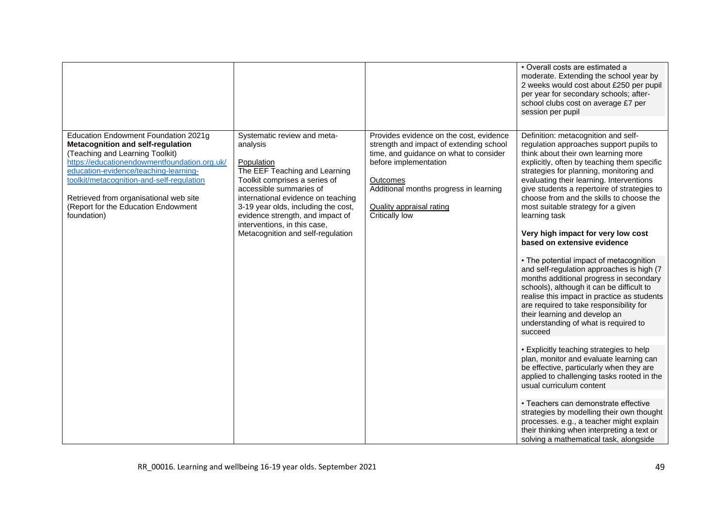<span id="page-48-0"></span>

|                                                                                                                                                                                                                                                                                                                                                           |                                                                                                                                                                                                                                                                                                                                          |                                                                                                                                                                                                                                                                         | • Overall costs are estimated a<br>moderate. Extending the school year by<br>2 weeks would cost about £250 per pupil<br>per year for secondary schools; after-<br>school clubs cost on average £7 per<br>session per pupil                                                                                                                                                                                                                                                                                                                                                                                                                                                                                                                                                                                                                                                                                                                                                                                                                                                                                                                                                                                                                                                             |
|-----------------------------------------------------------------------------------------------------------------------------------------------------------------------------------------------------------------------------------------------------------------------------------------------------------------------------------------------------------|------------------------------------------------------------------------------------------------------------------------------------------------------------------------------------------------------------------------------------------------------------------------------------------------------------------------------------------|-------------------------------------------------------------------------------------------------------------------------------------------------------------------------------------------------------------------------------------------------------------------------|----------------------------------------------------------------------------------------------------------------------------------------------------------------------------------------------------------------------------------------------------------------------------------------------------------------------------------------------------------------------------------------------------------------------------------------------------------------------------------------------------------------------------------------------------------------------------------------------------------------------------------------------------------------------------------------------------------------------------------------------------------------------------------------------------------------------------------------------------------------------------------------------------------------------------------------------------------------------------------------------------------------------------------------------------------------------------------------------------------------------------------------------------------------------------------------------------------------------------------------------------------------------------------------|
| Education Endowment Foundation 2021g<br><b>Metacognition and self-regulation</b><br>(Teaching and Learning Toolkit)<br>https://educationendowmentfoundation.org.uk/<br>education-evidence/teaching-learning-<br>toolkit/metacognition-and-self-regulation<br>Retrieved from organisational web site<br>(Report for the Education Endowment<br>foundation) | Systematic review and meta-<br>analysis<br>Population<br>The EEF Teaching and Learning<br>Toolkit comprises a series of<br>accessible summaries of<br>international evidence on teaching<br>3-19 year olds, including the cost,<br>evidence strength, and impact of<br>interventions, in this case,<br>Metacognition and self-regulation | Provides evidence on the cost, evidence<br>strength and impact of extending school<br>time, and guidance on what to consider<br>before implementation<br>Outcomes<br>Additional months progress in learning<br><b>Quality appraisal rating</b><br><b>Critically low</b> | Definition: metacognition and self-<br>regulation approaches support pupils to<br>think about their own learning more<br>explicitly, often by teaching them specific<br>strategies for planning, monitoring and<br>evaluating their learning. Interventions<br>give students a repertoire of strategies to<br>choose from and the skills to choose the<br>most suitable strategy for a given<br>learning task<br>Very high impact for very low cost<br>based on extensive evidence<br>• The potential impact of metacognition<br>and self-regulation approaches is high (7<br>months additional progress in secondary<br>schools), although it can be difficult to<br>realise this impact in practice as students<br>are required to take responsibility for<br>their learning and develop an<br>understanding of what is required to<br>succeed<br>• Explicitly teaching strategies to help<br>plan, monitor and evaluate learning can<br>be effective, particularly when they are<br>applied to challenging tasks rooted in the<br>usual curriculum content<br>• Teachers can demonstrate effective<br>strategies by modelling their own thought<br>processes. e.g., a teacher might explain<br>their thinking when interpreting a text or<br>solving a mathematical task, alongside |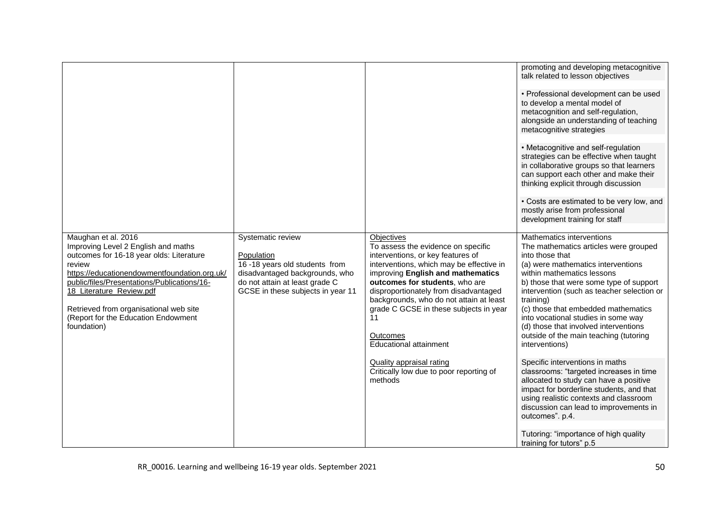<span id="page-49-1"></span><span id="page-49-0"></span>

|                                                                                                                                                                                                                                                                                                                                             |                                                                                                                                                                           |                                                                                                                                                                                                                                                                                                                                                                                                                                                                      | promoting and developing metacognitive<br>talk related to lesson objectives                                                                                                                                                                                                                                                                                                                                                                                                                                                                                                                                                                                                                                                   |
|---------------------------------------------------------------------------------------------------------------------------------------------------------------------------------------------------------------------------------------------------------------------------------------------------------------------------------------------|---------------------------------------------------------------------------------------------------------------------------------------------------------------------------|----------------------------------------------------------------------------------------------------------------------------------------------------------------------------------------------------------------------------------------------------------------------------------------------------------------------------------------------------------------------------------------------------------------------------------------------------------------------|-------------------------------------------------------------------------------------------------------------------------------------------------------------------------------------------------------------------------------------------------------------------------------------------------------------------------------------------------------------------------------------------------------------------------------------------------------------------------------------------------------------------------------------------------------------------------------------------------------------------------------------------------------------------------------------------------------------------------------|
|                                                                                                                                                                                                                                                                                                                                             |                                                                                                                                                                           |                                                                                                                                                                                                                                                                                                                                                                                                                                                                      | • Professional development can be used<br>to develop a mental model of<br>metacognition and self-regulation,<br>alongside an understanding of teaching<br>metacognitive strategies                                                                                                                                                                                                                                                                                                                                                                                                                                                                                                                                            |
|                                                                                                                                                                                                                                                                                                                                             |                                                                                                                                                                           |                                                                                                                                                                                                                                                                                                                                                                                                                                                                      | • Metacognitive and self-regulation<br>strategies can be effective when taught<br>in collaborative groups so that learners<br>can support each other and make their<br>thinking explicit through discussion                                                                                                                                                                                                                                                                                                                                                                                                                                                                                                                   |
|                                                                                                                                                                                                                                                                                                                                             |                                                                                                                                                                           |                                                                                                                                                                                                                                                                                                                                                                                                                                                                      | • Costs are estimated to be very low, and<br>mostly arise from professional<br>development training for staff                                                                                                                                                                                                                                                                                                                                                                                                                                                                                                                                                                                                                 |
| Maughan et al. 2016<br>Improving Level 2 English and maths<br>outcomes for 16-18 year olds: Literature<br>review<br>https://educationendowmentfoundation.org.uk/<br>public/files/Presentations/Publications/16-<br>18 Literature Review.pdf<br>Retrieved from organisational web site<br>(Report for the Education Endowment<br>foundation) | Systematic review<br>Population<br>16-18 years old students from<br>disadvantaged backgrounds, who<br>do not attain at least grade C<br>GCSE in these subjects in year 11 | Objectives<br>To assess the evidence on specific<br>interventions, or key features of<br>interventions, which may be effective in<br>improving English and mathematics<br>outcomes for students, who are<br>disproportionately from disadvantaged<br>backgrounds, who do not attain at least<br>grade C GCSE in these subjects in year<br>11<br>Outcomes<br>Educational attainment<br>Quality appraisal rating<br>Critically low due to poor reporting of<br>methods | Mathematics interventions<br>The mathematics articles were grouped<br>into those that<br>(a) were mathematics interventions<br>within mathematics lessons<br>b) those that were some type of support<br>intervention (such as teacher selection or<br>training)<br>(c) those that embedded mathematics<br>into vocational studies in some way<br>(d) those that involved interventions<br>outside of the main teaching (tutoring<br>interventions)<br>Specific interventions in maths<br>classrooms: "targeted increases in time<br>allocated to study can have a positive<br>impact for borderline students, and that<br>using realistic contexts and classroom<br>discussion can lead to improvements in<br>outcomes". p.4. |
|                                                                                                                                                                                                                                                                                                                                             |                                                                                                                                                                           |                                                                                                                                                                                                                                                                                                                                                                                                                                                                      | Tutoring: "importance of high quality<br>training for tutors" p.5                                                                                                                                                                                                                                                                                                                                                                                                                                                                                                                                                                                                                                                             |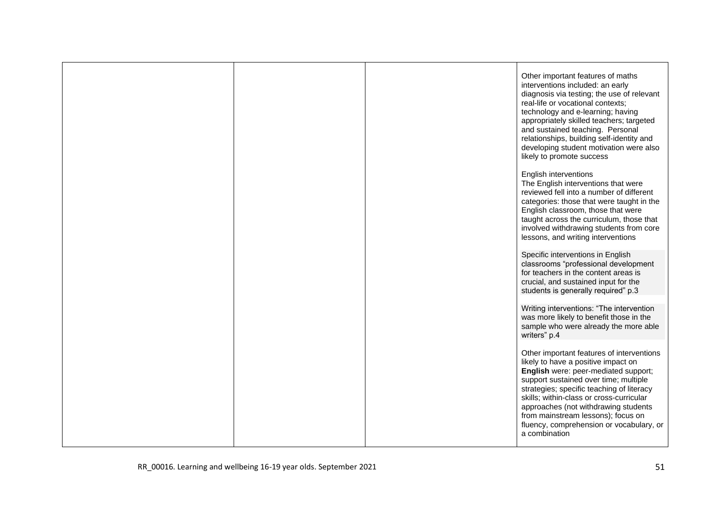<span id="page-50-1"></span><span id="page-50-0"></span>

|  | Other important features of maths<br>interventions included: an early<br>diagnosis via testing; the use of relevant<br>real-life or vocational contexts;<br>technology and e-learning; having<br>appropriately skilled teachers; targeted<br>and sustained teaching. Personal<br>relationships, building self-identity and<br>developing student motivation were also<br>likely to promote success<br>English interventions<br>The English interventions that were<br>reviewed fell into a number of different<br>categories: those that were taught in the<br>English classroom, those that were<br>taught across the curriculum, those that<br>involved withdrawing students from core |
|--|------------------------------------------------------------------------------------------------------------------------------------------------------------------------------------------------------------------------------------------------------------------------------------------------------------------------------------------------------------------------------------------------------------------------------------------------------------------------------------------------------------------------------------------------------------------------------------------------------------------------------------------------------------------------------------------|
|  | lessons, and writing interventions                                                                                                                                                                                                                                                                                                                                                                                                                                                                                                                                                                                                                                                       |
|  | Specific interventions in English<br>classrooms "professional development<br>for teachers in the content areas is<br>crucial, and sustained input for the<br>students is generally required" p.3                                                                                                                                                                                                                                                                                                                                                                                                                                                                                         |
|  | Writing interventions: "The intervention<br>was more likely to benefit those in the<br>sample who were already the more able<br>writers" p.4                                                                                                                                                                                                                                                                                                                                                                                                                                                                                                                                             |
|  | Other important features of interventions<br>likely to have a positive impact on<br>English were: peer-mediated support;<br>support sustained over time; multiple<br>strategies; specific teaching of literacy<br>skills; within-class or cross-curricular<br>approaches (not withdrawing students<br>from mainstream lessons); focus on<br>fluency, comprehension or vocabulary, or<br>a combination                                                                                                                                                                                                                                                                                    |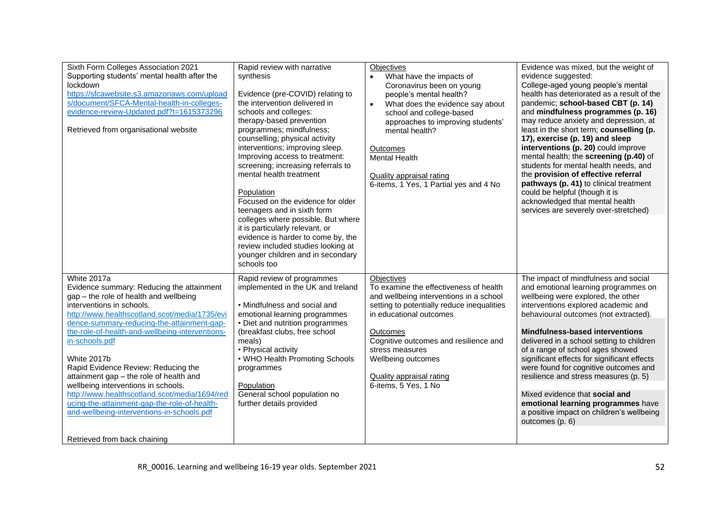<span id="page-51-8"></span><span id="page-51-7"></span><span id="page-51-6"></span><span id="page-51-5"></span><span id="page-51-4"></span><span id="page-51-3"></span><span id="page-51-2"></span><span id="page-51-1"></span><span id="page-51-0"></span>

| Sixth Form Colleges Association 2021                                                                                                                                                                                                                                                                                                                                                                                                                                                                                                                                                                                       | Rapid review with narrative                                                                                                                                                                                                                                                                                                                                                                                                                                                                                                                                                                                                        | <b>Objectives</b>                                                                                                                                                                                                                                                                                                                    | Evidence was mixed, but the weight of                                                                                                                                                                                                                                                                                                                                                                                                                                                                                                                                                                                                |
|----------------------------------------------------------------------------------------------------------------------------------------------------------------------------------------------------------------------------------------------------------------------------------------------------------------------------------------------------------------------------------------------------------------------------------------------------------------------------------------------------------------------------------------------------------------------------------------------------------------------------|------------------------------------------------------------------------------------------------------------------------------------------------------------------------------------------------------------------------------------------------------------------------------------------------------------------------------------------------------------------------------------------------------------------------------------------------------------------------------------------------------------------------------------------------------------------------------------------------------------------------------------|--------------------------------------------------------------------------------------------------------------------------------------------------------------------------------------------------------------------------------------------------------------------------------------------------------------------------------------|--------------------------------------------------------------------------------------------------------------------------------------------------------------------------------------------------------------------------------------------------------------------------------------------------------------------------------------------------------------------------------------------------------------------------------------------------------------------------------------------------------------------------------------------------------------------------------------------------------------------------------------|
| Supporting students' mental health after the<br>lockdown<br>https://sfcawebsite.s3.amazonaws.com/upload<br>s/document/SFCA-Mental-health-in-colleges-<br>evidence-review-Updated.pdf?t=1615373296<br>Retrieved from organisational website                                                                                                                                                                                                                                                                                                                                                                                 | synthesis<br>Evidence (pre-COVID) relating to<br>the intervention delivered in<br>schools and colleges:<br>therapy-based prevention<br>programmes; mindfulness;<br>counselling; physical activity<br>interventions; improving sleep.<br>Improving access to treatment:<br>screening; increasing referrals to<br>mental health treatment<br>Population<br>Focused on the evidence for older<br>teenagers and in sixth form<br>colleges where possible. But where<br>it is particularly relevant, or<br>evidence is harder to come by, the<br>review included studies looking at<br>younger children and in secondary<br>schools too | What have the impacts of<br>$\bullet$<br>Coronavirus been on young<br>people's mental health?<br>What does the evidence say about<br>$\bullet$<br>school and college-based<br>approaches to improving students'<br>mental health?<br>Outcomes<br>Mental Health<br>Quality appraisal rating<br>6-items, 1 Yes, 1 Partial yes and 4 No | evidence suggested:<br>College-aged young people's mental<br>health has deteriorated as a result of the<br>pandemic; school-based CBT (p. 14)<br>and mindfulness programmes (p. 16)<br>may reduce anxiety and depression, at<br>least in the short term; counselling (p.<br>17), exercise (p. 19) and sleep<br>interventions (p. 20) could improve<br>mental health; the screening (p.40) of<br>students for mental health needs, and<br>the provision of effective referral<br>pathways (p. 41) to clinical treatment<br>could be helpful (though it is<br>acknowledged that mental health<br>services are severely over-stretched) |
| White 2017a<br>Evidence summary: Reducing the attainment<br>gap - the role of health and wellbeing<br>interventions in schools.<br>http://www.healthscotland.scot/media/1735/evi<br>dence-summary-reducing-the-attainment-gap-<br>the-role-of-health-and-wellbeing-interventions-<br>in-schools.pdf<br>White 2017b<br>Rapid Evidence Review: Reducing the<br>attainment gap - the role of health and<br>wellbeing interventions in schools.<br>http://www.healthscotland.scot/media/1694/red<br>ucing-the-attainment-gap-the-role-of-health-<br>and-wellbeing-interventions-in-schools.pdf<br>Retrieved from back chaining | Rapid review of programmes<br>implemented in the UK and Ireland<br>• Mindfulness and social and<br>emotional learning programmes<br>• Diet and nutrition programmes<br>(breakfast clubs, free school<br>meals)<br>• Physical activity<br>• WHO Health Promoting Schools<br>programmes<br>Population<br>General school population no<br>further details provided                                                                                                                                                                                                                                                                    | <b>Objectives</b><br>To examine the effectiveness of health<br>and wellbeing interventions in a school<br>setting to potentially reduce inequalities<br>in educational outcomes<br>Outcomes<br>Cognitive outcomes and resilience and<br>stress measures<br>Wellbeing outcomes<br>Quality appraisal rating<br>6-items, 5 Yes, 1 No    | The impact of mindfulness and social<br>and emotional learning programmes on<br>wellbeing were explored, the other<br>interventions explored academic and<br>behavioural outcomes (not extracted).<br><b>Mindfulness-based interventions</b><br>delivered in a school setting to children<br>of a range of school ages showed<br>significant effects for significant effects<br>were found for cognitive outcomes and<br>resilience and stress measures (p. 5)<br>Mixed evidence that social and<br>emotional learning programmes have<br>a positive impact on children's wellbeing<br>outcomes (p. 6)                               |